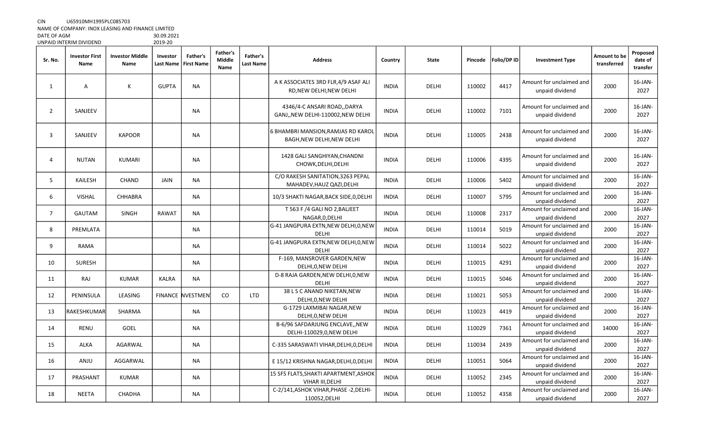NAME OF COMPANY: INOX LEASING AND FINANCE LIMITED

DATE OF AGM 30.09.2021 UNPAID INTERIM DIVIDEND

| Sr. No.        | <b>Investor First</b><br>Name | <b>Investor Middle</b><br>Name | Investor     | Father's<br>Last Name   First Name | <b>Father's</b><br><b>Middle</b><br>Name | Father's<br>Last Name | <b>Address</b>                                                    | Country      | <b>State</b> | Pincode | Folio/DP ID | <b>Investment Type</b>                      | Amount to be<br>transferred | Proposed<br>date of<br>transfer |
|----------------|-------------------------------|--------------------------------|--------------|------------------------------------|------------------------------------------|-----------------------|-------------------------------------------------------------------|--------------|--------------|---------|-------------|---------------------------------------------|-----------------------------|---------------------------------|
| 1              | Α                             | К                              | <b>GUPTA</b> | NA                                 |                                          |                       | A K ASSOCIATES 3RD FLR, 4/9 ASAF ALI<br>RD, NEW DELHI, NEW DELHI  | <b>INDIA</b> | DELHI        | 110002  | 4417        | Amount for unclaimed and<br>unpaid dividend | 2000                        | $16$ -JAN-<br>2027              |
| $\overline{2}$ | SANJEEV                       |                                |              | <b>NA</b>                          |                                          |                       | 4346/4-C ANSARI ROAD, DARYA<br>GANJ,, NEW DELHI-110002, NEW DELHI | <b>INDIA</b> | DELHI        | 110002  | 7101        | Amount for unclaimed and<br>unpaid dividend | 2000                        | 16-JAN-<br>2027                 |
| 3              | SANJEEV                       | <b>KAPOOR</b>                  |              | <b>NA</b>                          |                                          |                       | 6 BHAMBRI MANSION, RAMJAS RD KAROL<br>BAGH, NEW DELHI, NEW DELHI  | <b>INDIA</b> | DELHI        | 110005  | 2438        | Amount for unclaimed and<br>unpaid dividend | 2000                        | 16-JAN-<br>2027                 |
| $\overline{4}$ | NUTAN                         | KUMARI                         |              | NA                                 |                                          |                       | 1428 GALI SANGHIYAN, CHANDNI<br>CHOWK, DELHI, DELHI               | <b>INDIA</b> | DELHI        | 110006  | 4395        | Amount for unclaimed and<br>unpaid dividend | 2000                        | 16-JAN-<br>2027                 |
| 5              | <b>KAILESH</b>                | CHAND                          | JAIN         | <b>NA</b>                          |                                          |                       | C/O RAKESH SANITATION, 3263 PEPAL<br>MAHADEV, HAUZ QAZI, DELHI    | <b>INDIA</b> | <b>DELHI</b> | 110006  | 5402        | Amount for unclaimed and<br>unpaid dividend | 2000                        | $16$ -JAN-<br>2027              |
| 6              | <b>VISHAL</b>                 | CHHABRA                        |              | <b>NA</b>                          |                                          |                       | 10/3 SHAKTI NAGAR, BACK SIDE, 0, DELHI                            | <b>INDIA</b> | DELHI        | 110007  | 5795        | Amount for unclaimed and<br>unpaid dividend | 2000                        | 16-JAN-<br>2027                 |
| $\overline{7}$ | GAUTAM                        | SINGH                          | <b>RAWAT</b> | NA                                 |                                          |                       | T 563 F /4 GALI NO 2, BALJEET<br>NAGAR, 0, DELHI                  | <b>INDIA</b> | DELHI        | 110008  | 2317        | Amount for unclaimed and<br>unpaid dividend | 2000                        | $16$ -JAN-<br>2027              |
| 8              | PREMLATA                      |                                |              | NA                                 |                                          |                       | G-41 JANGPURA EXTN, NEW DELHI, 0, NEW<br><b>DELHI</b>             | <b>INDIA</b> | DELHI        | 110014  | 5019        | Amount for unclaimed and<br>unpaid dividend | 2000                        | $16$ -JAN-<br>2027              |
| 9              | <b>RAMA</b>                   |                                |              | <b>NA</b>                          |                                          |                       | G-41 JANGPURA EXTN, NEW DELHI, 0, NEW<br>DELHI                    | <b>INDIA</b> | DELHI        | 110014  | 5022        | Amount for unclaimed and<br>unpaid dividend | 2000                        | 16-JAN-<br>2027                 |
| 10             | SURESH                        |                                |              | <b>NA</b>                          |                                          |                       | F-169, MANSROVER GARDEN, NEW<br>DELHI, 0, NEW DELHI               | <b>INDIA</b> | DELHI        | 110015  | 4291        | Amount for unclaimed and<br>unpaid dividend | 2000                        | 16-JAN-<br>2027                 |
| 11             | <b>RAJ</b>                    | <b>KUMAR</b>                   | <b>KALRA</b> | NA                                 |                                          |                       | D-8 RAJA GARDEN, NEW DELHI, 0, NEW<br><b>DELHI</b>                | <b>INDIA</b> | DELHI        | 110015  | 5046        | Amount for unclaimed and<br>unpaid dividend | 2000                        | 16-JAN-<br>2027                 |
| 12             | PENINSULA                     | LEASING                        |              | <b>FINANCE NVESTMEN</b>            | <b>CO</b>                                | <b>LTD</b>            | 38 L S C ANAND NIKETAN, NEW<br>DELHI, 0, NEW DELHI                | <b>INDIA</b> | DELHI        | 110021  | 5053        | Amount for unclaimed and<br>unpaid dividend | 2000                        | 16-JAN-<br>2027                 |
| 13             | RAKESHKUMAR                   | SHARMA                         |              | <b>NA</b>                          |                                          |                       | G-1729 LAXMIBAI NAGAR, NEW<br>DELHI, 0, NEW DELHI                 | <b>INDIA</b> | DELHI        | 110023  | 4419        | Amount for unclaimed and<br>unpaid dividend | 2000                        | $16$ -JAN-<br>2027              |
| 14             | <b>RENU</b>                   | GOEL                           |              | NA                                 |                                          |                       | B-6/96 SAFDARJUNG ENCLAVE,, NEW<br>DELHI-110029,0, NEW DELHI      | <b>INDIA</b> | DELHI        | 110029  | 7361        | Amount for unclaimed and<br>unpaid dividend | 14000                       | $16$ -JAN-<br>2027              |
| 15             | <b>ALKA</b>                   | AGARWAL                        |              | <b>NA</b>                          |                                          |                       | C-335 SARASWATI VIHAR, DELHI, 0, DELHI                            | <b>INDIA</b> | DELHI        | 110034  | 2439        | Amount for unclaimed and<br>unpaid dividend | 2000                        | $16$ -JAN-<br>2027              |
| 16             | ANJU                          | AGGARWAL                       |              | <b>NA</b>                          |                                          |                       | E 15/12 KRISHNA NAGAR, DELHI, 0, DELHI                            | <b>INDIA</b> | DELHI        | 110051  | 5064        | Amount for unclaimed and<br>unpaid dividend | 2000                        | $16$ -JAN-<br>2027              |
| 17             | PRASHANT                      | <b>KUMAR</b>                   |              | <b>NA</b>                          |                                          |                       | 15 SFS FLATS, SHAKTI APARTMENT, ASHOK<br>VIHAR III, DELHI         | <b>INDIA</b> | DELHI        | 110052  | 2345        | Amount for unclaimed and<br>unpaid dividend | 2000                        | 16-JAN-<br>2027                 |
| 18             | <b>NEETA</b>                  | CHADHA                         |              | NA                                 |                                          |                       | C-2/141, ASHOK VIHAR, PHASE - 2, DELHI-<br>110052, DELHI          | <b>INDIA</b> | DELHI        | 110052  | 4358        | Amount for unclaimed and<br>unpaid dividend | 2000                        | $16$ -JAN-<br>2027              |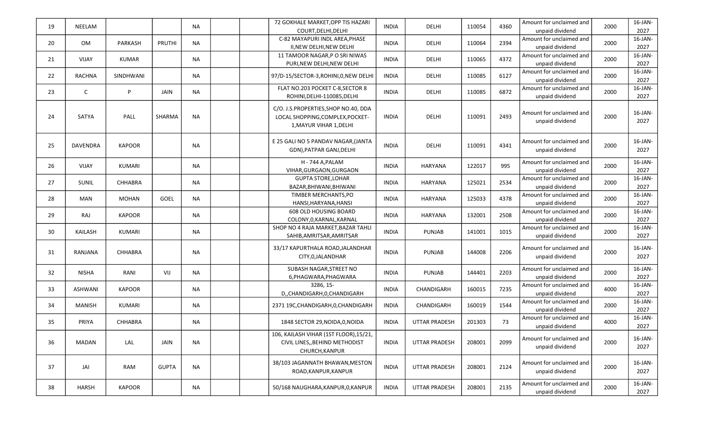| 16-JAN-<br>C-82 MAYAPURI INDL AREA, PHASE<br>Amount for unclaimed and<br>2394<br>PRUTHI<br><b>NA</b><br>110064<br>2000<br>20<br>OM<br>PARKASH<br><b>INDIA</b><br>DELHI<br>2027<br>II, NEW DELHI, NEW DELHI<br>unpaid dividend<br>16-JAN-<br>11 TAMOOR NAGAR, P O SRI NIWAS<br>Amount for unclaimed and<br>4372<br>2000<br>21<br>VIJAY<br><b>KUMAR</b><br>NA<br><b>INDIA</b><br>DELHI<br>110065<br>2027<br>PURI, NEW DELHI, NEW DELHI<br>unpaid dividend<br>16-JAN-<br>Amount for unclaimed and<br><b>NA</b><br>6127<br>2000<br>22<br><b>RACHNA</b><br>SINDHWANI<br><b>INDIA</b><br>DELHI<br>110085<br>97/D-15/SECTOR-3, ROHINI, 0, NEW DELHI<br>2027<br>unpaid dividend<br>FLAT NO.203 POCKET C-8, SECTOR 8<br>Amount for unclaimed and<br>16-JAN-<br>23<br>C<br>P<br><b>INDIA</b><br>110085<br>6872<br>2000<br>JAIN<br><b>NA</b><br>DELHI<br>2027<br>ROHINI, DELHI-110085, DELHI<br>unpaid dividend<br>C/O. J.S.PROPERTIES, SHOP NO.40, DDA<br>16-JAN-<br>Amount for unclaimed and<br>2493<br>2000<br>24<br>SATYA<br>PALL<br><b>NA</b><br><b>INDIA</b><br>110091<br>SHARMA<br>DELHI<br>LOCAL SHOPPING, COMPLEX, POCKET-<br>2027<br>unpaid dividend<br>1, MAYUR VIHAR 1, DELHI<br>16-JAN-<br>E 25 GALI NO 5 PANDAV NAGAR, (JANTA<br>Amount for unclaimed and<br>4341<br>2000<br><b>NA</b><br>25<br><b>DAVENDRA</b><br><b>KAPOOR</b><br><b>INDIA</b><br>DELHI<br>110091<br>2027<br>unpaid dividend<br>GDN), PATPAR GANJ, DELHI<br>$16$ -JAN-<br>H - 744 A, PALAM<br>Amount for unclaimed and<br>995<br><b>NA</b><br>122017<br>2000<br>26<br>VIJAY<br>KUMARI<br><b>INDIA</b><br>HARYANA<br>2027<br>VIHAR, GURGAON, GURGAON<br>unpaid dividend<br>$16$ -JAN-<br><b>GUPTA STORE, LOHAR</b><br>Amount for unclaimed and<br>2534<br>27<br><b>NA</b><br>125021<br>2000<br>SUNIL<br>CHHABRA<br><b>INDIA</b><br>HARYANA<br>2027<br>BAZAR, BHIWANI, BHIWANI<br>unpaid dividend<br>16-JAN-<br>TIMBER MERCHANTS, PO<br>Amount for unclaimed and<br>4378<br>GOEL<br><b>NA</b><br>125033<br>2000<br>28<br>MAN<br>MOHAN<br><b>INDIA</b><br><b>HARYANA</b><br>2027<br>HANSI, HARYANA, HANSI<br>unpaid dividend<br>$16$ -JAN-<br>608 OLD HOUSING BOARD<br>Amount for unclaimed and<br>29<br><b>KAPOOR</b><br>132001<br>2508<br>2000<br>RAJ<br>NA<br><b>INDIA</b><br>HARYANA<br>unpaid dividend<br>2027<br>COLONY, 0, KARNAL, KARNAL<br>16-JAN-<br>SHOP NO 4 RAJA MARKET, BAZAR TAHLI<br>Amount for unclaimed and<br>141001<br>1015<br>2000<br>30<br>KAILASH<br>KUMARI<br>NA<br><b>INDIA</b><br><b>PUNJAB</b><br>2027<br>SAHIB, AMRITSAR, AMRITSAR<br>unpaid dividend<br>16-JAN-<br>33/17 KAPURTHALA ROAD, JALANDHAR<br>Amount for unclaimed and<br>2206<br>2000<br>31<br><b>NA</b><br><b>INDIA</b><br>144008<br><b>CHHABRA</b><br><b>PUNJAB</b><br>RANJANA<br>2027<br>CITY, 0, JALANDHAR<br>unpaid dividend<br>SUBASH NAGAR, STREET NO<br>16-JAN-<br>Amount for unclaimed and<br>2203<br>2000<br>RANI<br><b>NA</b><br>32<br>NISHA<br>VIJ<br><b>INDIA</b><br><b>PUNJAB</b><br>144401<br>2027<br>6, PHAGWARA, PHAGWARA<br>unpaid dividend<br>3286, 15-<br>$16$ -JAN-<br>Amount for unclaimed and<br><b>NA</b><br>160015<br>7235<br>4000<br>33<br>ASHWANI<br><b>KAPOOR</b><br><b>INDIA</b><br>CHANDIGARH<br>2027<br>D,,CHANDIGARH,0,CHANDIGARH<br>unpaid dividend<br>16-JAN-<br>Amount for unclaimed and<br>1544<br>2000<br>34<br>MANISH<br>KUMARI<br>NA<br>2371 19C, CHANDIGARH, O, CHANDIGARH<br><b>INDIA</b><br>CHANDIGARH<br>160019<br>2027<br>unpaid dividend<br>Amount for unclaimed and<br>16-JAN-<br>35<br><b>NA</b><br>201303<br>73<br>4000<br>PRIYA<br>CHHABRA<br>1848 SECTOR 29, NOIDA, 0, NOIDA<br><b>INDIA</b><br><b>UTTAR PRADESH</b><br>2027<br>unpaid dividend<br>106, KAILASH VIHAR (1ST FLOOR), 15/21,<br>Amount for unclaimed and<br>16-JAN-<br>208001<br>2000<br>MADAN<br>LAL<br><b>NA</b><br>UTTAR PRADESH<br>2099<br>36<br>JAIN<br><b>INDIA</b><br>CIVIL LINES, BEHIND METHODIST<br>unpaid dividend<br>2027<br>CHURCH, KANPUR<br>38/103 JAGANNATH BHAWAN, MESTON<br>Amount for unclaimed and<br>16-JAN- | 19 | NEELAM |     |              | <b>NA</b> | 72 GOKHALE MARKET, OPP TIS HAZARI | <b>INDIA</b> | DELHI                | 110054 | 4360 | Amount for unclaimed and | 2000 | $16$ -JAN- |
|-----------------------------------------------------------------------------------------------------------------------------------------------------------------------------------------------------------------------------------------------------------------------------------------------------------------------------------------------------------------------------------------------------------------------------------------------------------------------------------------------------------------------------------------------------------------------------------------------------------------------------------------------------------------------------------------------------------------------------------------------------------------------------------------------------------------------------------------------------------------------------------------------------------------------------------------------------------------------------------------------------------------------------------------------------------------------------------------------------------------------------------------------------------------------------------------------------------------------------------------------------------------------------------------------------------------------------------------------------------------------------------------------------------------------------------------------------------------------------------------------------------------------------------------------------------------------------------------------------------------------------------------------------------------------------------------------------------------------------------------------------------------------------------------------------------------------------------------------------------------------------------------------------------------------------------------------------------------------------------------------------------------------------------------------------------------------------------------------------------------------------------------------------------------------------------------------------------------------------------------------------------------------------------------------------------------------------------------------------------------------------------------------------------------------------------------------------------------------------------------------------------------------------------------------------------------------------------------------------------------------------------------------------------------------------------------------------------------------------------------------------------------------------------------------------------------------------------------------------------------------------------------------------------------------------------------------------------------------------------------------------------------------------------------------------------------------------------------------------------------------------------------------------------------------------------------------------------------------------------------------------------------------------------------------------------------------------------------------------------------------------------------------------------------------------------------------------------------------------------------------------------------------------------------------------------------------------------------------------------------------------------------------------------------------------------------------------------------------------------------------------------------------------------------------------------------------------------------------------------------------------------------------------------------------------------------------------------------------------------------------------------|----|--------|-----|--------------|-----------|-----------------------------------|--------------|----------------------|--------|------|--------------------------|------|------------|
|                                                                                                                                                                                                                                                                                                                                                                                                                                                                                                                                                                                                                                                                                                                                                                                                                                                                                                                                                                                                                                                                                                                                                                                                                                                                                                                                                                                                                                                                                                                                                                                                                                                                                                                                                                                                                                                                                                                                                                                                                                                                                                                                                                                                                                                                                                                                                                                                                                                                                                                                                                                                                                                                                                                                                                                                                                                                                                                                                                                                                                                                                                                                                                                                                                                                                                                                                                                                                                                                                                                                                                                                                                                                                                                                                                                                                                                                                                                                                                                                           |    |        |     |              |           | COURT, DELHI, DELHI               |              |                      |        |      | unpaid dividend          |      | 2027       |
|                                                                                                                                                                                                                                                                                                                                                                                                                                                                                                                                                                                                                                                                                                                                                                                                                                                                                                                                                                                                                                                                                                                                                                                                                                                                                                                                                                                                                                                                                                                                                                                                                                                                                                                                                                                                                                                                                                                                                                                                                                                                                                                                                                                                                                                                                                                                                                                                                                                                                                                                                                                                                                                                                                                                                                                                                                                                                                                                                                                                                                                                                                                                                                                                                                                                                                                                                                                                                                                                                                                                                                                                                                                                                                                                                                                                                                                                                                                                                                                                           |    |        |     |              |           |                                   |              |                      |        |      |                          |      |            |
|                                                                                                                                                                                                                                                                                                                                                                                                                                                                                                                                                                                                                                                                                                                                                                                                                                                                                                                                                                                                                                                                                                                                                                                                                                                                                                                                                                                                                                                                                                                                                                                                                                                                                                                                                                                                                                                                                                                                                                                                                                                                                                                                                                                                                                                                                                                                                                                                                                                                                                                                                                                                                                                                                                                                                                                                                                                                                                                                                                                                                                                                                                                                                                                                                                                                                                                                                                                                                                                                                                                                                                                                                                                                                                                                                                                                                                                                                                                                                                                                           |    |        |     |              |           |                                   |              |                      |        |      |                          |      |            |
|                                                                                                                                                                                                                                                                                                                                                                                                                                                                                                                                                                                                                                                                                                                                                                                                                                                                                                                                                                                                                                                                                                                                                                                                                                                                                                                                                                                                                                                                                                                                                                                                                                                                                                                                                                                                                                                                                                                                                                                                                                                                                                                                                                                                                                                                                                                                                                                                                                                                                                                                                                                                                                                                                                                                                                                                                                                                                                                                                                                                                                                                                                                                                                                                                                                                                                                                                                                                                                                                                                                                                                                                                                                                                                                                                                                                                                                                                                                                                                                                           |    |        |     |              |           |                                   |              |                      |        |      |                          |      |            |
|                                                                                                                                                                                                                                                                                                                                                                                                                                                                                                                                                                                                                                                                                                                                                                                                                                                                                                                                                                                                                                                                                                                                                                                                                                                                                                                                                                                                                                                                                                                                                                                                                                                                                                                                                                                                                                                                                                                                                                                                                                                                                                                                                                                                                                                                                                                                                                                                                                                                                                                                                                                                                                                                                                                                                                                                                                                                                                                                                                                                                                                                                                                                                                                                                                                                                                                                                                                                                                                                                                                                                                                                                                                                                                                                                                                                                                                                                                                                                                                                           |    |        |     |              |           |                                   |              |                      |        |      |                          |      |            |
|                                                                                                                                                                                                                                                                                                                                                                                                                                                                                                                                                                                                                                                                                                                                                                                                                                                                                                                                                                                                                                                                                                                                                                                                                                                                                                                                                                                                                                                                                                                                                                                                                                                                                                                                                                                                                                                                                                                                                                                                                                                                                                                                                                                                                                                                                                                                                                                                                                                                                                                                                                                                                                                                                                                                                                                                                                                                                                                                                                                                                                                                                                                                                                                                                                                                                                                                                                                                                                                                                                                                                                                                                                                                                                                                                                                                                                                                                                                                                                                                           |    |        |     |              |           |                                   |              |                      |        |      |                          |      |            |
|                                                                                                                                                                                                                                                                                                                                                                                                                                                                                                                                                                                                                                                                                                                                                                                                                                                                                                                                                                                                                                                                                                                                                                                                                                                                                                                                                                                                                                                                                                                                                                                                                                                                                                                                                                                                                                                                                                                                                                                                                                                                                                                                                                                                                                                                                                                                                                                                                                                                                                                                                                                                                                                                                                                                                                                                                                                                                                                                                                                                                                                                                                                                                                                                                                                                                                                                                                                                                                                                                                                                                                                                                                                                                                                                                                                                                                                                                                                                                                                                           |    |        |     |              |           |                                   |              |                      |        |      |                          |      |            |
|                                                                                                                                                                                                                                                                                                                                                                                                                                                                                                                                                                                                                                                                                                                                                                                                                                                                                                                                                                                                                                                                                                                                                                                                                                                                                                                                                                                                                                                                                                                                                                                                                                                                                                                                                                                                                                                                                                                                                                                                                                                                                                                                                                                                                                                                                                                                                                                                                                                                                                                                                                                                                                                                                                                                                                                                                                                                                                                                                                                                                                                                                                                                                                                                                                                                                                                                                                                                                                                                                                                                                                                                                                                                                                                                                                                                                                                                                                                                                                                                           |    |        |     |              |           |                                   |              |                      |        |      |                          |      |            |
|                                                                                                                                                                                                                                                                                                                                                                                                                                                                                                                                                                                                                                                                                                                                                                                                                                                                                                                                                                                                                                                                                                                                                                                                                                                                                                                                                                                                                                                                                                                                                                                                                                                                                                                                                                                                                                                                                                                                                                                                                                                                                                                                                                                                                                                                                                                                                                                                                                                                                                                                                                                                                                                                                                                                                                                                                                                                                                                                                                                                                                                                                                                                                                                                                                                                                                                                                                                                                                                                                                                                                                                                                                                                                                                                                                                                                                                                                                                                                                                                           |    |        |     |              |           |                                   |              |                      |        |      |                          |      |            |
|                                                                                                                                                                                                                                                                                                                                                                                                                                                                                                                                                                                                                                                                                                                                                                                                                                                                                                                                                                                                                                                                                                                                                                                                                                                                                                                                                                                                                                                                                                                                                                                                                                                                                                                                                                                                                                                                                                                                                                                                                                                                                                                                                                                                                                                                                                                                                                                                                                                                                                                                                                                                                                                                                                                                                                                                                                                                                                                                                                                                                                                                                                                                                                                                                                                                                                                                                                                                                                                                                                                                                                                                                                                                                                                                                                                                                                                                                                                                                                                                           |    |        |     |              |           |                                   |              |                      |        |      |                          |      |            |
|                                                                                                                                                                                                                                                                                                                                                                                                                                                                                                                                                                                                                                                                                                                                                                                                                                                                                                                                                                                                                                                                                                                                                                                                                                                                                                                                                                                                                                                                                                                                                                                                                                                                                                                                                                                                                                                                                                                                                                                                                                                                                                                                                                                                                                                                                                                                                                                                                                                                                                                                                                                                                                                                                                                                                                                                                                                                                                                                                                                                                                                                                                                                                                                                                                                                                                                                                                                                                                                                                                                                                                                                                                                                                                                                                                                                                                                                                                                                                                                                           |    |        |     |              |           |                                   |              |                      |        |      |                          |      |            |
|                                                                                                                                                                                                                                                                                                                                                                                                                                                                                                                                                                                                                                                                                                                                                                                                                                                                                                                                                                                                                                                                                                                                                                                                                                                                                                                                                                                                                                                                                                                                                                                                                                                                                                                                                                                                                                                                                                                                                                                                                                                                                                                                                                                                                                                                                                                                                                                                                                                                                                                                                                                                                                                                                                                                                                                                                                                                                                                                                                                                                                                                                                                                                                                                                                                                                                                                                                                                                                                                                                                                                                                                                                                                                                                                                                                                                                                                                                                                                                                                           |    |        |     |              |           |                                   |              |                      |        |      |                          |      |            |
|                                                                                                                                                                                                                                                                                                                                                                                                                                                                                                                                                                                                                                                                                                                                                                                                                                                                                                                                                                                                                                                                                                                                                                                                                                                                                                                                                                                                                                                                                                                                                                                                                                                                                                                                                                                                                                                                                                                                                                                                                                                                                                                                                                                                                                                                                                                                                                                                                                                                                                                                                                                                                                                                                                                                                                                                                                                                                                                                                                                                                                                                                                                                                                                                                                                                                                                                                                                                                                                                                                                                                                                                                                                                                                                                                                                                                                                                                                                                                                                                           |    |        |     |              |           |                                   |              |                      |        |      |                          |      |            |
|                                                                                                                                                                                                                                                                                                                                                                                                                                                                                                                                                                                                                                                                                                                                                                                                                                                                                                                                                                                                                                                                                                                                                                                                                                                                                                                                                                                                                                                                                                                                                                                                                                                                                                                                                                                                                                                                                                                                                                                                                                                                                                                                                                                                                                                                                                                                                                                                                                                                                                                                                                                                                                                                                                                                                                                                                                                                                                                                                                                                                                                                                                                                                                                                                                                                                                                                                                                                                                                                                                                                                                                                                                                                                                                                                                                                                                                                                                                                                                                                           |    |        |     |              |           |                                   |              |                      |        |      |                          |      |            |
|                                                                                                                                                                                                                                                                                                                                                                                                                                                                                                                                                                                                                                                                                                                                                                                                                                                                                                                                                                                                                                                                                                                                                                                                                                                                                                                                                                                                                                                                                                                                                                                                                                                                                                                                                                                                                                                                                                                                                                                                                                                                                                                                                                                                                                                                                                                                                                                                                                                                                                                                                                                                                                                                                                                                                                                                                                                                                                                                                                                                                                                                                                                                                                                                                                                                                                                                                                                                                                                                                                                                                                                                                                                                                                                                                                                                                                                                                                                                                                                                           |    |        |     |              |           |                                   |              |                      |        |      |                          |      |            |
|                                                                                                                                                                                                                                                                                                                                                                                                                                                                                                                                                                                                                                                                                                                                                                                                                                                                                                                                                                                                                                                                                                                                                                                                                                                                                                                                                                                                                                                                                                                                                                                                                                                                                                                                                                                                                                                                                                                                                                                                                                                                                                                                                                                                                                                                                                                                                                                                                                                                                                                                                                                                                                                                                                                                                                                                                                                                                                                                                                                                                                                                                                                                                                                                                                                                                                                                                                                                                                                                                                                                                                                                                                                                                                                                                                                                                                                                                                                                                                                                           |    |        |     |              |           |                                   |              |                      |        |      |                          |      |            |
|                                                                                                                                                                                                                                                                                                                                                                                                                                                                                                                                                                                                                                                                                                                                                                                                                                                                                                                                                                                                                                                                                                                                                                                                                                                                                                                                                                                                                                                                                                                                                                                                                                                                                                                                                                                                                                                                                                                                                                                                                                                                                                                                                                                                                                                                                                                                                                                                                                                                                                                                                                                                                                                                                                                                                                                                                                                                                                                                                                                                                                                                                                                                                                                                                                                                                                                                                                                                                                                                                                                                                                                                                                                                                                                                                                                                                                                                                                                                                                                                           |    |        |     |              |           |                                   |              |                      |        |      |                          |      |            |
|                                                                                                                                                                                                                                                                                                                                                                                                                                                                                                                                                                                                                                                                                                                                                                                                                                                                                                                                                                                                                                                                                                                                                                                                                                                                                                                                                                                                                                                                                                                                                                                                                                                                                                                                                                                                                                                                                                                                                                                                                                                                                                                                                                                                                                                                                                                                                                                                                                                                                                                                                                                                                                                                                                                                                                                                                                                                                                                                                                                                                                                                                                                                                                                                                                                                                                                                                                                                                                                                                                                                                                                                                                                                                                                                                                                                                                                                                                                                                                                                           |    |        |     |              |           |                                   |              |                      |        |      |                          |      |            |
|                                                                                                                                                                                                                                                                                                                                                                                                                                                                                                                                                                                                                                                                                                                                                                                                                                                                                                                                                                                                                                                                                                                                                                                                                                                                                                                                                                                                                                                                                                                                                                                                                                                                                                                                                                                                                                                                                                                                                                                                                                                                                                                                                                                                                                                                                                                                                                                                                                                                                                                                                                                                                                                                                                                                                                                                                                                                                                                                                                                                                                                                                                                                                                                                                                                                                                                                                                                                                                                                                                                                                                                                                                                                                                                                                                                                                                                                                                                                                                                                           |    |        |     |              |           |                                   |              |                      |        |      |                          |      |            |
|                                                                                                                                                                                                                                                                                                                                                                                                                                                                                                                                                                                                                                                                                                                                                                                                                                                                                                                                                                                                                                                                                                                                                                                                                                                                                                                                                                                                                                                                                                                                                                                                                                                                                                                                                                                                                                                                                                                                                                                                                                                                                                                                                                                                                                                                                                                                                                                                                                                                                                                                                                                                                                                                                                                                                                                                                                                                                                                                                                                                                                                                                                                                                                                                                                                                                                                                                                                                                                                                                                                                                                                                                                                                                                                                                                                                                                                                                                                                                                                                           |    |        |     |              |           |                                   |              |                      |        |      |                          |      |            |
|                                                                                                                                                                                                                                                                                                                                                                                                                                                                                                                                                                                                                                                                                                                                                                                                                                                                                                                                                                                                                                                                                                                                                                                                                                                                                                                                                                                                                                                                                                                                                                                                                                                                                                                                                                                                                                                                                                                                                                                                                                                                                                                                                                                                                                                                                                                                                                                                                                                                                                                                                                                                                                                                                                                                                                                                                                                                                                                                                                                                                                                                                                                                                                                                                                                                                                                                                                                                                                                                                                                                                                                                                                                                                                                                                                                                                                                                                                                                                                                                           |    |        |     |              |           |                                   |              |                      |        |      |                          |      |            |
|                                                                                                                                                                                                                                                                                                                                                                                                                                                                                                                                                                                                                                                                                                                                                                                                                                                                                                                                                                                                                                                                                                                                                                                                                                                                                                                                                                                                                                                                                                                                                                                                                                                                                                                                                                                                                                                                                                                                                                                                                                                                                                                                                                                                                                                                                                                                                                                                                                                                                                                                                                                                                                                                                                                                                                                                                                                                                                                                                                                                                                                                                                                                                                                                                                                                                                                                                                                                                                                                                                                                                                                                                                                                                                                                                                                                                                                                                                                                                                                                           |    |        |     |              |           |                                   |              |                      |        |      |                          |      |            |
|                                                                                                                                                                                                                                                                                                                                                                                                                                                                                                                                                                                                                                                                                                                                                                                                                                                                                                                                                                                                                                                                                                                                                                                                                                                                                                                                                                                                                                                                                                                                                                                                                                                                                                                                                                                                                                                                                                                                                                                                                                                                                                                                                                                                                                                                                                                                                                                                                                                                                                                                                                                                                                                                                                                                                                                                                                                                                                                                                                                                                                                                                                                                                                                                                                                                                                                                                                                                                                                                                                                                                                                                                                                                                                                                                                                                                                                                                                                                                                                                           |    |        |     |              |           |                                   |              |                      |        |      |                          |      |            |
|                                                                                                                                                                                                                                                                                                                                                                                                                                                                                                                                                                                                                                                                                                                                                                                                                                                                                                                                                                                                                                                                                                                                                                                                                                                                                                                                                                                                                                                                                                                                                                                                                                                                                                                                                                                                                                                                                                                                                                                                                                                                                                                                                                                                                                                                                                                                                                                                                                                                                                                                                                                                                                                                                                                                                                                                                                                                                                                                                                                                                                                                                                                                                                                                                                                                                                                                                                                                                                                                                                                                                                                                                                                                                                                                                                                                                                                                                                                                                                                                           |    |        |     |              |           |                                   |              |                      |        |      |                          |      |            |
|                                                                                                                                                                                                                                                                                                                                                                                                                                                                                                                                                                                                                                                                                                                                                                                                                                                                                                                                                                                                                                                                                                                                                                                                                                                                                                                                                                                                                                                                                                                                                                                                                                                                                                                                                                                                                                                                                                                                                                                                                                                                                                                                                                                                                                                                                                                                                                                                                                                                                                                                                                                                                                                                                                                                                                                                                                                                                                                                                                                                                                                                                                                                                                                                                                                                                                                                                                                                                                                                                                                                                                                                                                                                                                                                                                                                                                                                                                                                                                                                           |    |        |     |              |           |                                   |              |                      |        |      |                          |      |            |
|                                                                                                                                                                                                                                                                                                                                                                                                                                                                                                                                                                                                                                                                                                                                                                                                                                                                                                                                                                                                                                                                                                                                                                                                                                                                                                                                                                                                                                                                                                                                                                                                                                                                                                                                                                                                                                                                                                                                                                                                                                                                                                                                                                                                                                                                                                                                                                                                                                                                                                                                                                                                                                                                                                                                                                                                                                                                                                                                                                                                                                                                                                                                                                                                                                                                                                                                                                                                                                                                                                                                                                                                                                                                                                                                                                                                                                                                                                                                                                                                           |    |        |     |              |           |                                   |              |                      |        |      |                          |      |            |
|                                                                                                                                                                                                                                                                                                                                                                                                                                                                                                                                                                                                                                                                                                                                                                                                                                                                                                                                                                                                                                                                                                                                                                                                                                                                                                                                                                                                                                                                                                                                                                                                                                                                                                                                                                                                                                                                                                                                                                                                                                                                                                                                                                                                                                                                                                                                                                                                                                                                                                                                                                                                                                                                                                                                                                                                                                                                                                                                                                                                                                                                                                                                                                                                                                                                                                                                                                                                                                                                                                                                                                                                                                                                                                                                                                                                                                                                                                                                                                                                           |    |        |     |              |           |                                   |              |                      |        |      |                          |      |            |
|                                                                                                                                                                                                                                                                                                                                                                                                                                                                                                                                                                                                                                                                                                                                                                                                                                                                                                                                                                                                                                                                                                                                                                                                                                                                                                                                                                                                                                                                                                                                                                                                                                                                                                                                                                                                                                                                                                                                                                                                                                                                                                                                                                                                                                                                                                                                                                                                                                                                                                                                                                                                                                                                                                                                                                                                                                                                                                                                                                                                                                                                                                                                                                                                                                                                                                                                                                                                                                                                                                                                                                                                                                                                                                                                                                                                                                                                                                                                                                                                           |    |        |     |              |           |                                   |              |                      |        |      |                          |      |            |
|                                                                                                                                                                                                                                                                                                                                                                                                                                                                                                                                                                                                                                                                                                                                                                                                                                                                                                                                                                                                                                                                                                                                                                                                                                                                                                                                                                                                                                                                                                                                                                                                                                                                                                                                                                                                                                                                                                                                                                                                                                                                                                                                                                                                                                                                                                                                                                                                                                                                                                                                                                                                                                                                                                                                                                                                                                                                                                                                                                                                                                                                                                                                                                                                                                                                                                                                                                                                                                                                                                                                                                                                                                                                                                                                                                                                                                                                                                                                                                                                           |    |        |     |              |           |                                   |              |                      |        |      |                          |      |            |
|                                                                                                                                                                                                                                                                                                                                                                                                                                                                                                                                                                                                                                                                                                                                                                                                                                                                                                                                                                                                                                                                                                                                                                                                                                                                                                                                                                                                                                                                                                                                                                                                                                                                                                                                                                                                                                                                                                                                                                                                                                                                                                                                                                                                                                                                                                                                                                                                                                                                                                                                                                                                                                                                                                                                                                                                                                                                                                                                                                                                                                                                                                                                                                                                                                                                                                                                                                                                                                                                                                                                                                                                                                                                                                                                                                                                                                                                                                                                                                                                           |    |        |     |              |           |                                   |              |                      |        |      |                          |      |            |
|                                                                                                                                                                                                                                                                                                                                                                                                                                                                                                                                                                                                                                                                                                                                                                                                                                                                                                                                                                                                                                                                                                                                                                                                                                                                                                                                                                                                                                                                                                                                                                                                                                                                                                                                                                                                                                                                                                                                                                                                                                                                                                                                                                                                                                                                                                                                                                                                                                                                                                                                                                                                                                                                                                                                                                                                                                                                                                                                                                                                                                                                                                                                                                                                                                                                                                                                                                                                                                                                                                                                                                                                                                                                                                                                                                                                                                                                                                                                                                                                           |    |        |     |              |           |                                   |              |                      |        |      |                          |      |            |
|                                                                                                                                                                                                                                                                                                                                                                                                                                                                                                                                                                                                                                                                                                                                                                                                                                                                                                                                                                                                                                                                                                                                                                                                                                                                                                                                                                                                                                                                                                                                                                                                                                                                                                                                                                                                                                                                                                                                                                                                                                                                                                                                                                                                                                                                                                                                                                                                                                                                                                                                                                                                                                                                                                                                                                                                                                                                                                                                                                                                                                                                                                                                                                                                                                                                                                                                                                                                                                                                                                                                                                                                                                                                                                                                                                                                                                                                                                                                                                                                           |    |        |     |              |           |                                   |              |                      |        |      |                          |      |            |
|                                                                                                                                                                                                                                                                                                                                                                                                                                                                                                                                                                                                                                                                                                                                                                                                                                                                                                                                                                                                                                                                                                                                                                                                                                                                                                                                                                                                                                                                                                                                                                                                                                                                                                                                                                                                                                                                                                                                                                                                                                                                                                                                                                                                                                                                                                                                                                                                                                                                                                                                                                                                                                                                                                                                                                                                                                                                                                                                                                                                                                                                                                                                                                                                                                                                                                                                                                                                                                                                                                                                                                                                                                                                                                                                                                                                                                                                                                                                                                                                           |    |        |     |              |           |                                   |              |                      |        |      |                          |      |            |
|                                                                                                                                                                                                                                                                                                                                                                                                                                                                                                                                                                                                                                                                                                                                                                                                                                                                                                                                                                                                                                                                                                                                                                                                                                                                                                                                                                                                                                                                                                                                                                                                                                                                                                                                                                                                                                                                                                                                                                                                                                                                                                                                                                                                                                                                                                                                                                                                                                                                                                                                                                                                                                                                                                                                                                                                                                                                                                                                                                                                                                                                                                                                                                                                                                                                                                                                                                                                                                                                                                                                                                                                                                                                                                                                                                                                                                                                                                                                                                                                           |    |        |     |              |           |                                   |              |                      |        |      |                          |      |            |
|                                                                                                                                                                                                                                                                                                                                                                                                                                                                                                                                                                                                                                                                                                                                                                                                                                                                                                                                                                                                                                                                                                                                                                                                                                                                                                                                                                                                                                                                                                                                                                                                                                                                                                                                                                                                                                                                                                                                                                                                                                                                                                                                                                                                                                                                                                                                                                                                                                                                                                                                                                                                                                                                                                                                                                                                                                                                                                                                                                                                                                                                                                                                                                                                                                                                                                                                                                                                                                                                                                                                                                                                                                                                                                                                                                                                                                                                                                                                                                                                           |    |        |     |              |           |                                   |              |                      |        |      |                          |      |            |
|                                                                                                                                                                                                                                                                                                                                                                                                                                                                                                                                                                                                                                                                                                                                                                                                                                                                                                                                                                                                                                                                                                                                                                                                                                                                                                                                                                                                                                                                                                                                                                                                                                                                                                                                                                                                                                                                                                                                                                                                                                                                                                                                                                                                                                                                                                                                                                                                                                                                                                                                                                                                                                                                                                                                                                                                                                                                                                                                                                                                                                                                                                                                                                                                                                                                                                                                                                                                                                                                                                                                                                                                                                                                                                                                                                                                                                                                                                                                                                                                           |    |        |     |              |           |                                   |              |                      |        |      |                          |      |            |
| ROAD, KANPUR, KANPUR<br>unpaid dividend<br>2027                                                                                                                                                                                                                                                                                                                                                                                                                                                                                                                                                                                                                                                                                                                                                                                                                                                                                                                                                                                                                                                                                                                                                                                                                                                                                                                                                                                                                                                                                                                                                                                                                                                                                                                                                                                                                                                                                                                                                                                                                                                                                                                                                                                                                                                                                                                                                                                                                                                                                                                                                                                                                                                                                                                                                                                                                                                                                                                                                                                                                                                                                                                                                                                                                                                                                                                                                                                                                                                                                                                                                                                                                                                                                                                                                                                                                                                                                                                                                           | 37 | JAI    | RAM | <b>GUPTA</b> | <b>NA</b> |                                   | <b>INDIA</b> | <b>UTTAR PRADESH</b> | 208001 | 2124 |                          | 2000 |            |
|                                                                                                                                                                                                                                                                                                                                                                                                                                                                                                                                                                                                                                                                                                                                                                                                                                                                                                                                                                                                                                                                                                                                                                                                                                                                                                                                                                                                                                                                                                                                                                                                                                                                                                                                                                                                                                                                                                                                                                                                                                                                                                                                                                                                                                                                                                                                                                                                                                                                                                                                                                                                                                                                                                                                                                                                                                                                                                                                                                                                                                                                                                                                                                                                                                                                                                                                                                                                                                                                                                                                                                                                                                                                                                                                                                                                                                                                                                                                                                                                           |    |        |     |              |           |                                   |              |                      |        |      |                          |      |            |
| Amount for unclaimed and<br>16-JAN-<br><b>HARSH</b><br>KAPOOR<br>208001<br>2135<br>2000<br>38<br><b>NA</b><br>50/168 NAUGHARA, KANPUR, O, KANPUR<br><b>INDIA</b><br><b>UTTAR PRADESH</b><br>2027<br>unpaid dividend                                                                                                                                                                                                                                                                                                                                                                                                                                                                                                                                                                                                                                                                                                                                                                                                                                                                                                                                                                                                                                                                                                                                                                                                                                                                                                                                                                                                                                                                                                                                                                                                                                                                                                                                                                                                                                                                                                                                                                                                                                                                                                                                                                                                                                                                                                                                                                                                                                                                                                                                                                                                                                                                                                                                                                                                                                                                                                                                                                                                                                                                                                                                                                                                                                                                                                                                                                                                                                                                                                                                                                                                                                                                                                                                                                                       |    |        |     |              |           |                                   |              |                      |        |      |                          |      |            |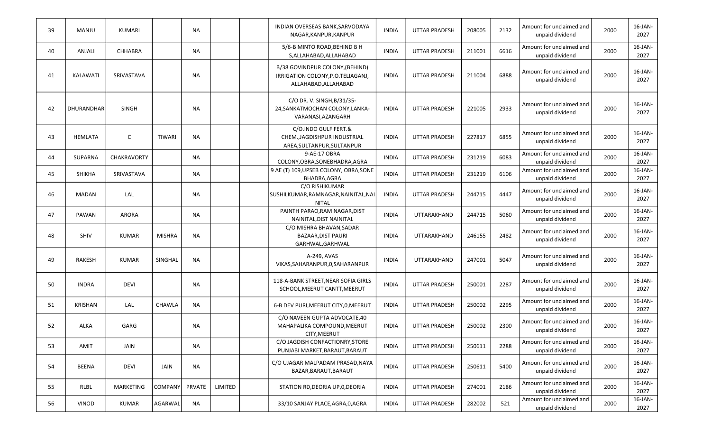| 39 | MANJU             | KUMARI         |               | <b>NA</b> |         | INDIAN OVERSEAS BANK, SARVODAYA<br>NAGAR, KANPUR, KANPUR                                     | <b>INDIA</b> | <b>UTTAR PRADESH</b> | 208005 | 2132 | Amount for unclaimed and<br>unpaid dividend | 2000 | 16-JAN-<br>2027    |
|----|-------------------|----------------|---------------|-----------|---------|----------------------------------------------------------------------------------------------|--------------|----------------------|--------|------|---------------------------------------------|------|--------------------|
| 40 | ANJALI            | <b>CHHABRA</b> |               | <b>NA</b> |         | 5/6-B MINTO ROAD, BEHIND B H<br>S, ALLAHABAD, ALLAHABAD                                      | <b>INDIA</b> | <b>UTTAR PRADESH</b> | 211001 | 6616 | Amount for unclaimed and<br>unpaid dividend | 2000 | 16-JAN-<br>2027    |
| 41 | <b>KALAWATI</b>   | SRIVASTAVA     |               | NA        |         | B/38 GOVINDPUR COLONY, (BEHIND)<br>IRRIGATION COLONY, P.O.TELIAGANJ,<br>ALLAHABAD, ALLAHABAD | <b>INDIA</b> | <b>UTTAR PRADESH</b> | 211004 | 6888 | Amount for unclaimed and<br>unpaid dividend | 2000 | 16-JAN-<br>2027    |
| 42 | <b>DHURANDHAR</b> | <b>SINGH</b>   |               | NA        |         | C/O DR. V. SINGH, B/31/35-<br>24, SANKATMOCHAN COLONY, LANKA-<br>VARANASI, AZANGARH          | <b>INDIA</b> | <b>UTTAR PRADESH</b> | 221005 | 2933 | Amount for unclaimed and<br>unpaid dividend | 2000 | 16-JAN-<br>2027    |
| 43 | <b>HEMLATA</b>    | $\mathsf{C}$   | <b>TIWARI</b> | <b>NA</b> |         | C/O.INDO GULF FERT.&<br>CHEM., JAGDISHPUR INDUSTRIAL<br>AREA, SULTANPUR, SULTANPUR           | <b>INDIA</b> | <b>UTTAR PRADESH</b> | 227817 | 6855 | Amount for unclaimed and<br>unpaid dividend | 2000 | $16$ -JAN-<br>2027 |
| 44 | SUPARNA           | CHAKRAVORTY    |               | <b>NA</b> |         | 9-AE-17 OBRA<br>COLONY, OBRA, SONEBHADRA, AGRA                                               | <b>INDIA</b> | <b>UTTAR PRADESH</b> | 231219 | 6083 | Amount for unclaimed and<br>unpaid dividend | 2000 | 16-JAN-<br>2027    |
| 45 | <b>SHIKHA</b>     | SRIVASTAVA     |               | <b>NA</b> |         | 9 AE (T) 109, UPSEB COLONY, OBRA, SONE<br>BHADRA, AGRA                                       | <b>INDIA</b> | <b>UTTAR PRADESH</b> | 231219 | 6106 | Amount for unclaimed and<br>unpaid dividend | 2000 | 16-JAN-<br>2027    |
| 46 | MADAN             | LAL            |               | <b>NA</b> |         | C/O RISHIKUMAR<br>SUSHILKUMAR, RAMNAGAR, NAINITAL, NAI<br><b>NITAL</b>                       | <b>INDIA</b> | <b>UTTAR PRADESH</b> | 244715 | 4447 | Amount for unclaimed and<br>unpaid dividend | 2000 | 16-JAN-<br>2027    |
| 47 | PAWAN             | <b>ARORA</b>   |               | <b>NA</b> |         | PAINTH PARAO, RAM NAGAR, DIST<br>NAINITAL, DIST NAINITAL                                     | <b>INDIA</b> | UTTARAKHAND          | 244715 | 5060 | Amount for unclaimed and<br>unpaid dividend | 2000 | 16-JAN-<br>2027    |
| 48 | <b>SHIV</b>       | <b>KUMAR</b>   | <b>MISHRA</b> | <b>NA</b> |         | C/O MISHRA BHAVAN, SADAR<br><b>BAZAAR, DIST PAURI</b><br>GARHWAL, GARHWAL                    | <b>INDIA</b> | UTTARAKHAND          | 246155 | 2482 | Amount for unclaimed and<br>unpaid dividend | 2000 | 16-JAN-<br>2027    |
| 49 | <b>RAKESH</b>     | <b>KUMAR</b>   | SINGHAL       | <b>NA</b> |         | A-249, AVAS<br>VIKAS, SAHARANPUR, O, SAHARANPUR                                              | <b>INDIA</b> | UTTARAKHAND          | 247001 | 5047 | Amount for unclaimed and<br>unpaid dividend | 2000 | 16-JAN-<br>2027    |
| 50 | <b>INDRA</b>      | <b>DEVI</b>    |               | <b>NA</b> |         | 118-A-BANK STREET, NEAR SOFIA GIRLS<br>SCHOOL, MEERUT CANTT, MEERUT                          | <b>INDIA</b> | UTTAR PRADESH        | 250001 | 2287 | Amount for unclaimed and<br>unpaid dividend | 2000 | $16$ -JAN-<br>2027 |
| 51 | <b>KRISHAN</b>    | LAL            | <b>CHAWLA</b> | <b>NA</b> |         | 6-B DEV PURI, MEERUT CITY, 0, MEERUT                                                         | <b>INDIA</b> | <b>UTTAR PRADESH</b> | 250002 | 2295 | Amount for unclaimed and<br>unpaid dividend | 2000 | 16-JAN-<br>2027    |
| 52 | ALKA              | GARG           |               | <b>NA</b> |         | C/O NAVEEN GUPTA ADVOCATE,40<br>MAHAPALIKA COMPOUND, MEERUT<br>CITY, MEERUT                  | <b>INDIA</b> | <b>UTTAR PRADESH</b> | 250002 | 2300 | Amount for unclaimed and<br>unpaid dividend | 2000 | 16-JAN-<br>2027    |
| 53 | AMIT              | JAIN           |               | NA        |         | C/O JAGDISH CONFACTIONRY, STORE<br>PUNJABI MARKET, BARAUT, BARAUT                            | <b>INDIA</b> | <b>UTTAR PRADESH</b> | 250611 | 2288 | Amount for unclaimed and<br>unpaid dividend | 2000 | 16-JAN-<br>2027    |
| 54 | <b>BEENA</b>      | <b>DEVI</b>    | JAIN          | <b>NA</b> |         | C/O UJAGAR MALPADAM PRASAD, NAYA<br>BAZAR, BARAUT, BARAUT                                    | <b>INDIA</b> | <b>UTTAR PRADESH</b> | 250611 | 5400 | Amount for unclaimed and<br>unpaid dividend | 2000 | 16-JAN-<br>2027    |
| 55 | RLBL              | MARKETING      | COMPANY       | PRVATE    | LIMITED | STATION RD, DEORIA UP, 0, DEORIA                                                             | <b>INDIA</b> | <b>UTTAR PRADESH</b> | 274001 | 2186 | Amount for unclaimed and<br>unpaid dividend | 2000 | 16-JAN-<br>2027    |
| 56 | VINOD             | KUMAR          | AGARWAL       | <b>NA</b> |         | 33/10 SANJAY PLACE, AGRA, 0, AGRA                                                            | <b>INDIA</b> | <b>UTTAR PRADESH</b> | 282002 | 521  | Amount for unclaimed and<br>unpaid dividend | 2000 | $16$ -JAN-<br>2027 |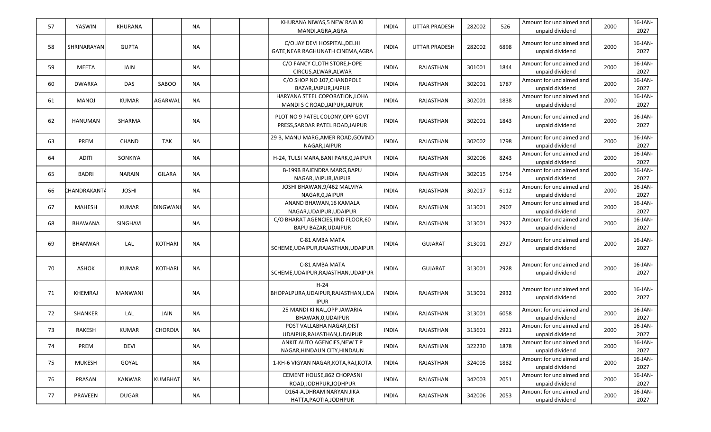| 57 | YASWIN               | KHURANA        |                 | NA        | KHURANA NIWAS,5 NEW RAJA KI<br>MANDI,AGRA,AGRA                       | INDIA        | UTTAR PRADESH        | 282002 | 526  | Amount for unclaimed and<br>unpaid dividend | 2000 | $16$ -JAN-<br>2027 |
|----|----------------------|----------------|-----------------|-----------|----------------------------------------------------------------------|--------------|----------------------|--------|------|---------------------------------------------|------|--------------------|
| 58 | SHRINARAYAN          | <b>GUPTA</b>   |                 | <b>NA</b> | C/O.JAY DEVI HOSPITAL, DELHI<br>GATE, NEAR RAGHUNATH CINEMA, AGRA    | <b>INDIA</b> | <b>UTTAR PRADESH</b> | 282002 | 6898 | Amount for unclaimed and<br>unpaid dividend | 2000 | 16-JAN-<br>2027    |
| 59 | <b>MEETA</b>         | JAIN           |                 | NA        | C/O FANCY CLOTH STORE, HOPE<br>CIRCUS, ALWAR, ALWAR                  | <b>INDIA</b> | RAJASTHAN            | 301001 | 1844 | Amount for unclaimed and<br>unpaid dividend | 2000 | 16-JAN-<br>2027    |
| 60 | <b>DWARKA</b>        | DAS            | <b>SABOO</b>    | <b>NA</b> | C/O SHOP NO 107, CHANDPOLE<br>BAZAR, JAIPUR, JAIPUR                  | <b>INDIA</b> | RAJASTHAN            | 302001 | 1787 | Amount for unclaimed and<br>unpaid dividend | 2000 | 16-JAN-<br>2027    |
| 61 | MANOJ                | KUMAR          | AGARWAL         | <b>NA</b> | HARYANA STEEL COPORATION, LOHA<br>MANDI S C ROAD, JAIPUR, JAIPUR     | <b>INDIA</b> | RAJASTHAN            | 302001 | 1838 | Amount for unclaimed and<br>unpaid dividend | 2000 | 16-JAN-<br>2027    |
| 62 | HANUMAN              | SHARMA         |                 | <b>NA</b> | PLOT NO 9 PATEL COLONY, OPP GOVT<br>PRESS, SARDAR PATEL ROAD, JAIPUR | <b>INDIA</b> | RAJASTHAN            | 302001 | 1843 | Amount for unclaimed and<br>unpaid dividend | 2000 | $16$ -JAN-<br>2027 |
| 63 | <b>PREM</b>          | <b>CHAND</b>   | TAK             | <b>NA</b> | 29 B, MANU MARG, AMER ROAD, GOVIND<br>NAGAR, JAIPUR                  | <b>INDIA</b> | RAJASTHAN            | 302002 | 1798 | Amount for unclaimed and<br>unpaid dividend | 2000 | 16-JAN-<br>2027    |
| 64 | ADITI                | SONKIYA        |                 | <b>NA</b> | H-24, TULSI MARA, BANI PARK, 0, JAIPUR                               | <b>INDIA</b> | RAJASTHAN            | 302006 | 8243 | Amount for unclaimed and<br>unpaid dividend | 2000 | 16-JAN-<br>2027    |
| 65 | BADRI                | <b>NARAIN</b>  | GILARA          | <b>NA</b> | <b>B-199B RAJENDRA MARG, BAPU</b><br>NAGAR, JAIPUR, JAIPUR           | <b>INDIA</b> | RAJASTHAN            | 302015 | 1754 | Amount for unclaimed and<br>unpaid dividend | 2000 | 16-JAN-<br>2027    |
| 66 | CHANDRAKANT <i>A</i> | <b>JOSHI</b>   |                 | ΝA        | JOSHI BHAWAN, 9/462 MALVIYA<br>NAGAR, 0, JAIPUR                      | <b>INDIA</b> | RAJASTHAN            | 302017 | 6112 | Amount for unclaimed and<br>unpaid dividend | 2000 | 16-JAN-<br>2027    |
| 67 | <b>MAHESH</b>        | KUMAR          | <b>DINGWANI</b> | <b>NA</b> | ANAND BHAWAN, 16 KAMALA<br>NAGAR, UDAIPUR, UDAIPUR                   | <b>INDIA</b> | RAJASTHAN            | 313001 | 2907 | Amount for unclaimed and<br>unpaid dividend | 2000 | 16-JAN-<br>2027    |
| 68 | <b>BHAWANA</b>       | SINGHAVI       |                 | NA        | C/O BHARAT AGENCIES, IIND FLOOR, 60<br><b>BAPU BAZAR, UDAIPUR</b>    | <b>INDIA</b> | RAJASTHAN            | 313001 | 2922 | Amount for unclaimed and<br>unpaid dividend | 2000 | 16-JAN-<br>2027    |
| 69 | <b>BHANWAR</b>       | LAL            | <b>KOTHARI</b>  | <b>NA</b> | C-81 AMBA MATA<br>SCHEME, UDAIPUR, RAJASTHAN, UDAIPUR                | <b>INDIA</b> | <b>GUJARAT</b>       | 313001 | 2927 | Amount for unclaimed and<br>unpaid dividend | 2000 | 16-JAN-<br>2027    |
| 70 | ASHOK                | <b>KUMAR</b>   | <b>KOTHARI</b>  | <b>NA</b> | C-81 AMBA MATA<br>SCHEME, UDAIPUR, RAJASTHAN, UDAIPUR                | <b>INDIA</b> | GUJARAT              | 313001 | 2928 | Amount for unclaimed and<br>unpaid dividend | 2000 | 16-JAN-<br>2027    |
| 71 | KHEMRAJ              | <b>MANWANI</b> |                 | <b>NA</b> | $H-24$<br>BHOPALPURA, UDAIPUR, RAJASTHAN, UDA<br><b>IPUR</b>         | <b>INDIA</b> | RAJASTHAN            | 313001 | 2932 | Amount for unclaimed and<br>unpaid dividend | 2000 | 16-JAN-<br>2027    |
| 72 | SHANKER              | LAL            | JAIN            | <b>NA</b> | 25 MANDI KI NAL, OPP JAWARIA<br>BHAWAN, 0, UDAIPUR                   | <b>INDIA</b> | RAJASTHAN            | 313001 | 6058 | Amount for unclaimed and<br>unpaid dividend | 2000 | 16-JAN-<br>2027    |
| 73 | RAKESH               | KUMAR          | <b>CHORDIA</b>  | <b>NA</b> | POST VALLABHA NAGAR, DIST<br>UDAIPUR, RAJASTHAN, UDAIPUR             | <b>INDIA</b> | RAJASTHAN            | 313601 | 2921 | Amount for unclaimed and<br>unpaid dividend | 2000 | $16$ -JAN-<br>2027 |
| 74 | PREM                 | <b>DEVI</b>    |                 | NA        | ANKIT AUTO AGENCIES, NEW T P<br>NAGAR, HINDAUN CITY, HINDAUN         | <b>INDIA</b> | RAJASTHAN            | 322230 | 1878 | Amount for unclaimed and<br>unpaid dividend | 2000 | 16-JAN-<br>2027    |
| 75 | <b>MUKESH</b>        | GOYAL          |                 | <b>NA</b> | 1-KH-6 VIGYAN NAGAR, KOTA, RAJ, KOTA                                 | <b>INDIA</b> | RAJASTHAN            | 324005 | 1882 | Amount for unclaimed and<br>unpaid dividend | 2000 | 16-JAN-<br>2027    |
| 76 | PRASAN               | <b>KANWAR</b>  | <b>KUMBHAT</b>  | NA        | CEMENT HOUSE, 862 CHOPASNI<br>ROAD, JODHPUR, JODHPUR                 | <b>INDIA</b> | RAJASTHAN            | 342003 | 2051 | Amount for unclaimed and<br>unpaid dividend | 2000 | 16-JAN-<br>2027    |
| 77 | PRAVEEN              | DUGAR          |                 | <b>NA</b> | D164-A, DHRAM NARYAN JIKA<br>HATTA, PAOTIA, JODHPUR                  | <b>INDIA</b> | RAJASTHAN            | 342006 | 2053 | Amount for unclaimed and<br>unpaid dividend | 2000 | $16$ -JAN-<br>2027 |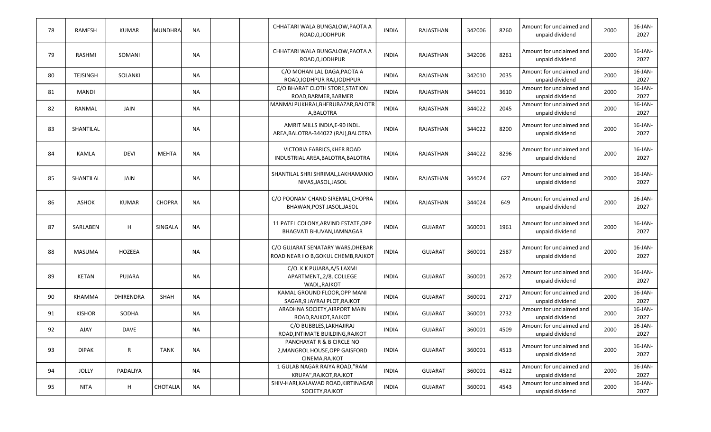| 78 | <b>RAMESH</b>   | <b>KUMAR</b>  | <b>MUNDHRA</b> | <b>NA</b> | CHHATARI WALA BUNGALOW, PAOTA A<br>ROAD, 0, JODHPUR                           | <b>INDIA</b> | RAJASTHAN      | 342006 | 8260 | Amount for unclaimed and<br>unpaid dividend | 2000 | 16-JAN-<br>2027    |
|----|-----------------|---------------|----------------|-----------|-------------------------------------------------------------------------------|--------------|----------------|--------|------|---------------------------------------------|------|--------------------|
| 79 | RASHMI          | SOMANI        |                | <b>NA</b> | CHHATARI WALA BUNGALOW, PAOTA A<br>ROAD, 0, JODHPUR                           | <b>INDIA</b> | RAJASTHAN      | 342006 | 8261 | Amount for unclaimed and<br>unpaid dividend | 2000 | 16-JAN-<br>2027    |
| 80 | <b>TEJSINGH</b> | SOLANKI       |                | NA        | C/O MOHAN LAL DAGA, PAOTA A<br>ROAD, JODHPUR RAJ, JODHPUR                     | <b>INDIA</b> | RAJASTHAN      | 342010 | 2035 | Amount for unclaimed and<br>unpaid dividend | 2000 | 16-JAN-<br>2027    |
| 81 | <b>MANDI</b>    |               |                | NA        | C/O BHARAT CLOTH STORE, STATION<br>ROAD, BARMER, BARMER                       | <b>INDIA</b> | RAJASTHAN      | 344001 | 3610 | Amount for unclaimed and<br>unpaid dividend | 2000 | $16$ -JAN-<br>2027 |
| 82 | RANMAL          | JAIN          |                | NA        | MANMALPUKHRAJ, BHERUBAZAR, BALOTR<br>A, BALOTRA                               | <b>INDIA</b> | RAJASTHAN      | 344022 | 2045 | Amount for unclaimed and<br>unpaid dividend | 2000 | 16-JAN-<br>2027    |
| 83 | SHANTILAL       |               |                | <b>NA</b> | AMRIT MILLS INDIA, E-90 INDL.<br>AREA, BALOTRA-344022 (RAJ), BALOTRA          | <b>INDIA</b> | RAJASTHAN      | 344022 | 8200 | Amount for unclaimed and<br>unpaid dividend | 2000 | 16-JAN-<br>2027    |
| 84 | <b>KAMLA</b>    | <b>DEVI</b>   | <b>MEHTA</b>   | <b>NA</b> | VICTORIA FABRICS, KHER ROAD<br>INDUSTRIAL AREA, BALOTRA, BALOTRA              | <b>INDIA</b> | RAJASTHAN      | 344022 | 8296 | Amount for unclaimed and<br>unpaid dividend | 2000 | 16-JAN-<br>2027    |
| 85 | SHANTILAL       | <b>JAIN</b>   |                | <b>NA</b> | SHANTILAL SHRI SHRIMAL, LAKHAMANIO<br>NIVAS, JASOL, JASOL                     | <b>INDIA</b> | RAJASTHAN      | 344024 | 627  | Amount for unclaimed and<br>unpaid dividend | 2000 | 16-JAN-<br>2027    |
| 86 | ASHOK           | <b>KUMAR</b>  | <b>CHOPRA</b>  | NA        | C/O POONAM CHAND SIREMAL, CHOPRA<br>BHAWAN, POST JASOL, JASOL                 | <b>INDIA</b> | RAJASTHAN      | 344024 | 649  | Amount for unclaimed and<br>unpaid dividend | 2000 | 16-JAN-<br>2027    |
| 87 | SARLABEN        | H             | SINGALA        | <b>NA</b> | 11 PATEL COLONY, ARVIND ESTATE, OPP<br>BHAGVATI BHUVAN, JAMNAGAR              | <b>INDIA</b> | <b>GUJARAT</b> | 360001 | 1961 | Amount for unclaimed and<br>unpaid dividend | 2000 | 16-JAN-<br>2027    |
| 88 | <b>MASUMA</b>   | <b>HOZEEA</b> |                | <b>NA</b> | C/O GUJARAT SENATARY WARS, DHEBAR<br>ROAD NEAR I O B, GOKUL CHEMB, RAJKOT     | <b>INDIA</b> | <b>GUJARAT</b> | 360001 | 2587 | Amount for unclaimed and<br>unpaid dividend | 2000 | 16-JAN-<br>2027    |
| 89 | <b>KETAN</b>    | PUJARA        |                | <b>NA</b> | C/O. K K PUJARA, A/5 LAXMI<br>APARTMENT,, 2/8, COLLEGE<br>WADI,, RAJKOT       | <b>INDIA</b> | <b>GUJARAT</b> | 360001 | 2672 | Amount for unclaimed and<br>unpaid dividend | 2000 | $16$ -JAN-<br>2027 |
| 90 | <b>KHAMMA</b>   | DHIRENDRA     | SHAH           | <b>NA</b> | KAMAL GROUND FLOOR, OPP MANI<br>SAGAR, 9 JAYRAJ PLOT, RAJKOT                  | <b>INDIA</b> | <b>GUJARAT</b> | 360001 | 2717 | Amount for unclaimed and<br>unpaid dividend | 2000 | 16-JAN-<br>2027    |
| 91 | <b>KISHOR</b>   | SODHA         |                | <b>NA</b> | ARADHNA SOCIETY, AIRPORT MAIN<br>ROAD, RAJKOT, RAJKOT                         | <b>INDIA</b> | <b>GUJARAT</b> | 360001 | 2732 | Amount for unclaimed and<br>unpaid dividend | 2000 | 16-JAN-<br>2027    |
| 92 | AJAY            | <b>DAVE</b>   |                | <b>NA</b> | C/O BUBBLES, LAKHAJIRAJ<br>ROAD, INTIMATE BUILDING, RAJKOT                    | <b>INDIA</b> | <b>GUJARAT</b> | 360001 | 4509 | Amount for unclaimed and<br>unpaid dividend | 2000 | 16-JAN-<br>2027    |
| 93 | <b>DIPAK</b>    | R             | TANK           | <b>NA</b> | PANCHAYAT R & B CIRCLE NO<br>2, MANGROL HOUSE, OPP GAISFORD<br>CINEMA, RAJKOT | <b>INDIA</b> | <b>GUJARAT</b> | 360001 | 4513 | Amount for unclaimed and<br>unpaid dividend | 2000 | 16-JAN-<br>2027    |
| 94 | JOLLY           | PADALIYA      |                | NA        | 1 GULAB NAGAR RAIYA ROAD,"RAM<br>KRUPA", RAJKOT, RAJKOT                       | <b>INDIA</b> | <b>GUJARAT</b> | 360001 | 4522 | Amount for unclaimed and<br>unpaid dividend | 2000 | 16-JAN-<br>2027    |
| 95 | <b>NITA</b>     | H             | CHOTALIA       | <b>NA</b> | SHIV-HARI, KALAWAD ROAD, KIRTINAGAR<br>SOCIETY, RAJKOT                        | <b>INDIA</b> | <b>GUJARAT</b> | 360001 | 4543 | Amount for unclaimed and<br>unpaid dividend | 2000 | 16-JAN-<br>2027    |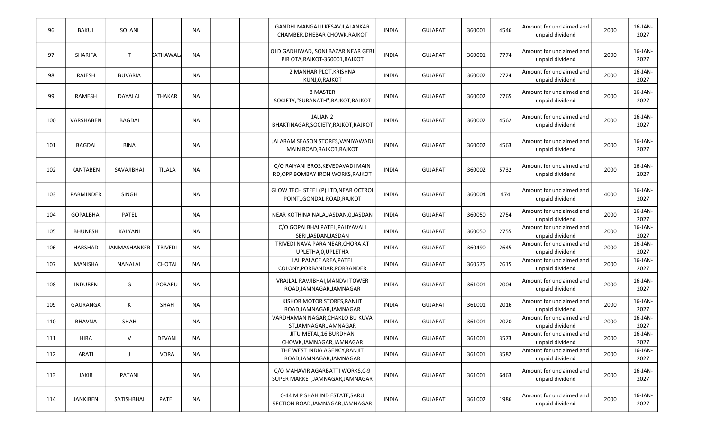| 96  | <b>BAKUL</b>     | SOLANI         |                | <b>NA</b> | GANDHI MANGALJI KESAVJI, ALANKAR<br>CHAMBER, DHEBAR CHOWK, RAJKOT      | <b>INDIA</b> | <b>GUJARAT</b> | 360001 | 4546 | Amount for unclaimed and<br>unpaid dividend | 2000 | $16$ -JAN-<br>2027 |
|-----|------------------|----------------|----------------|-----------|------------------------------------------------------------------------|--------------|----------------|--------|------|---------------------------------------------|------|--------------------|
| 97  | <b>SHARIFA</b>   | T              | kathawal       | <b>NA</b> | OLD GADHIWAD, SONI BAZAR, NEAR GEBI<br>PIR OTA, RAJKOT-360001, RAJKOT  | <b>INDIA</b> | <b>GUJARAT</b> | 360001 | 7774 | Amount for unclaimed and<br>unpaid dividend | 2000 | 16-JAN-<br>2027    |
| 98  | RAJESH           | <b>BUVARIA</b> |                | <b>NA</b> | 2 MANHAR PLOT, KRISHNA<br>KUNJ, 0, RAJKOT                              | <b>INDIA</b> | <b>GUJARAT</b> | 360002 | 2724 | Amount for unclaimed and<br>unpaid dividend | 2000 | 16-JAN-<br>2027    |
| 99  | RAMESH           | DAYALAL        | <b>THAKAR</b>  | <b>NA</b> | 8 MASTER<br>SOCIETY,"SURANATH", RAJKOT, RAJKOT                         | <b>INDIA</b> | <b>GUJARAT</b> | 360002 | 2765 | Amount for unclaimed and<br>unpaid dividend | 2000 | 16-JAN-<br>2027    |
| 100 | VARSHABEN        | <b>BAGDAI</b>  |                | NA        | <b>JALIAN 2</b><br>BHAKTINAGAR, SOCIETY, RAJKOT, RAJKOT                | <b>INDIA</b> | <b>GUJARAT</b> | 360002 | 4562 | Amount for unclaimed and<br>unpaid dividend | 2000 | 16-JAN-<br>2027    |
| 101 | BAGDAI           | BINA           |                | <b>NA</b> | JALARAM SEASON STORES, VANIYAWADI<br>MAIN ROAD, RAJKOT, RAJKOT         | <b>INDIA</b> | <b>GUJARAT</b> | 360002 | 4563 | Amount for unclaimed and<br>unpaid dividend | 2000 | 16-JAN-<br>2027    |
| 102 | <b>KANTABEN</b>  | SAVAJIBHAI     | <b>TILALA</b>  | <b>NA</b> | C/O RAIYANI BROS, KEVEDAVADI MAIN<br>RD, OPP BOMBAY IRON WORKS, RAJKOT | <b>INDIA</b> | <b>GUJARAT</b> | 360002 | 5732 | Amount for unclaimed and<br>unpaid dividend | 2000 | 16-JAN-<br>2027    |
| 103 | PARMINDER        | <b>SINGH</b>   |                | <b>NA</b> | GLOW TECH STEEL (P) LTD, NEAR OCTROI<br>POINT, GONDAL ROAD, RAJKOT     | <b>INDIA</b> | <b>GUJARAT</b> | 360004 | 474  | Amount for unclaimed and<br>unpaid dividend | 4000 | 16-JAN-<br>2027    |
| 104 | <b>GOPALBHAI</b> | PATEL          |                | NA        | NEAR KOTHINA NALA, JASDAN, 0, JASDAN                                   | <b>INDIA</b> | <b>GUJARAT</b> | 360050 | 2754 | Amount for unclaimed and<br>unpaid dividend | 2000 | 16-JAN-<br>2027    |
| 105 | <b>BHUNESH</b>   | KALYANI        |                | <b>NA</b> | C/O GOPALBHAI PATEL, PALIYAVALI<br>SERI, JASDAN, JASDAN                | <b>INDIA</b> | <b>GUJARAT</b> | 360050 | 2755 | Amount for unclaimed and<br>unpaid dividend | 2000 | 16-JAN-<br>2027    |
| 106 | HARSHAD          | JANMASHANKER   | <b>TRIVEDI</b> | <b>NA</b> | TRIVEDI NAVA PARA NEAR, CHORA AT<br>UPLETHA, 0, UPLETHA                | <b>INDIA</b> | GUJARAT        | 360490 | 2645 | Amount for unclaimed and<br>unpaid dividend | 2000 | 16-JAN-<br>2027    |
| 107 | MANISHA          | NANALAL        | <b>CHOTAI</b>  | <b>NA</b> | LAL PALACE AREA, PATEL<br>COLONY, PORBANDAR, PORBANDER                 | <b>INDIA</b> | <b>GUJARAT</b> | 360575 | 2615 | Amount for unclaimed and<br>unpaid dividend | 2000 | 16-JAN-<br>2027    |
| 108 | <b>INDUBEN</b>   | G              | POBARU         | <b>NA</b> | VRAJLAL RAVJIBHAI, MANDVI TOWER<br>ROAD, JAMNAGAR, JAMNAGAR            | <b>INDIA</b> | <b>GUJARAT</b> | 361001 | 2004 | Amount for unclaimed and<br>unpaid dividend | 2000 | $16$ -JAN-<br>2027 |
| 109 | GAURANGA         | Κ              | SHAH           | <b>NA</b> | KISHOR MOTOR STORES, RANJIT<br>ROAD, JAMNAGAR, JAMNAGAR                | <b>INDIA</b> | GUJARAT        | 361001 | 2016 | Amount for unclaimed and<br>unpaid dividend | 2000 | 16-JAN-<br>2027    |
| 110 | BHAVNA           | <b>SHAH</b>    |                | <b>NA</b> | VARDHAMAN NAGAR, CHAKLO BU KUVA<br>ST, JAMNAGAR, JAMNAGAR              | <b>INDIA</b> | <b>GUJARAT</b> | 361001 | 2020 | Amount for unclaimed and<br>unpaid dividend | 2000 | 16-JAN-<br>2027    |
| 111 | <b>HIRA</b>      | $\vee$         | <b>DEVANI</b>  | <b>NA</b> | JITU METAL, 16 BURDHAN<br>CHOWK, JAMNAGAR, JAMNAGAR                    | <b>INDIA</b> | <b>GUJARAT</b> | 361001 | 3573 | Amount for unclaimed and<br>unpaid dividend | 2000 | $16$ -JAN-<br>2027 |
| 112 | ARATI            | J              | <b>VORA</b>    | NA        | THE WEST INDIA AGENCY, RANJIT<br>ROAD, JAMNAGAR, JAMNAGAR              | <b>INDIA</b> | <b>GUJARAT</b> | 361001 | 3582 | Amount for unclaimed and<br>unpaid dividend | 2000 | 16-JAN-<br>2027    |
| 113 | JAKIR            | <b>PATANI</b>  |                | NA        | C/O MAHAVIR AGARBATTI WORKS, C-9<br>SUPER MARKET, JAMNAGAR, JAMNAGAR   | <b>INDIA</b> | GUJARAT        | 361001 | 6463 | Amount for unclaimed and<br>unpaid dividend | 2000 | 16-JAN-<br>2027    |
| 114 | JANKIBEN         | SATISHBHAI     | PATEL          | <b>NA</b> | C-44 M P SHAH IND ESTATE, SARU<br>SECTION ROAD, JAMNAGAR, JAMNAGAR     | <b>INDIA</b> | GUJARAT        | 361002 | 1986 | Amount for unclaimed and<br>unpaid dividend | 2000 | $16$ -JAN-<br>2027 |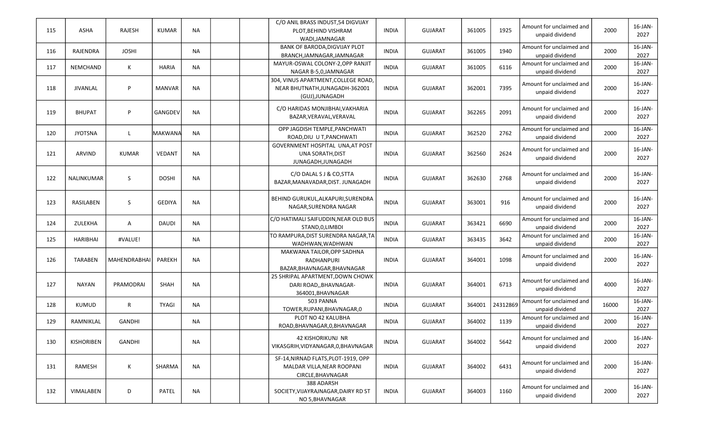| 115 | ASHA             | <b>RAJESH</b> | <b>KUMAR</b>  | <b>NA</b> | C/O ANIL BRASS INDUST, 54 DIGVIJAY<br>PLOT, BEHIND VISHRAM<br>WADI, JAMNAGAR             | <b>INDIA</b> | <b>GUJARAT</b> | 361005 | 1925     | Amount for unclaimed and<br>unpaid dividend | 2000  | $16$ -JAN-<br>2027 |
|-----|------------------|---------------|---------------|-----------|------------------------------------------------------------------------------------------|--------------|----------------|--------|----------|---------------------------------------------|-------|--------------------|
| 116 | RAJENDRA         | <b>JOSHI</b>  |               | <b>NA</b> | <b>BANK OF BARODA, DIGVIJAY PLOT</b><br>BRANCH, JAMNAGAR, JAMNAGAR                       | <b>INDIA</b> | <b>GUJARAT</b> | 361005 | 1940     | Amount for unclaimed and<br>unpaid dividend | 2000  | 16-JAN-<br>2027    |
| 117 | <b>NEMCHAND</b>  | Κ             | <b>HARIA</b>  | <b>NA</b> | MAYUR-OSWAL COLONY-2, OPP RANJIT<br>NAGAR B-5,0,JAMNAGAR                                 | <b>INDIA</b> | <b>GUJARAT</b> | 361005 | 6116     | Amount for unclaimed and<br>unpaid dividend | 2000  | 16-JAN-<br>2027    |
| 118 | <b>JIVANLAL</b>  | P             | <b>MANVAR</b> | <b>NA</b> | 304, VINUS APARTMENT, COLLEGE ROAD,<br>NEAR BHUTNATH, JUNAGADH-362001<br>(GUJ), JUNAGADH | <b>INDIA</b> | <b>GUJARAT</b> | 362001 | 7395     | Amount for unclaimed and<br>unpaid dividend | 2000  | 16-JAN-<br>2027    |
| 119 | <b>BHUPAT</b>    | P             | GANGDEV       | <b>NA</b> | C/O HARIDAS MONJIBHAI, VAKHARIA<br>BAZAR, VERAVAL, VERAVAL                               | <b>INDIA</b> | <b>GUJARAT</b> | 362265 | 2091     | Amount for unclaimed and<br>unpaid dividend | 2000  | 16-JAN-<br>2027    |
| 120 | <b>JYOTSNA</b>   | L             | MAKWANA       | <b>NA</b> | OPP JAGDISH TEMPLE, PANCHWATI<br>ROAD, DIU U T, PANCHWATI                                | <b>INDIA</b> | <b>GUJARAT</b> | 362520 | 2762     | Amount for unclaimed and<br>unpaid dividend | 2000  | 16-JAN-<br>2027    |
| 121 | ARVIND           | <b>KUMAR</b>  | VEDANT        | <b>NA</b> | <b>GOVERNMENT HOSPITAL UNA, AT POST</b><br>UNA SORATH, DIST<br>JUNAGADH, JUNAGADH        | <b>INDIA</b> | <b>GUJARAT</b> | 362560 | 2624     | Amount for unclaimed and<br>unpaid dividend | 2000  | 16-JAN-<br>2027    |
| 122 | NALINKUMAR       | S.            | <b>DOSHI</b>  | <b>NA</b> | C/O DALAL S J & CO, STTA<br>BAZAR, MANAVADAR, DIST. JUNAGADH                             | <b>INDIA</b> | <b>GUJARAT</b> | 362630 | 2768     | Amount for unclaimed and<br>unpaid dividend | 2000  | 16-JAN-<br>2027    |
| 123 | <b>RASILABEN</b> | S.            | <b>GEDIYA</b> | <b>NA</b> | BEHIND GURUKUL, ALKAPURI, SURENDRA<br>NAGAR, SURENDRA NAGAR                              | <b>INDIA</b> | <b>GUJARAT</b> | 363001 | 916      | Amount for unclaimed and<br>unpaid dividend | 2000  | 16-JAN-<br>2027    |
| 124 | ZULEKHA          | Α             | DAUDI         | NA        | C/O HATIMALI SAIFUDDIN, NEAR OLD BUS<br>STAND, 0, LIMBDI                                 | <b>INDIA</b> | <b>GUJARAT</b> | 363421 | 6690     | Amount for unclaimed and<br>unpaid dividend | 2000  | 16-JAN-<br>2027    |
| 125 | HARIBHAI         | #VALUE!       |               | NA        | TO RAMPURA, DIST SURENDRA NAGAR, TA<br>WADHWAN, WADHWAN                                  | <b>INDIA</b> | <b>GUJARAT</b> | 363435 | 3642     | Amount for unclaimed and<br>unpaid dividend | 2000  | 16-JAN-<br>2027    |
| 126 | <b>TARABEN</b>   | MAHENDRABHAI  | PAREKH        | <b>NA</b> | MAKWANA TAILOR, OPP SADHNA<br>RADHANPURI<br>BAZAR, BHAVNAGAR, BHAVNAGAR                  | <b>INDIA</b> | <b>GUJARAT</b> | 364001 | 1098     | Amount for unclaimed and<br>unpaid dividend | 2000  | 16-JAN-<br>2027    |
| 127 | <b>NAYAN</b>     | PRAMODRAI     | SHAH          | <b>NA</b> | 25 SHRIPAL APARTMENT, DOWN CHOWK<br>DARI ROAD,, BHAVNAGAR-<br>364001, BHAVNAGAR          | <b>INDIA</b> | <b>GUJARAT</b> | 364001 | 6713     | Amount for unclaimed and<br>unpaid dividend | 4000  | 16-JAN-<br>2027    |
| 128 | <b>KUMUD</b>     | R             | <b>TYAGI</b>  | <b>NA</b> | 503 PANNA<br>TOWER, RUPANI, BHAVNAGAR, 0                                                 | <b>INDIA</b> | <b>GUJARAT</b> | 364001 | 24312869 | Amount for unclaimed and<br>unpaid dividend | 16000 | 16-JAN-<br>2027    |
| 129 | RAMNIKLAL        | GANDHI        |               | NA        | PLOT NO 42 KALUBHA<br>ROAD, BHAVNAGAR, 0, BHAVNAGAR                                      | <b>INDIA</b> | <b>GUJARAT</b> | 364002 | 1139     | Amount for unclaimed and<br>unpaid dividend | 2000  | 16-JAN-<br>2027    |
| 130 | KISHORIBEN       | <b>GANDHI</b> |               | NA        | 42 KISHORIKUNJ NR<br>VIKASGRIH,VIDYANAGAR,0,BHAVNAGAR                                    | <b>INDIA</b> | <b>GUJARAT</b> | 364002 | 5642     | Amount for unclaimed and<br>unpaid dividend | 2000  | 16-JAN-<br>2027    |
| 131 | RAMESH           | Κ             | SHARMA        | <b>NA</b> | SF-14, NIRNAD FLATS, PLOT-1919, OPP<br>MALDAR VILLA, NEAR ROOPANI<br>CIRCLE, BHAVNAGAR   | <b>INDIA</b> | <b>GUJARAT</b> | 364002 | 6431     | Amount for unclaimed and<br>unpaid dividend | 2000  | 16-JAN-<br>2027    |
| 132 | VIMALABEN        | D             | PATEL         | <b>NA</b> | 388 ADARSH<br>SOCIETY, VIJAYRAJNAGAR, DAIRY RD ST<br>NO 5, BHAVNAGAR                     | <b>INDIA</b> | GUJARAT        | 364003 | 1160     | Amount for unclaimed and<br>unpaid dividend | 2000  | 16-JAN-<br>2027    |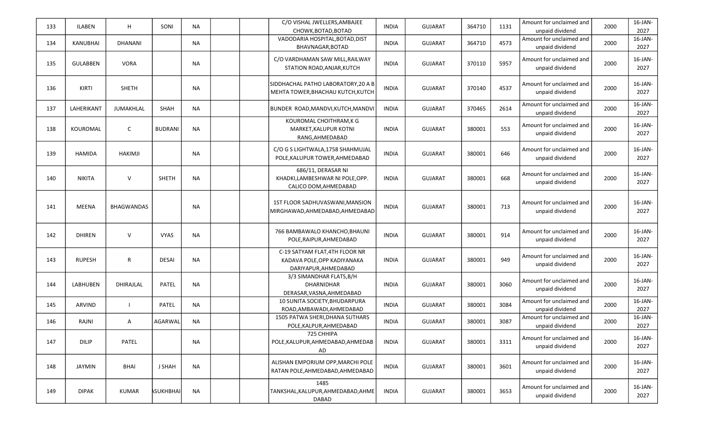| 133 | <b>ILABEN</b>   | H                 | SONI            | <b>NA</b> | C/O VISHAL JWELLERS, AMBAJEE<br>CHOWK, BOTAD, BOTAD                                   | <b>INDIA</b> | <b>GUJARAT</b> | 364710 | 1131 | Amount for unclaimed and<br>unpaid dividend | 2000 | $16$ -JAN-<br>2027 |
|-----|-----------------|-------------------|-----------------|-----------|---------------------------------------------------------------------------------------|--------------|----------------|--------|------|---------------------------------------------|------|--------------------|
| 134 | KANUBHAI        | DHANANI           |                 | <b>NA</b> | VADODARIA HOSPITAL, BOTAD, DIST<br>BHAVNAGAR, BOTAD                                   | <b>INDIA</b> | <b>GUJARAT</b> | 364710 | 4573 | Amount for unclaimed and<br>unpaid dividend | 2000 | 16-JAN-<br>2027    |
| 135 | <b>GULABBEN</b> | <b>VORA</b>       |                 | <b>NA</b> | C/O VARDHAMAN SAW MILL, RAILWAY<br>STATION ROAD, ANJAR, KUTCH                         | <b>INDIA</b> | <b>GUJARAT</b> | 370110 | 5957 | Amount for unclaimed and<br>unpaid dividend | 2000 | 16-JAN-<br>2027    |
| 136 | KIRTI           | <b>SHETH</b>      |                 | <b>NA</b> | SIDDHACHAL PATHO LABORATORY, 20 A B<br>MEHTA TOWER, BHACHAU KUTCH, KUTCH              | <b>INDIA</b> | <b>GUJARAT</b> | 370140 | 4537 | Amount for unclaimed and<br>unpaid dividend | 2000 | 16-JAN-<br>2027    |
| 137 | LAHERIKANT      | JUMAKHLAL         | SHAH            | <b>NA</b> | BUNDER ROAD, MANDVI, KUTCH, MANDVI                                                    | <b>INDIA</b> | <b>GUJARAT</b> | 370465 | 2614 | Amount for unclaimed and<br>unpaid dividend | 2000 | 16-JAN-<br>2027    |
| 138 | KOUROMAL        | C                 | <b>BUDRANI</b>  | <b>NA</b> | KOUROMAL CHOITHRAM, K G<br>MARKET, KALUPUR KOTNI<br>RANG, AHMEDABAD                   | <b>INDIA</b> | GUJARAT        | 380001 | 553  | Amount for unclaimed and<br>unpaid dividend | 2000 | 16-JAN-<br>2027    |
| 139 | <b>HAMIDA</b>   | HAKIMJI           |                 | <b>NA</b> | C/O G S LIGHTWALA, 1758 SHAHMUJAL<br>POLE, KALUPUR TOWER, AHMEDABAD                   | <b>INDIA</b> | <b>GUJARAT</b> | 380001 | 646  | Amount for unclaimed and<br>unpaid dividend | 2000 | 16-JAN-<br>2027    |
| 140 | <b>NIKITA</b>   | $\vee$            | <b>SHETH</b>    | <b>NA</b> | 686/11, DERASAR NI<br>KHADKI,LAMBESHWAR NI POLE,OPP.<br>CALICO DOM, AHMEDABAD         | <b>INDIA</b> | <b>GUJARAT</b> | 380001 | 668  | Amount for unclaimed and<br>unpaid dividend | 2000 | 16-JAN-<br>2027    |
| 141 | <b>MEENA</b>    | <b>BHAGWANDAS</b> |                 | <b>NA</b> | 1ST FLOOR SADHUVASWANI, MANSION<br>MIRGHAWAD, AHMEDABAD, AHMEDABAD                    | <b>INDIA</b> | <b>GUJARAT</b> | 380001 | 713  | Amount for unclaimed and<br>unpaid dividend | 2000 | 16-JAN-<br>2027    |
| 142 | <b>DHIREN</b>   | $\vee$            | <b>VYAS</b>     | NA        | 766 BAMBAWALO KHANCHO, BHAUNI<br>POLE, RAIPUR, AHMEDABAD                              | <b>INDIA</b> | <b>GUJARAT</b> | 380001 | 914  | Amount for unclaimed and<br>unpaid dividend | 2000 | 16-JAN-<br>2027    |
| 143 | <b>RUPESH</b>   | R                 | <b>DESAI</b>    | <b>NA</b> | C-19 SATYAM FLAT, 4TH FLOOR NR<br>KADAVA POLE, OPP KADIYANAKA<br>DARIYAPUR, AHMEDABAD | <b>INDIA</b> | <b>GUJARAT</b> | 380001 | 949  | Amount for unclaimed and<br>unpaid dividend | 2000 | 16-JAN-<br>2027    |
| 144 | <b>LABHUBEN</b> | DHIRAJLAL         | <b>PATEL</b>    | <b>NA</b> | 3/3 SIMANDHAR FLATS, B/H<br><b>DHARNIDHAR</b><br>DERASAR, VASNA, AHMEDABAD            | <b>INDIA</b> | <b>GUJARAT</b> | 380001 | 3060 | Amount for unclaimed and<br>unpaid dividend | 2000 | 16-JAN-<br>2027    |
| 145 | ARVIND          |                   | PATEL           | <b>NA</b> | 10 SUNITA SOCIETY, BHUDARPURA<br>ROAD, AMBAWADI, AHMEDABAD                            | <b>INDIA</b> | <b>GUJARAT</b> | 380001 | 3084 | Amount for unclaimed and<br>unpaid dividend | 2000 | 16-JAN-<br>2027    |
| 146 | RAJNI           | A                 | AGARWAL         | <b>NA</b> | 1505 PATWA SHERI, DHANA SUTHARS<br>POLE, KALPUR, AHMEDABAD                            | <b>INDIA</b> | <b>GUJARAT</b> | 380001 | 3087 | Amount for unclaimed and<br>unpaid dividend | 2000 | 16-JAN-<br>2027    |
| 147 | DILIP           | PATEL             |                 | <b>NA</b> | 725 CHHIPA<br>POLE, KALUPUR, AHMEDABAD, AHMEDAB<br>AD                                 | <b>INDIA</b> | <b>GUJARAT</b> | 380001 | 3311 | Amount for unclaimed and<br>unpaid dividend | 2000 | 16-JAN-<br>2027    |
| 148 | JAYMIN          | BHAI              | J SHAH          | <b>NA</b> | ALISHAN EMPORIUM OPP, MARCHI POLE<br>RATAN POLE, AHMEDABAD, AHMEDABAD                 | <b>INDIA</b> | GUJARAT        | 380001 | 3601 | Amount for unclaimed and<br>unpaid dividend | 2000 | 16-JAN-<br>2027    |
| 149 | <b>DIPAK</b>    | KUMAR             | <b>SUKHBHAI</b> | <b>NA</b> | 1485<br>TANKSHAL, KALUPUR, AHMEDABAD, AHME<br>DABAD                                   | <b>INDIA</b> | GUJARAT        | 380001 | 3653 | Amount for unclaimed and<br>unpaid dividend | 2000 | 16-JAN-<br>2027    |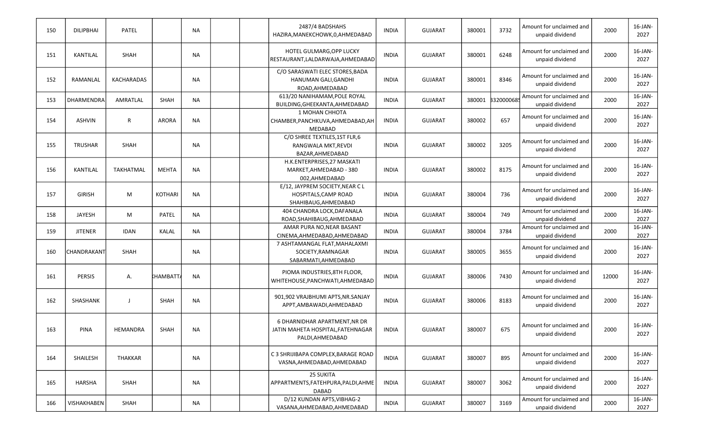| 150 | <b>DILIPBHAI</b> | PATEL             |                | <b>NA</b> | 2487/4 BADSHAHS<br>HAZIRA, MANEKCHOWK, 0, AHMEDABAD                                    | <b>INDIA</b> | <b>GUJARAT</b> | 380001 | 3732      | Amount for unclaimed and<br>unpaid dividend | 2000  | $16$ -JAN-<br>2027 |
|-----|------------------|-------------------|----------------|-----------|----------------------------------------------------------------------------------------|--------------|----------------|--------|-----------|---------------------------------------------|-------|--------------------|
| 151 | <b>KANTILAL</b>  | SHAH              |                | <b>NA</b> | HOTEL GULMARG, OPP LUCKY<br>RESTAURANT, LALDARWAJA, AHMEDABAD                          | <b>INDIA</b> | <b>GUJARAT</b> | 380001 | 6248      | Amount for unclaimed and<br>unpaid dividend | 2000  | 16-JAN-<br>2027    |
| 152 | RAMANLAL         | <b>KACHARADAS</b> |                | <b>NA</b> | C/O SARASWATI ELEC STORES, BADA<br>HANUMAN GALI, GANDHI<br>ROAD.AHMEDABAD              | <b>INDIA</b> | <b>GUJARAT</b> | 380001 | 8346      | Amount for unclaimed and<br>unpaid dividend | 2000  | 16-JAN-<br>2027    |
| 153 | DHARMENDRA       | AMRATLAL          | <b>SHAH</b>    | <b>NA</b> | 613/20 NANIHAMAM, POLE ROYAL<br>BUILDING, GHEEKANTA, AHMEDABAD                         | <b>INDIA</b> | <b>GUJARAT</b> | 380001 | 332000068 | Amount for unclaimed and<br>unpaid dividend | 2000  | 16-JAN-<br>2027    |
| 154 | <b>ASHVIN</b>    | R                 | <b>ARORA</b>   | <b>NA</b> | 1 MOHAN CHHOTA<br>CHAMBER, PANCHKUVA, AHMEDABAD, AH<br>MEDABAD                         | <b>INDIA</b> | <b>GUJARAT</b> | 380002 | 657       | Amount for unclaimed and<br>unpaid dividend | 2000  | 16-JAN-<br>2027    |
| 155 | <b>TRUSHAR</b>   | SHAH              |                | <b>NA</b> | C/O SHREE TEXTILES, 1ST FLR, 6<br>RANGWALA MKT, REVDI<br>BAZAR, AHMEDABAD              | <b>INDIA</b> | <b>GUJARAT</b> | 380002 | 3205      | Amount for unclaimed and<br>unpaid dividend | 2000  | 16-JAN-<br>2027    |
| 156 | <b>KANTILAL</b>  | <b>TAKHATMAL</b>  | <b>MEHTA</b>   | <b>NA</b> | H.K.ENTERPRISES, 27 MASKATI<br>MARKET, AHMEDABAD - 380<br>002,AHMEDABAD                | <b>INDIA</b> | <b>GUJARAT</b> | 380002 | 8175      | Amount for unclaimed and<br>unpaid dividend | 2000  | 16-JAN-<br>2027    |
| 157 | <b>GIRISH</b>    | M                 | <b>KOTHARI</b> | <b>NA</b> | E/12, JAYPREM SOCIETY, NEAR C L<br>HOSPITALS, CAMP ROAD<br>SHAHIBAUG, AHMEDABAD        | <b>INDIA</b> | <b>GUJARAT</b> | 380004 | 736       | Amount for unclaimed and<br>unpaid dividend | 2000  | 16-JAN-<br>2027    |
| 158 | JAYESH           | M                 | PATEL          | <b>NA</b> | 404 CHANDRA LOCK, DAFANALA<br>ROAD, SHAHIBAUG, AHMEDABAD                               | <b>INDIA</b> | <b>GUJARAT</b> | 380004 | 749       | Amount for unclaimed and<br>unpaid dividend | 2000  | 16-JAN-<br>2027    |
| 159 | <b>JITENER</b>   | <b>IDAN</b>       | KALAL          | <b>NA</b> | AMAR PURA NO, NEAR BASANT<br>CINEMA, AHMEDABAD, AHMEDABAD                              | <b>INDIA</b> | <b>GUJARAT</b> | 380004 | 3784      | Amount for unclaimed and<br>unpaid dividend | 2000  | 16-JAN-<br>2027    |
| 160 | CHANDRAKANT      | SHAH              |                | <b>NA</b> | 7 ASHTAMANGAL FLAT, MAHALAXMI<br>SOCIETY, RAMNAGAR<br>SABARMATI, AHMEDABAD             | <b>INDIA</b> | GUJARAT        | 380005 | 3655      | Amount for unclaimed and<br>unpaid dividend | 2000  | 16-JAN-<br>2027    |
| 161 | <b>PERSIS</b>    | Α.                | HAMBATTA:      | <b>NA</b> | PIOMA INDUSTRIES, 8TH FLOOR,<br>WHITEHOUSE, PANCHWATI, AHMEDABAD                       | <b>INDIA</b> | <b>GUJARAT</b> | 380006 | 7430      | Amount for unclaimed and<br>unpaid dividend | 12000 | 16-JAN-<br>2027    |
| 162 | SHASHANK         | $\mathbf{I}$      | SHAH           | <b>NA</b> | 901,902 VRAJBHUMI APTS, NR. SANJAY<br>APPT, AMBAWADI, AHMEDABAD                        | <b>INDIA</b> | <b>GUJARAT</b> | 380006 | 8183      | Amount for unclaimed and<br>unpaid dividend | 2000  | 16-JAN-<br>2027    |
| 163 | <b>PINA</b>      | HEMANDRA          | SHAH           | <b>NA</b> | 6 DHARNIDHAR APARTMENT, NR DR<br>JATIN MAHETA HOSPITAL, FATEHNAGAR<br>PALDI, AHMEDABAD | <b>INDIA</b> | <b>GUJARAT</b> | 380007 | 675       | Amount for unclaimed and<br>unpaid dividend | 2000  | 16-JAN-<br>2027    |
| 164 | SHAILESH         | THAKKAR           |                | <b>NA</b> | C 3 SHRIJIBAPA COMPLEX, BARAGE ROAD<br>VASNA, AHMEDABAD, AHMEDABAD                     | <b>INDIA</b> | <b>GUJARAT</b> | 380007 | 895       | Amount for unclaimed and<br>unpaid dividend | 2000  | 16-JAN-<br>2027    |
| 165 | <b>HARSHA</b>    | SHAH              |                | <b>NA</b> | <b>25 SUKITA</b><br>APPARTMENTS, FATEHPURA, PALDI, AHME<br><b>DABAD</b>                | <b>INDIA</b> | <b>GUJARAT</b> | 380007 | 3062      | Amount for unclaimed and<br>unpaid dividend | 2000  | 16-JAN-<br>2027    |
| 166 | VISHAKHABEN      | SHAH              |                | <b>NA</b> | D/12 KUNDAN APTS, VIBHAG-2<br>VASANA, AHMEDABAD, AHMEDABAD                             | <b>INDIA</b> | <b>GUJARAT</b> | 380007 | 3169      | Amount for unclaimed and<br>unpaid dividend | 2000  | 16-JAN-<br>2027    |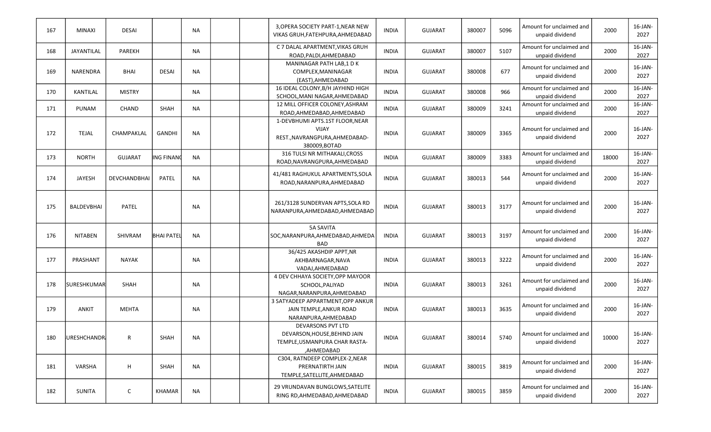| 167 | <b>MINAXI</b>        | <b>DESAI</b>        |                   | <b>NA</b> | 3, OPERA SOCIETY PART-1, NEAR NEW<br>VIKAS GRUH, FATEHPURA, AHMEDABAD                              | <b>INDIA</b> | <b>GUJARAT</b> | 380007 | 5096 | Amount for unclaimed and<br>unpaid dividend | 2000  | 16-JAN-<br>2027    |
|-----|----------------------|---------------------|-------------------|-----------|----------------------------------------------------------------------------------------------------|--------------|----------------|--------|------|---------------------------------------------|-------|--------------------|
| 168 | JAYANTILAL           | PAREKH              |                   | <b>NA</b> | C 7 DALAL APARTMENT, VIKAS GRUH<br>ROAD, PALDI, AHMEDABAD                                          | <b>INDIA</b> | GUJARAT        | 380007 | 5107 | Amount for unclaimed and<br>unpaid dividend | 2000  | $16$ -JAN-<br>2027 |
| 169 | <b>NARENDRA</b>      | <b>BHAI</b>         | <b>DESAI</b>      | <b>NA</b> | MANINAGAR PATH LAB,1 DK<br>COMPLEX, MANINAGAR<br>(EAST), AHMEDABAD                                 | <b>INDIA</b> | <b>GUJARAT</b> | 380008 | 677  | Amount for unclaimed and<br>unpaid dividend | 2000  | $16$ -JAN-<br>2027 |
| 170 | KANTILAL             | <b>MISTRY</b>       |                   | <b>NA</b> | 16 IDEAL COLONY, B/H JAYHIND HIGH<br>SCHOOL, MANI NAGAR, AHMEDABAD                                 | <b>INDIA</b> | GUJARAT        | 380008 | 966  | Amount for unclaimed and<br>unpaid dividend | 2000  | $16$ -JAN-<br>2027 |
| 171 | PUNAM                | <b>CHAND</b>        | SHAH              | NA        | 12 MILL OFFICER COLONEY, ASHRAM<br>ROAD, AHMEDABAD, AHMEDABAD                                      | <b>INDIA</b> | GUJARAT        | 380009 | 3241 | Amount for unclaimed and<br>unpaid dividend | 2000  | $16$ -JAN-<br>2027 |
| 172 | <b>TEJAL</b>         | CHAMPAKLAL          | <b>GANDHI</b>     | <b>NA</b> | 1-DEVBHUMI APTS.1ST FLOOR, NEAR<br><b>VIJAY</b><br>REST., NAVRANGPURA, AHMEDABAD-<br>380009, BOTAD | <b>INDIA</b> | <b>GUJARAT</b> | 380009 | 3365 | Amount for unclaimed and<br>unpaid dividend | 2000  | 16-JAN-<br>2027    |
| 173 | <b>NORTH</b>         | <b>GUJARAT</b>      | ING FINANO        | <b>NA</b> | 316 TULSI NR MITHAKALI, CROSS<br>ROAD, NAVRANGPURA, AHMEDABAD                                      | <b>INDIA</b> | <b>GUJARAT</b> | 380009 | 3383 | Amount for unclaimed and<br>unpaid dividend | 18000 | 16-JAN-<br>2027    |
| 174 | <b>JAYESH</b>        | <b>DEVCHANDBHAI</b> | PATEL             | <b>NA</b> | 41/481 RAGHUKUL APARTMENTS, SOLA<br>ROAD, NARANPURA, AHMEDABAD                                     | <b>INDIA</b> | GUJARAT        | 380013 | 544  | Amount for unclaimed and<br>unpaid dividend | 2000  | $16$ -JAN-<br>2027 |
| 175 | <b>BALDEVBHAI</b>    | PATEL               |                   | <b>NA</b> | 261/3128 SUNDERVAN APTS, SOLA RD<br>NARANPURA, AHMEDABAD, AHMEDABAD                                | <b>INDIA</b> | <b>GUJARAT</b> | 380013 | 3177 | Amount for unclaimed and<br>unpaid dividend | 2000  | $16$ -JAN-<br>2027 |
| 176 | <b>NITABEN</b>       | SHIVRAM             | <b>BHAI PATEL</b> | <b>NA</b> | <b>5A SAVITA</b><br>SOC, NARANPURA, AHMEDABAD, AHMEDA<br><b>BAD</b>                                | <b>INDIA</b> | <b>GUJARAT</b> | 380013 | 3197 | Amount for unclaimed and<br>unpaid dividend | 2000  | 16-JAN-<br>2027    |
| 177 | PRASHANT             | <b>NAYAK</b>        |                   | <b>NA</b> | 36/425 AKASHDIP APPT, NR<br>AKHBARNAGAR, NAVA<br>VADAJ, AHMEDABAD                                  | <b>INDIA</b> | <b>GUJARAT</b> | 380013 | 3222 | Amount for unclaimed and<br>unpaid dividend | 2000  | 16-JAN-<br>2027    |
| 178 | <b>SURESHKUMAR</b>   | <b>SHAH</b>         |                   | <b>NA</b> | 4 DEV CHHAYA SOCIETY, OPP MAYOOR<br>SCHOOL, PALIYAD<br>NAGAR, NARANPURA, AHMEDABAD                 | <b>INDIA</b> | <b>GUJARAT</b> | 380013 | 3261 | Amount for unclaimed and<br>unpaid dividend | 2000  | 16-JAN-<br>2027    |
| 179 | ANKIT                | <b>MEHTA</b>        |                   | <b>NA</b> | 3 SATYADEEP APPARTMENT, OPP ANKUR<br>JAIN TEMPLE, ANKUR ROAD<br>NARANPURA, AHMEDABAD               | <b>INDIA</b> | GUJARAT        | 380013 | 3635 | Amount for unclaimed and<br>unpaid dividend | 2000  | 16-JAN-<br>2027    |
| 180 | <b>JURESHCHANDRI</b> | ${\sf R}$           | SHAH              | ΝA        | DEVARSONS PVT LTD<br>DEVARSON, HOUSE, BEHIND JAIN<br>TEMPLE, USMANPURA CHAR RASTA-<br>,AHMEDABAD   | <b>INDIA</b> | <b>GUJARAT</b> | 380014 | 5740 | Amount for unclaimed and<br>unpaid dividend | 10000 | 16-JAN-<br>2027    |
| 181 | VARSHA               | H                   | SHAH              | <b>NA</b> | C304, RATNDEEP COMPLEX-2, NEAR<br>PRERNATIRTH JAIN<br>TEMPLE, SATELLITE, AHMEDABAD                 | <b>INDIA</b> | <b>GUJARAT</b> | 380015 | 3819 | Amount for unclaimed and<br>unpaid dividend | 2000  | 16-JAN-<br>2027    |
| 182 | SUNITA               | $\mathsf{C}$        | KHAMAR            | <b>NA</b> | 29 VRUNDAVAN BUNGLOWS, SATELITE<br>RING RD, AHMEDABAD, AHMEDABAD                                   | <b>INDIA</b> | GUJARAT        | 380015 | 3859 | Amount for unclaimed and<br>unpaid dividend | 2000  | $16$ -JAN-<br>2027 |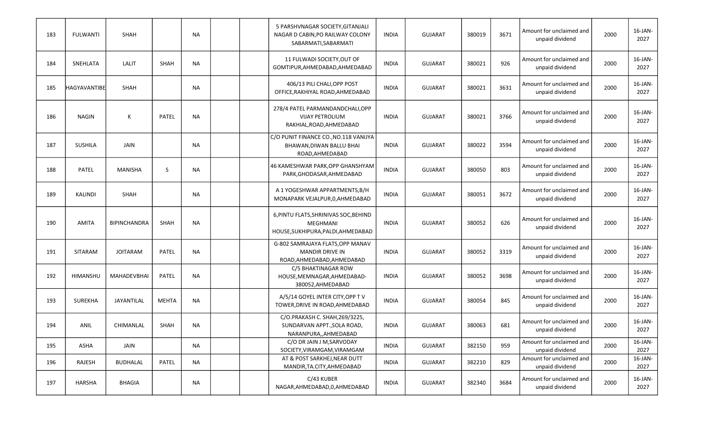| 183 | <b>FULWANTI</b>     | <b>SHAH</b>         |              | <b>NA</b> |  | 5 PARSHVNAGAR SOCIETY, GITANJALI<br>NAGAR D CABIN, PO RAILWAY COLONY<br>SABARMATI, SABARMATI   | <b>INDIA</b> | <b>GUJARAT</b> | 380019 | 3671 | Amount for unclaimed and<br>unpaid dividend | 2000 | 16-JAN-<br>2027    |
|-----|---------------------|---------------------|--------------|-----------|--|------------------------------------------------------------------------------------------------|--------------|----------------|--------|------|---------------------------------------------|------|--------------------|
| 184 | SNEHLATA            | LALIT               | <b>SHAH</b>  | <b>NA</b> |  | 11 FULWADI SOCIETY, OUT OF<br>GOMTIPUR, AHMEDABAD, AHMEDABAD                                   | <b>INDIA</b> | <b>GUJARAT</b> | 380021 | 926  | Amount for unclaimed and<br>unpaid dividend | 2000 | 16-JAN-<br>2027    |
| 185 | <b>HAGYAVANTIBE</b> | SHAH                |              | <b>NA</b> |  | 406/13 PILI CHALI, OPP POST<br>OFFICE, RAKHIYAL ROAD, AHMEDABAD                                | <b>INDIA</b> | <b>GUJARAT</b> | 380021 | 3631 | Amount for unclaimed and<br>unpaid dividend | 2000 | 16-JAN-<br>2027    |
| 186 | <b>NAGIN</b>        | Κ                   | PATEL        | <b>NA</b> |  | 278/4 PATEL PARMANDANDCHALI, OPP<br><b>VIJAY PETROLIUM</b><br>RAKHIAL, ROAD, AHMEDABAD         | <b>INDIA</b> | <b>GUJARAT</b> | 380021 | 3766 | Amount for unclaimed and<br>unpaid dividend | 2000 | 16-JAN-<br>2027    |
| 187 | <b>SUSHILA</b>      | JAIN                |              | <b>NA</b> |  | C/O PUNIT FINANCE CO., NO.118 VANIJYA<br>BHAWAN, DIWAN BALLU BHAI<br>ROAD, AHMEDABAD           | <b>INDIA</b> | <b>GUJARAT</b> | 380022 | 3594 | Amount for unclaimed and<br>unpaid dividend | 2000 | $16$ -JAN-<br>2027 |
| 188 | <b>PATEL</b>        | MANISHA             | S            | <b>NA</b> |  | 46 KAMESHWAR PARK, OPP GHANSHYAM<br>PARK, GHODASAR, AHMEDABAD                                  | <b>INDIA</b> | <b>GUJARAT</b> | 380050 | 803  | Amount for unclaimed and<br>unpaid dividend | 2000 | 16-JAN-<br>2027    |
| 189 | KALINDI             | SHAH                |              | <b>NA</b> |  | A 1 YOGESHWAR APPARTMENTS, B/H<br>MONAPARK VEJALPUR, 0, AHMEDABAD                              | <b>INDIA</b> | <b>GUJARAT</b> | 380051 | 3672 | Amount for unclaimed and<br>unpaid dividend | 2000 | 16-JAN-<br>2027    |
| 190 | <b>AMITA</b>        | <b>BIPINCHANDRA</b> | SHAH         | <b>NA</b> |  | 6, PINTU FLATS, SHRINIVAS SOC, BEHIND<br><b>MEGHMANI</b><br>HOUSE, SUKHIPURA, PALDI, AHMEDABAD | <b>INDIA</b> | <b>GUJARAT</b> | 380052 | 626  | Amount for unclaimed and<br>unpaid dividend | 2000 | 16-JAN-<br>2027    |
| 191 | SITARAM             | <b>JOITARAM</b>     | PATEL        | <b>NA</b> |  | G-802 SAMRAJAYA FLATS, OPP MANAV<br><b>MANDIR DRIVE IN</b><br>ROAD, AHMEDABAD, AHMEDABAD       | <b>INDIA</b> | <b>GUJARAT</b> | 380052 | 3319 | Amount for unclaimed and<br>unpaid dividend | 2000 | 16-JAN-<br>2027    |
| 192 | <b>HIMANSHU</b>     | <b>MAHADEVBHAI</b>  | PATEL        | <b>NA</b> |  | C/5 BHAKTINAGAR ROW<br>HOUSE, MEMNAGAR, AHMEDABAD-<br>380052, AHMEDABAD                        | <b>INDIA</b> | <b>GUJARAT</b> | 380052 | 3698 | Amount for unclaimed and<br>unpaid dividend | 2000 | 16-JAN-<br>2027    |
| 193 | SUREKHA             | JAYANTILAL          | <b>MEHTA</b> | <b>NA</b> |  | A/5/14 GOYEL INTER CITY, OPP TV<br>TOWER, DRIVE IN ROAD, AHMEDABAD                             | <b>INDIA</b> | <b>GUJARAT</b> | 380054 | 845  | Amount for unclaimed and<br>unpaid dividend | 2000 | 16-JAN-<br>2027    |
| 194 | ANIL                | CHIMANLAL           | SHAH         | <b>NA</b> |  | C/O.PRAKASH C. SHAH, 269/3225,<br>SUNDARVAN APPT., SOLA ROAD,<br>NARANPURA,, AHMEDABAD         | <b>INDIA</b> | <b>GUJARAT</b> | 380063 | 681  | Amount for unclaimed and<br>unpaid dividend | 2000 | 16-JAN-<br>2027    |
| 195 | ASHA                | JAIN                |              | NA.       |  | C/O DR JAIN J M, SARVODAY<br>SOCIETY, VIRAMGAM, VIRAMGAM                                       | <b>INDIA</b> | <b>GUJARAT</b> | 382150 | 959  | Amount for unclaimed and<br>unpaid dividend | 2000 | 16-JAN-<br>2027    |
| 196 | RAJESH              | <b>BUDHALAL</b>     | PATEL        | <b>NA</b> |  | AT & POST SARKHEJ, NEAR DUTT<br>MANDIR, TA.CITY, AHMEDABAD                                     | <b>INDIA</b> | <b>GUJARAT</b> | 382210 | 829  | Amount for unclaimed and<br>unpaid dividend | 2000 | $16$ -JAN-<br>2027 |
| 197 | HARSHA              | <b>BHAGIA</b>       |              | <b>NA</b> |  | C/43 KUBER<br>NAGAR, AHMEDABAD, 0, AHMEDABAD                                                   | <b>INDIA</b> | <b>GUJARAT</b> | 382340 | 3684 | Amount for unclaimed and<br>unpaid dividend | 2000 | $16$ -JAN-<br>2027 |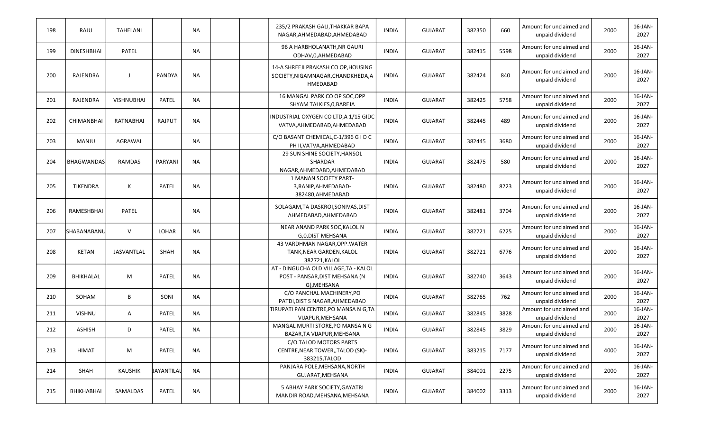| 198 | RAJU              | <b>TAHELANI</b>   |               | <b>NA</b> | 235/2 PRAKASH GALI, THAKKAR BAPA<br>NAGAR, AHMEDABAD, AHMEDABAD                        | <b>INDIA</b> | <b>GUJARAT</b> | 382350 | 660  | Amount for unclaimed and<br>unpaid dividend | 2000 | 16-JAN-<br>2027    |
|-----|-------------------|-------------------|---------------|-----------|----------------------------------------------------------------------------------------|--------------|----------------|--------|------|---------------------------------------------|------|--------------------|
| 199 | <b>DINESHBHAI</b> | PATEL             |               | NA        | 96 A HARBHOLANATH, NR GAURI<br>ODHAV, 0, AHMEDABAD                                     | <b>INDIA</b> | <b>GUJARAT</b> | 382415 | 5598 | Amount for unclaimed and<br>unpaid dividend | 2000 | 16-JAN-<br>2027    |
| 200 | RAJENDRA          | J                 | <b>PANDYA</b> | NA        | 14-A SHREEJI PRAKASH CO OP, HOUSING<br>SOCIETY, NIGAMNAGAR, CHANDKHEDA, A<br>HMEDABAD  | <b>INDIA</b> | <b>GUJARAT</b> | 382424 | 840  | Amount for unclaimed and<br>unpaid dividend | 2000 | 16-JAN-<br>2027    |
| 201 | RAJENDRA          | <b>VISHNUBHAI</b> | <b>PATEL</b>  | NA        | 16 MANGAL PARK CO OP SOC, OPP<br>SHYAM TALKIES, 0, BAREJA                              | <b>INDIA</b> | <b>GUJARAT</b> | 382425 | 5758 | Amount for unclaimed and<br>unpaid dividend | 2000 | 16-JAN-<br>2027    |
| 202 | <b>CHIMANBHAI</b> | RATNABHAI         | <b>RAJPUT</b> | <b>NA</b> | INDUSTRIAL OXYGEN CO LTD, A 1/15 GIDC<br>VATVA, AHMEDABAD, AHMEDABAD                   | <b>INDIA</b> | <b>GUJARAT</b> | 382445 | 489  | Amount for unclaimed and<br>unpaid dividend | 2000 | 16-JAN-<br>2027    |
| 203 | MANJU             | AGRAWAL           |               | NA        | C/O BASANT CHEMICAL, C-1/396 G I D C<br>PH II, VATVA, AHMEDABAD                        | <b>INDIA</b> | <b>GUJARAT</b> | 382445 | 3680 | Amount for unclaimed and<br>unpaid dividend | 2000 | 16-JAN-<br>2027    |
| 204 | <b>BHAGWANDAS</b> | <b>RAMDAS</b>     | PARYANI       | <b>NA</b> | 29 SUN SHINE SOCIETY, HANSOL<br>SHARDAR<br>NAGAR, AHMEDABD, AHMEDABAD                  | <b>INDIA</b> | <b>GUJARAT</b> | 382475 | 580  | Amount for unclaimed and<br>unpaid dividend | 2000 | 16-JAN-<br>2027    |
| 205 | TIKENDRA          | К                 | PATEL         | <b>NA</b> | 1 MANAN SOCIETY PART-<br>3, RANIP, AHMEDABAD-<br>382480, AHMEDABAD                     | <b>INDIA</b> | <b>GUJARAT</b> | 382480 | 8223 | Amount for unclaimed and<br>unpaid dividend | 2000 | 16-JAN-<br>2027    |
| 206 | RAMESHBHAI        | PATEL             |               | NA        | SOLAGAM, TA DASKROI, SONIVAS, DIST<br>AHMEDABAD.AHMEDABAD                              | <b>INDIA</b> | <b>GUJARAT</b> | 382481 | 3704 | Amount for unclaimed and<br>unpaid dividend | 2000 | 16-JAN-<br>2027    |
| 207 | SHABANABANU       | $\vee$            | LOHAR         | <b>NA</b> | NEAR ANAND PARK SOC, KALOL N<br>G,0, DIST MEHSANA                                      | <b>INDIA</b> | <b>GUJARAT</b> | 382721 | 6225 | Amount for unclaimed and<br>unpaid dividend | 2000 | $16$ -JAN-<br>2027 |
| 208 | <b>KETAN</b>      | JASVANTLAL        | SHAH          | <b>NA</b> | 43 VARDHMAN NAGAR, OPP. WATER<br>TANK, NEAR GARDEN, KALOL<br>382721, KALOL             | <b>INDIA</b> | <b>GUJARAT</b> | 382721 | 6776 | Amount for unclaimed and<br>unpaid dividend | 2000 | 16-JAN-<br>2027    |
| 209 | BHIKHALAL         | M                 | PATEL         | <b>NA</b> | AT - DINGUCHA OLD VILLAGE, TA - KALOL<br>POST - PANSAR, DIST MEHSANA (N<br>G), MEHSANA | <b>INDIA</b> | <b>GUJARAT</b> | 382740 | 3643 | Amount for unclaimed and<br>unpaid dividend | 2000 | 16-JAN-<br>2027    |
| 210 | SOHAM             | B                 | SONI          | NA        | C/O PANCHAL MACHINERY, PO<br>PATDI, DIST S NAGAR, AHMEDABAD                            | <b>INDIA</b> | <b>GUJARAT</b> | 382765 | 762  | Amount for unclaimed and<br>unpaid dividend | 2000 | 16-JAN-<br>2027    |
| 211 | <b>VISHNU</b>     | A                 | <b>PATEL</b>  | <b>NA</b> | TIRUPATI PAN CENTRE, PO MANSA N G, TA<br>VIJAPUR, MEHSANA                              | <b>INDIA</b> | GUJARAT        | 382845 | 3828 | Amount for unclaimed and<br>unpaid dividend | 2000 | 16-JAN-<br>2027    |
| 212 | ASHISH            | D                 | PATEL         | <b>NA</b> | MANGAL MURTI STORE, PO MANSA N G<br>BAZAR, TA VIJAPUR, MEHSANA                         | <b>INDIA</b> | <b>GUJARAT</b> | 382845 | 3829 | Amount for unclaimed and<br>unpaid dividend | 2000 | 16-JAN-<br>2027    |
| 213 | <b>HIMAT</b>      | M                 | <b>PATEL</b>  | <b>NA</b> | C/O.TALOD MOTORS PARTS<br>CENTRE, NEAR TOWER, , TALOD (SK)-<br>383215, TALOD           | <b>INDIA</b> | <b>GUJARAT</b> | 383215 | 7177 | Amount for unclaimed and<br>unpaid dividend | 4000 | $16$ -JAN-<br>2027 |
| 214 | SHAH              | <b>KAUSHIK</b>    | JAYANTILAL    | NA        | PANJARA POLE, MEHSANA, NORTH<br>GUJARAT, MEHSANA                                       | <b>INDIA</b> | <b>GUJARAT</b> | 384001 | 2275 | Amount for unclaimed and<br>unpaid dividend | 2000 | 16-JAN-<br>2027    |
| 215 | BHIKHABHAI        | SAMALDAS          | PATEL         | <b>NA</b> | 5 ABHAY PARK SOCIETY, GAYATRI<br>MANDIR ROAD, MEHSANA, MEHSANA                         | <b>INDIA</b> | GUJARAT        | 384002 | 3313 | Amount for unclaimed and<br>unpaid dividend | 2000 | $16$ -JAN-<br>2027 |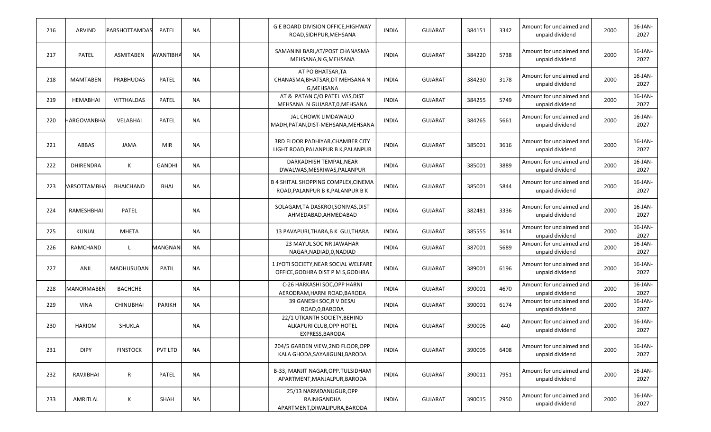| 216 | ARVIND              | <b>PARSHOTTAMDAS</b> | PATEL         | <b>NA</b> | <b>G E BOARD DIVISION OFFICE, HIGHWAY</b><br>ROAD, SIDHPUR, MEHSANA           | <b>INDIA</b> | <b>GUJARAT</b> | 384151 | 3342 | Amount for unclaimed and<br>unpaid dividend | 2000 | 16-JAN-<br>2027    |
|-----|---------------------|----------------------|---------------|-----------|-------------------------------------------------------------------------------|--------------|----------------|--------|------|---------------------------------------------|------|--------------------|
| 217 | <b>PATEL</b>        | <b>ASMITABEN</b>     | AYANTIBHA     | <b>NA</b> | SAMANINI BARI, AT/POST CHANASMA<br>MEHSANA, N G, MEHSANA                      | <b>INDIA</b> | <b>GUJARAT</b> | 384220 | 5738 | Amount for unclaimed and<br>unpaid dividend | 2000 | $16$ -JAN-<br>2027 |
| 218 | <b>MAMTABEN</b>     | PRABHUDAS            | PATEL         | <b>NA</b> | AT PO BHATSAR, TA<br>CHANASMA, BHATSAR, DT MEHSANA N<br>G.MEHSANA             | <b>INDIA</b> | <b>GUJARAT</b> | 384230 | 3178 | Amount for unclaimed and<br>unpaid dividend | 2000 | 16-JAN-<br>2027    |
| 219 | <b>HEMABHAI</b>     | <b>VITTHALDAS</b>    | PATEL         | <b>NA</b> | AT & PATAN C/O PATEL VAS, DIST<br>MEHSANA N GUJARAT, 0, MEHSANA               | <b>INDIA</b> | <b>GUJARAT</b> | 384255 | 5749 | Amount for unclaimed and<br>unpaid dividend | 2000 | 16-JAN-<br>2027    |
| 220 | HARGOVANBHA         | VELABHAI             | <b>PATEL</b>  | <b>NA</b> | JAL CHOWK LIMDAWALO<br>MADH, PATAN, DIST-MEHSANA, MEHSANA                     | <b>INDIA</b> | <b>GUJARAT</b> | 384265 | 5661 | Amount for unclaimed and<br>unpaid dividend | 2000 | 16-JAN-<br>2027    |
| 221 | ABBAS               | <b>JAMA</b>          | <b>MIR</b>    | <b>NA</b> | 3RD FLOOR PADHIYAR, CHAMBER CITY<br>LIGHT ROAD, PALANPUR B K, PALANPUR        | <b>INDIA</b> | <b>GUJARAT</b> | 385001 | 3616 | Amount for unclaimed and<br>unpaid dividend | 2000 | 16-JAN-<br>2027    |
| 222 | <b>DHIRENDRA</b>    | Κ                    | <b>GANDHI</b> | <b>NA</b> | DARKADHISH TEMPAL, NEAR<br>DWALWAS, MESRIWAS, PALANPUR                        | <b>INDIA</b> | <b>GUJARAT</b> | 385001 | 3889 | Amount for unclaimed and<br>unpaid dividend | 2000 | 16-JAN-<br>2027    |
| 223 | <b>PARSOTTAMBHA</b> | <b>BHAICHAND</b>     | BHAI          | <b>NA</b> | <b>B 4 SHITAL SHOPPING COMPLEX.CINEMA</b><br>ROAD, PALANPUR B K, PALANPUR B K | <b>INDIA</b> | <b>GUJARAT</b> | 385001 | 5844 | Amount for unclaimed and<br>unpaid dividend | 2000 | 16-JAN-<br>2027    |
| 224 | RAMESHBHAI          | <b>PATEL</b>         |               | <b>NA</b> | SOLAGAM, TA DASKROI, SONIVAS, DIST<br>AHMEDABAD, AHMEDABAD                    | <b>INDIA</b> | <b>GUJARAT</b> | 382481 | 3336 | Amount for unclaimed and<br>unpaid dividend | 2000 | 16-JAN-<br>2027    |
| 225 | KUNJAL              | <b>MHETA</b>         |               | <b>NA</b> | 13 PAVAPURI, THARA, B K GUJ, THARA                                            | <b>INDIA</b> | <b>GUJARAT</b> | 385555 | 3614 | Amount for unclaimed and<br>unpaid dividend | 2000 | $16$ -JAN-<br>2027 |
| 226 | RAMCHAND            | L                    | MANGNANI      | NA        | 23 MAYUL SOC NR JAWAHAR<br>NAGAR, NADIAD, O, NADIAD                           | <b>INDIA</b> | <b>GUJARAT</b> | 387001 | 5689 | Amount for unclaimed and<br>unpaid dividend | 2000 | 16-JAN-<br>2027    |
| 227 | ANIL                | MADHUSUDAN           | <b>PATIL</b>  | <b>NA</b> | 1 JYOTI SOCIETY, NEAR SOCIAL WELFARE<br>OFFICE, GODHRA DIST P M S, GODHRA     | <b>INDIA</b> | GUJARAT        | 389001 | 6196 | Amount for unclaimed and<br>unpaid dividend | 2000 | 16-JAN-<br>2027    |
| 228 | MANORMABEN          | <b>BACHCHE</b>       |               | <b>NA</b> | C-26 HARKASHI SOC, OPP HARNI<br>AERODRAM, HARNI ROAD, BARODA                  | <b>INDIA</b> | <b>GUJARAT</b> | 390001 | 4670 | Amount for unclaimed and<br>unpaid dividend | 2000 | $16$ -JAN-<br>2027 |
| 229 | <b>VINA</b>         | <b>CHINUBHAI</b>     | <b>PARIKH</b> | <b>NA</b> | 39 GANESH SOC, R V DESAI<br>ROAD, 0, BARODA                                   | <b>INDIA</b> | <b>GUJARAT</b> | 390001 | 6174 | Amount for unclaimed and<br>unpaid dividend | 2000 | 16-JAN-<br>2027    |
| 230 | <b>HARIOM</b>       | SHUKLA               |               | <b>NA</b> | 22/1 UTKANTH SOCIETY, BEHIND<br>ALKAPURI CLUB, OPP HOTEL<br>EXPRESS, BARODA   | <b>INDIA</b> | <b>GUJARAT</b> | 390005 | 440  | Amount for unclaimed and<br>unpaid dividend | 2000 | 16-JAN-<br>2027    |
| 231 | <b>DIPY</b>         | <b>FINSTOCK</b>      | PVT LTD       | NA        | 204/5 GARDEN VIEW.2ND FLOOR.OPP<br>KALA GHODA.SAYAJIGUNJ.BARODA               | <b>INDIA</b> | <b>GUJARAT</b> | 390005 | 6408 | Amount for unclaimed and<br>unpaid dividend | 2000 | 16-JAN-<br>2027    |
| 232 | RAVJIBHAI           | R                    | PATEL         | <b>NA</b> | B-33, MANJIT NAGAR, OPP. TULSIDHAM<br>APARTMENT, MANJALPUR, BARODA            | <b>INDIA</b> | <b>GUJARAT</b> | 390011 | 7951 | Amount for unclaimed and<br>unpaid dividend | 2000 | $16$ -JAN-<br>2027 |
| 233 | AMRITLAL            | Κ                    | SHAH          | <b>NA</b> | 25/13 NARMDANUGUR, OPP<br>RAJNIGANDHA<br>APARTMENT, DIWALIPURA, BARODA        | <b>INDIA</b> | <b>GUJARAT</b> | 390015 | 2950 | Amount for unclaimed and<br>unpaid dividend | 2000 | 16-JAN-<br>2027    |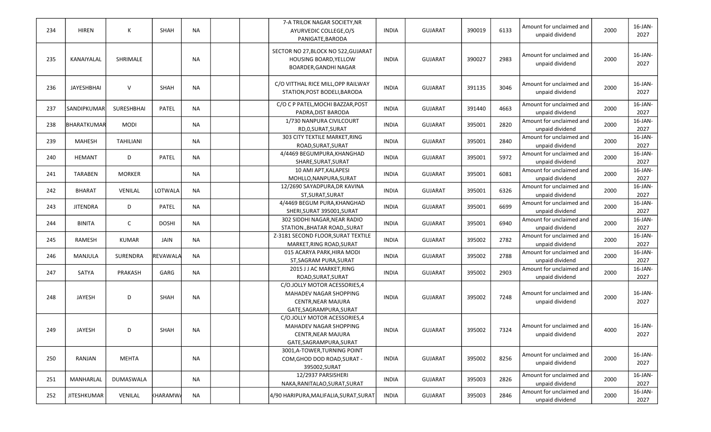| 234 | <b>HIREN</b>       | К                | <b>SHAH</b>     | <b>NA</b> | 7-A TRILOK NAGAR SOCIETY, NR<br>AYURVEDIC COLLEGE, O/S<br>PANIGATE, BARODA                                     | <b>INDIA</b> | <b>GUJARAT</b> | 390019 | 6133 | Amount for unclaimed and<br>unpaid dividend | 2000 | $16$ -JAN-<br>2027 |
|-----|--------------------|------------------|-----------------|-----------|----------------------------------------------------------------------------------------------------------------|--------------|----------------|--------|------|---------------------------------------------|------|--------------------|
| 235 | KANAIYALAL         | SHRIMALE         |                 | NA        | SECTOR NO 27, BLOCK NO 522, GUJARAT<br>HOUSING BOARD, YELLOW<br>BOARDER, GANDHI NAGAR                          | <b>INDIA</b> | <b>GUJARAT</b> | 390027 | 2983 | Amount for unclaimed and<br>unpaid dividend | 2000 | 16-JAN-<br>2027    |
| 236 | JAYESHBHAI         | V                | <b>SHAH</b>     | NA        | C/O VITTHAL RICE MILL, OPP RAILWAY<br>STATION, POST BODELI, BARODA                                             | <b>INDIA</b> | <b>GUJARAT</b> | 391135 | 3046 | Amount for unclaimed and<br>unpaid dividend | 2000 | $16$ -JAN-<br>2027 |
| 237 | <b>SANDIPKUMAR</b> | SURESHBHAI       | PATEL           | NA        | C/O C P PATEL, MOCHI BAZZAR, POST<br>PADRA, DIST BARODA                                                        | <b>INDIA</b> | <b>GUJARAT</b> | 391440 | 4663 | Amount for unclaimed and<br>unpaid dividend | 2000 | 16-JAN-<br>2027    |
| 238 | BHARATKUMAR        | <b>MODI</b>      |                 | NA        | 1/730 NANPURA CIVILCOURT<br>RD,0,SURAT,SURAT                                                                   | <b>INDIA</b> | <b>GUJARAT</b> | 395001 | 2820 | Amount for unclaimed and<br>unpaid dividend | 2000 | 16-JAN-<br>2027    |
| 239 | <b>MAHESH</b>      | <b>TAHILIANI</b> |                 | NA        | 303 CITY TEXTILE MARKET, RING<br>ROAD, SURAT, SURAT                                                            | <b>INDIA</b> | GUJARAT        | 395001 | 2840 | Amount for unclaimed and<br>unpaid dividend | 2000 | 16-JAN-<br>2027    |
| 240 | <b>HEMANT</b>      | D                | <b>PATEL</b>    | <b>NA</b> | 4/4469 BEGUMPURA, KHANGHAD<br>SHARE, SURAT, SURAT                                                              | <b>INDIA</b> | <b>GUJARAT</b> | 395001 | 5972 | Amount for unclaimed and<br>unpaid dividend | 2000 | 16-JAN-<br>2027    |
| 241 | <b>TARABEN</b>     | <b>MORKER</b>    |                 | NA        | 10 AMI APT, KALAPESI<br>MOHLLO, NANPURA, SURAT                                                                 | <b>INDIA</b> | <b>GUJARAT</b> | 395001 | 6081 | Amount for unclaimed and<br>unpaid dividend | 2000 | 16-JAN-<br>2027    |
| 242 | <b>BHARAT</b>      | VENILAL          | LOTWALA         | NA        | 12/2690 SAYADPURA, DR KAVINA<br>ST, SURAT, SURAT                                                               | <b>INDIA</b> | <b>GUJARAT</b> | 395001 | 6326 | Amount for unclaimed and<br>unpaid dividend | 2000 | 16-JAN-<br>2027    |
| 243 | <b>JITENDRA</b>    | D                | <b>PATEL</b>    | NA        | 4/4469 BEGUM PURA, KHANGHAD<br>SHERI, SURAT 395001, SURAT                                                      | <b>INDIA</b> | <b>GUJARAT</b> | 395001 | 6699 | Amount for unclaimed and<br>unpaid dividend | 2000 | 16-JAN-<br>2027    |
| 244 | <b>BINITA</b>      | C                | <b>DOSHI</b>    | NA        | 302 SIDDHI NAGAR, NEAR RADIO<br>STATION., BHATAR ROAD,, SURAT                                                  | <b>INDIA</b> | <b>GUJARAT</b> | 395001 | 6940 | Amount for unclaimed and<br>unpaid dividend | 2000 | 16-JAN-<br>2027    |
| 245 | RAMESH             | <b>KUMAR</b>     | JAIN            | NA        | Z-3181 SECOND FLOOR, SURAT TEXTILE<br>MARKET, RING ROAD, SURAT                                                 | <b>INDIA</b> | <b>GUJARAT</b> | 395002 | 2782 | Amount for unclaimed and<br>unpaid dividend | 2000 | $16$ -JAN-<br>2027 |
| 246 | MANJULA            | SURENDRA         | REVAWALA        | <b>NA</b> | 015 ACARYA PARK, HIRA MODI<br>ST, SAGRAM PURA, SURAT                                                           | <b>INDIA</b> | <b>GUJARAT</b> | 395002 | 2788 | Amount for unclaimed and<br>unpaid dividend | 2000 | $16$ -JAN-<br>2027 |
| 247 | SATYA              | PRAKASH          | GARG            | NA        | 2015 J J AC MARKET, RING<br>ROAD, SURAT, SURAT                                                                 | <b>INDIA</b> | <b>GUJARAT</b> | 395002 | 2903 | Amount for unclaimed and<br>unpaid dividend | 2000 | $16$ -JAN-<br>2027 |
| 248 | JAYESH             | D                | <b>SHAH</b>     | NA        | C/O.JOLLY MOTOR ACESSORIES,4<br>MAHADEV NAGAR SHOPPING<br><b>CENTR, NEAR MAJURA</b><br>GATE, SAGRAMPURA, SURAT | INDIA        | <b>GUJARAT</b> | 395002 | 7248 | Amount for unclaimed and<br>unpaid dividend | 2000 | 16-JAN-<br>2027    |
| 249 | JAYESH             | D                | <b>SHAH</b>     | NA        | C/O.JOLLY MOTOR ACESSORIES,4<br>MAHADEV NAGAR SHOPPING<br>CENTR, NEAR MAJURA<br>GATE, SAGRAMPURA, SURAT        | <b>INDIA</b> | <b>GUJARAT</b> | 395002 | 7324 | Amount for unclaimed and<br>unpaid dividend | 4000 | 16-JAN-<br>2027    |
| 250 | RANJAN             | MEHTA            |                 | NA        | 3001, A-TOWER, TURNING POINT<br>COM, GHOD DOD ROAD, SURAT -<br>395002, SURAT                                   | <b>INDIA</b> | <b>GUJARAT</b> | 395002 | 8256 | Amount for unclaimed and<br>unpaid dividend | 2000 | $16$ -JAN-<br>2027 |
| 251 | MANHARLAL          | DUMASWALA        |                 | NA        | 12/2937 PARSISHERI<br>NAKA, RANITALAO, SURAT, SURAT                                                            | <b>INDIA</b> | <b>GUJARAT</b> | 395003 | 2826 | Amount for unclaimed and<br>unpaid dividend | 2000 | 16-JAN-<br>2027    |
| 252 | <b>JITESHKUMAR</b> | VENILAL          | <b>KHARAMWA</b> | NA        | 4/90 HARIPURA, MALIFALIA, SURAT, SURAT                                                                         | <b>INDIA</b> | <b>GUJARAT</b> | 395003 | 2846 | Amount for unclaimed and<br>unpaid dividend | 2000 | 16-JAN-<br>2027    |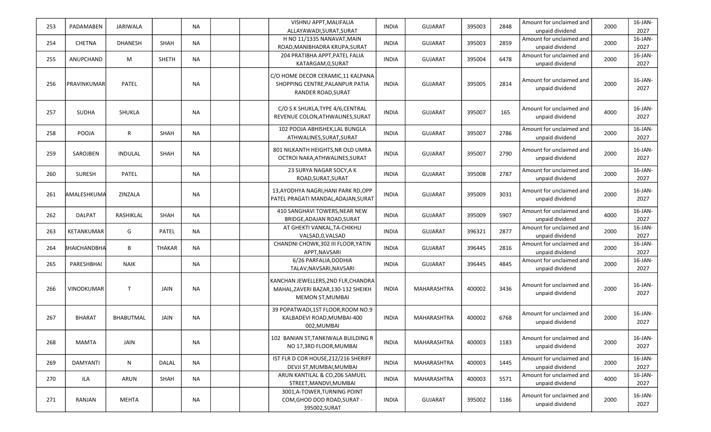| 253 | PADAMABEN     | JARIWALA         |               | <b>NA</b> | VISHNU APPT, MALIFALIA               | <b>INDIA</b> | <b>GUJARAT</b>     | 395003 | 2848 | Amount for unclaimed and | 2000 | $16$ -JAN- |
|-----|---------------|------------------|---------------|-----------|--------------------------------------|--------------|--------------------|--------|------|--------------------------|------|------------|
|     |               |                  |               |           | ALLAYAWADI, SURAT, SURAT             |              |                    |        |      | unpaid dividend          |      | 2027       |
| 254 | <b>CHETNA</b> | <b>DHANESH</b>   | <b>SHAH</b>   | NA        | H NO 11/1335 NANAVAT, MAIN           | <b>INDIA</b> | <b>GUJARAT</b>     | 395003 | 2859 | Amount for unclaimed and | 2000 | 16-JAN-    |
|     |               |                  |               |           | ROAD, MANIBHADRA KRUPA, SURAT        |              |                    |        |      | unpaid dividend          |      | 2027       |
|     |               |                  |               |           | 204 PRATIBHA APPT, PATEL FALIA       |              |                    |        |      | Amount for unclaimed and |      | 16-JAN-    |
| 255 | ANUPCHAND     | M                | <b>SHETH</b>  | NA        | KATARGAM, 0, SURAT                   | <b>INDIA</b> | <b>GUJARAT</b>     | 395004 | 6478 | unpaid dividend          | 2000 | 2027       |
|     |               |                  |               |           | C/O HOME DECOR CERAMIC,11 KALPANA    |              |                    |        |      |                          |      |            |
| 256 | PRAVINKUMAR   | PATEL            |               | NA        | SHOPPING CENTRE, PALANPUR PATIA      | <b>INDIA</b> | <b>GUJARAT</b>     | 395005 | 2814 | Amount for unclaimed and | 2000 | 16-JAN-    |
|     |               |                  |               |           | <b>RANDER ROAD, SURAT</b>            |              |                    |        |      | unpaid dividend          |      | 2027       |
|     |               |                  |               |           |                                      |              |                    |        |      |                          |      |            |
|     |               |                  |               |           | C/O S K SHUKLA, TYPE 4/6, CENTRAL    |              |                    |        |      | Amount for unclaimed and |      | 16-JAN-    |
| 257 | <b>SUDHA</b>  | SHUKLA           |               | NA        | REVENUE COLON, ATHWALINES, SURAT     | <b>INDIA</b> | <b>GUJARAT</b>     | 395007 | 165  | unpaid dividend          | 4000 | 2027       |
|     |               |                  |               |           |                                      |              |                    |        |      |                          |      |            |
| 258 | POOJA         | $\mathsf R$      | <b>SHAH</b>   | <b>NA</b> | 102 POOJA ABHISHEK, LAL BUNGLA       | <b>INDIA</b> | <b>GUJARAT</b>     | 395007 | 2786 | Amount for unclaimed and | 2000 | 16-JAN-    |
|     |               |                  |               |           | ATHWALINES, SURAT, SURAT             |              |                    |        |      | unpaid dividend          |      | 2027       |
|     |               |                  |               |           | 801 NILKANTH HEIGHTS, NR OLD UMRA    |              |                    |        |      | Amount for unclaimed and |      | 16-JAN-    |
| 259 | SAROJBEN      | <b>INDULAL</b>   | <b>SHAH</b>   | <b>NA</b> | OCTROI NAKA, ATHWALINES, SURAT       | <b>INDIA</b> | <b>GUJARAT</b>     | 395007 | 2790 | unpaid dividend          | 2000 | 2027       |
|     |               |                  |               |           |                                      |              |                    |        |      |                          |      |            |
| 260 | <b>SURESH</b> | PATEL            |               | <b>NA</b> | 23 SURYA NAGAR SOCY, A K             | <b>INDIA</b> | <b>GUJARAT</b>     | 395008 | 2787 | Amount for unclaimed and | 2000 | 16-JAN-    |
|     |               |                  |               |           | ROAD, SURAT, SURAT                   |              |                    |        |      | unpaid dividend          |      | 2027       |
|     |               |                  |               |           | 13, AYODHYA NAGRI, HANI PARK RD, OPP |              |                    |        |      | Amount for unclaimed and |      | 16-JAN-    |
| 261 | AMALESHKUMA   | ZINZALA          |               | NA        | PATEL PRAGATI MANDAL.ADAJAN.SURAT    | <b>INDIA</b> | <b>GUJARAT</b>     | 395009 | 3031 | unpaid dividend          | 2000 | 2027       |
|     |               |                  |               |           | 410 SANGHAVI TOWERS, NEAR NEW        |              |                    |        |      | Amount for unclaimed and |      | 16-JAN-    |
| 262 | <b>DALPAT</b> | RASHIKLAL        | SHAH          | NA        | BRIDGE, ADAJAN ROAD, SURAT           | <b>INDIA</b> | <b>GUJARAT</b>     | 395009 | 5907 | unpaid dividend          | 4000 | 2027       |
|     |               |                  |               |           | AT GHEKTI VANKAL, TA-CHIKHLI         |              |                    |        |      | Amount for unclaimed and |      | 16-JAN-    |
| 263 | KETANKUMAR    | G                | <b>PATEL</b>  | NA        | VALSAD, 0, VALSAD                    | <b>INDIA</b> | <b>GUJARAT</b>     | 396321 | 2877 | unpaid dividend          | 2000 | 2027       |
|     |               |                  |               |           | CHANDNI CHOWK, 302 III FLOOR, YATIN  |              |                    |        |      | Amount for unclaimed and |      | $16$ -JAN- |
| 264 | BHAICHANDBHA  | B                | <b>THAKAR</b> | <b>NA</b> | APPT, NAVSARI                        | <b>INDIA</b> | <b>GUJARAT</b>     | 396445 | 2816 | unpaid dividend          | 2000 | 2027       |
|     |               |                  |               |           | 6/26 PARFALIA, DODHIA                |              |                    |        |      | Amount for unclaimed and |      | 16-JAN-    |
| 265 | PARESHBHAI    | <b>NAIK</b>      |               | NA        | TALAV, NAVSARI, NAVSARI              | <b>INDIA</b> | <b>GUJARAT</b>     | 396445 | 4845 | unpaid dividend          | 2000 | 2027       |
|     |               |                  |               |           |                                      |              |                    |        |      |                          |      |            |
|     |               |                  |               |           | KANCHAN JEWELLERS, 2ND FLR, CHANDRA  |              |                    |        |      | Amount for unclaimed and |      | 16-JAN-    |
| 266 | VINODKUMAR    | T                | <b>JAIN</b>   | NA        | MAHAL, ZAVERI BAZAR, 130-132 SHEIKH  | <b>INDIA</b> | MAHARASHTRA        | 400002 | 3436 | unpaid dividend          | 2000 | 2027       |
|     |               |                  |               |           | <b>MEMON ST, MUMBAI</b>              |              |                    |        |      |                          |      |            |
|     |               |                  |               |           | 39 POPATWADI,1ST FLOOR, ROOM NO.9    |              |                    |        |      |                          |      |            |
| 267 | <b>BHARAT</b> | <b>BHABUTMAL</b> | JAIN          | <b>NA</b> | KALBADEVI ROAD, MUMBAI-400           | <b>INDIA</b> | MAHARASHTRA        | 400002 | 6768 | Amount for unclaimed and | 2000 | 16-JAN-    |
|     |               |                  |               |           | 002, MUMBAI                          |              |                    |        |      | unpaid dividend          |      | 2027       |
|     |               |                  |               |           |                                      |              |                    |        |      |                          |      |            |
| 268 | <b>MAMTA</b>  | JAIN             |               | NA        | 102 BANIAN ST, TANKIWALA BUILDING R  | <b>INDIA</b> | MAHARASHTRA        | 400003 | 1183 | Amount for unclaimed and | 2000 | 16-JAN-    |
|     |               |                  |               |           | NO 17,3RD FLOOR, MUMBAI              |              |                    |        |      | unpaid dividend          |      | 2027       |
|     |               |                  |               |           | IST FLR D COR HOUSE, 212/216 SHERIFF |              |                    | 400003 |      | Amount for unclaimed and | 2000 | 16-JAN-    |
| 269 | DAMYANTI      | N                | DALAL         | NA        | DEVJI ST, MUMBAI, MUMBAI             | <b>INDIA</b> | MAHARASHTRA        |        | 1445 | unpaid dividend          |      | 2027       |
| 270 | ILA           | ARUN             | <b>SHAH</b>   | NA        | ARUN KANTILAL & CO,206 SAMUEL        | <b>INDIA</b> | <b>MAHARASHTRA</b> | 400003 | 5571 | Amount for unclaimed and | 4000 | 16-JAN-    |
|     |               |                  |               |           | STREET, MANDVI, MUMBAI               |              |                    |        |      | unpaid dividend          |      | 2027       |
|     |               |                  |               |           | 3001, A-TOWER, TURNING POINT         |              |                    |        |      | Amount for unclaimed and |      | $16$ -JAN- |
| 271 | RANJAN        | MEHTA            |               | <b>NA</b> | COM, GHOD DOD ROAD, SURAT -          | <b>INDIA</b> | <b>GUJARAT</b>     | 395002 | 1186 | unpaid dividend          | 2000 | 2027       |
|     |               |                  |               |           | 395002, SURAT                        |              |                    |        |      |                          |      |            |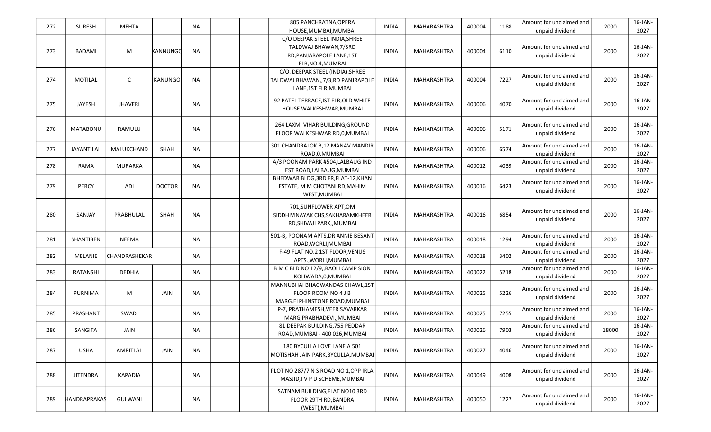| 272 | <b>SURESH</b>   | <b>MEHTA</b>   |                | <b>NA</b> | 805 PANCHRATNA, OPERA                 | <b>INDIA</b> | MAHARASHTRA | 400004 | 1188 | Amount for unclaimed and | 2000  | 16-JAN-    |
|-----|-----------------|----------------|----------------|-----------|---------------------------------------|--------------|-------------|--------|------|--------------------------|-------|------------|
|     |                 |                |                |           | HOUSE, MUMBAI, MUMBAI                 |              |             |        |      | unpaid dividend          |       | 2027       |
|     |                 |                |                |           | C/O DEEPAK STEEL INDIA, SHREE         |              |             |        |      |                          |       |            |
|     |                 |                |                |           | TALDWAJ BHAWAN, 7/3RD                 |              |             |        |      | Amount for unclaimed and |       | 16-JAN-    |
| 273 | <b>BADAMI</b>   | M              | KANNUNGQ       | <b>NA</b> | RD, PANJARAPOLE LANE, 1ST             | <b>INDIA</b> | MAHARASHTRA | 400004 | 6110 | unpaid dividend          | 2000  | 2027       |
|     |                 |                |                |           | FLR, NO.4, MUMBAI                     |              |             |        |      |                          |       |            |
|     |                 |                |                |           | C/O. DEEPAK STEEL (INDIA), SHREE      |              |             |        |      |                          |       |            |
| 274 | <b>MOTILAL</b>  | C              | <b>KANUNGO</b> | <b>NA</b> | TALDWAJ BHAWAN,, 7/3, RD PANJRAPOLE   | <b>INDIA</b> | MAHARASHTRA | 400004 | 7227 | Amount for unclaimed and | 2000  | 16-JAN-    |
|     |                 |                |                |           | LANE, 1ST FLR, MUMBAI                 |              |             |        |      | unpaid dividend          |       | 2027       |
|     |                 |                |                |           |                                       |              |             |        |      |                          |       |            |
| 275 | JAYESH          | <b>JHAVERI</b> |                | <b>NA</b> | 92 PATEL TERRACE, IST FLR, OLD WHITE  | <b>INDIA</b> | MAHARASHTRA | 400006 | 4070 | Amount for unclaimed and | 2000  | 16-JAN-    |
|     |                 |                |                |           | HOUSE WALKESHWAR, MUMBAI              |              |             |        |      | unpaid dividend          |       | 2027       |
|     |                 |                |                |           |                                       |              |             |        |      |                          |       |            |
| 276 | <b>MATABONU</b> | RAMULU         |                | <b>NA</b> | 264 LAXMI VIHAR BUILDING, GROUND      | <b>INDIA</b> | MAHARASHTRA | 400006 | 5171 | Amount for unclaimed and | 2000  | 16-JAN-    |
|     |                 |                |                |           | FLOOR WALKESHWAR RD, 0, MUMBAI        |              |             |        |      | unpaid dividend          |       | 2027       |
|     |                 |                |                |           |                                       |              |             |        |      |                          |       | $16$ -JAN- |
| 277 | JAYANTILAL      | MALUKCHAND     | SHAH           | <b>NA</b> | 301 CHANDRALOK B,12 MANAV MANDIR      | <b>INDIA</b> | MAHARASHTRA | 400006 | 6574 | Amount for unclaimed and | 2000  |            |
|     |                 |                |                |           | ROAD, 0, MUMBAI                       |              |             |        |      | unpaid dividend          |       | 2027       |
| 278 | RAMA            | <b>MURARKA</b> |                | <b>NA</b> | A/3 POONAM PARK #504,LALBAUG IND      | <b>INDIA</b> | MAHARASHTRA | 400012 | 4039 | Amount for unclaimed and | 2000  | $16$ -JAN- |
|     |                 |                |                |           | EST ROAD, LALBAUG, MUMBAI             |              |             |        |      | unpaid dividend          |       | 2027       |
|     |                 |                |                |           | BHEDWAR BLDG, 3RD FR, FLAT-12, KHAN   |              |             |        |      | Amount for unclaimed and |       | $16$ -JAN- |
| 279 | <b>PERCY</b>    | ADI            | <b>DOCTOR</b>  | <b>NA</b> | ESTATE, M M CHOTANI RD, MAHIM         | <b>INDIA</b> | MAHARASHTRA | 400016 | 6423 | unpaid dividend          | 2000  | 2027       |
|     |                 |                |                |           | WEST, MUMBAI                          |              |             |        |      |                          |       |            |
|     |                 |                |                |           | 701, SUNFLOWER APT, OM                |              |             |        |      |                          |       |            |
| 280 | SANJAY          | PRABHULAL      | SHAH           | <b>NA</b> | SIDDHIVINAYAK CHS, SAKHARAMKHEER      | <b>INDIA</b> | MAHARASHTRA | 400016 | 6854 | Amount for unclaimed and | 2000  | 16-JAN-    |
|     |                 |                |                |           | RD, SHIVAJI PARK, , MUMBAI            |              |             |        |      | unpaid dividend          |       | 2027       |
|     |                 |                |                |           |                                       |              |             |        |      |                          |       |            |
| 281 | SHANTIBEN       | <b>NEEMA</b>   |                | NA        | 501-B, POONAM APTS, DR ANNIE BESANT   | <b>INDIA</b> | MAHARASHTRA | 400018 | 1294 | Amount for unclaimed and | 2000  | 16-JAN-    |
|     |                 |                |                |           | ROAD, WORLI, MUMBAI                   |              |             |        |      | unpaid dividend          |       | 2027       |
| 282 | MELANIE         | CHANDRASHEKAR  |                | NA        | F-49 FLAT NO.2 1ST FLOOR, VENUS       | INDIA        | MAHARASHTRA | 400018 | 3402 | Amount for unclaimed and | 2000  | $16$ -JAN- |
|     |                 |                |                |           | APTS., WORLI, MUMBAI                  |              |             |        |      | unpaid dividend          |       | 2027       |
| 283 | RATANSHI        | DEDHIA         |                | <b>NA</b> | B M C BLD NO 12/9,, RAOLI CAMP SION   | <b>INDIA</b> | MAHARASHTRA | 400022 | 5218 | Amount for unclaimed and | 2000  | $16$ -JAN- |
|     |                 |                |                |           | KOLIWADA, 0, MUMBAI                   |              |             |        |      | unpaid dividend          |       | 2027       |
|     |                 |                |                |           | MANNUBHAI BHAGWANDAS CHAWL,1ST        |              |             |        |      |                          |       |            |
| 284 | <b>PURNIMA</b>  | M              | JAIN           | <b>NA</b> | FLOOR ROOM NO 4 J B                   | <b>INDIA</b> | MAHARASHTRA | 400025 | 5226 | Amount for unclaimed and | 2000  | 16-JAN-    |
|     |                 |                |                |           | MARG, ELPHINSTONE ROAD, MUMBAI        |              |             |        |      | unpaid dividend          |       | 2027       |
|     |                 |                |                |           | P-7, PRATHAMESH, VEER SAVARKAR        |              |             |        |      | Amount for unclaimed and |       | $16$ -JAN- |
| 285 | PRASHANT        | SWADI          |                | NA        | MARG, PRABHADEVI,, MUMBAI             | <b>INDIA</b> | MAHARASHTRA | 400025 | 7255 | unpaid dividend          | 2000  | 2027       |
|     |                 |                |                |           | 81 DEEPAK BUILDING, 755 PEDDAR        |              |             |        |      | Amount for unclaimed and |       | 16-JAN-    |
| 286 | SANGITA         | JAIN           |                | <b>NA</b> | ROAD, MUMBAI - 400 026, MUMBAI        | <b>INDIA</b> | MAHARASHTRA | 400026 | 7903 | unpaid dividend          | 18000 | 2027       |
|     |                 |                |                |           |                                       |              |             |        |      |                          |       |            |
| 287 | <b>USHA</b>     | AMRITLAL       | JAIN           | <b>NA</b> | 180 BYCULLA LOVE LANE, A 501          | <b>INDIA</b> | MAHARASHTRA | 400027 | 4046 | Amount for unclaimed and | 2000  | $16$ -JAN- |
|     |                 |                |                |           | MOTISHAH JAIN PARK, BYCULLA, MUMBAI   |              |             |        |      | unpaid dividend          |       | 2027       |
|     |                 |                |                |           |                                       |              |             |        |      |                          |       |            |
| 288 | <b>JITENDRA</b> | <b>KAPADIA</b> |                | <b>NA</b> | PLOT NO 287/7 N S ROAD NO 1, OPP IRLA | <b>INDIA</b> | MAHARASHTRA | 400049 | 4008 | Amount for unclaimed and | 2000  | 16-JAN-    |
|     |                 |                |                |           | MASJID, J V P D SCHEME, MUMBAI        |              |             |        |      | unpaid dividend          |       | 2027       |
|     |                 |                |                |           | SATNAM BUILDING, FLAT NO10 3RD        |              |             |        |      |                          |       |            |
| 289 | HANDRAPRAKAS    | GULWANI        |                | $\sf NA$  | FLOOR 29TH RD, BANDRA                 | <b>INDIA</b> | MAHARASHTRA | 400050 | 1227 | Amount for unclaimed and | 2000  | 16-JAN-    |
|     |                 |                |                |           | (WEST), MUMBAI                        |              |             |        |      | unpaid dividend          |       | 2027       |
|     |                 |                |                |           |                                       |              |             |        |      |                          |       |            |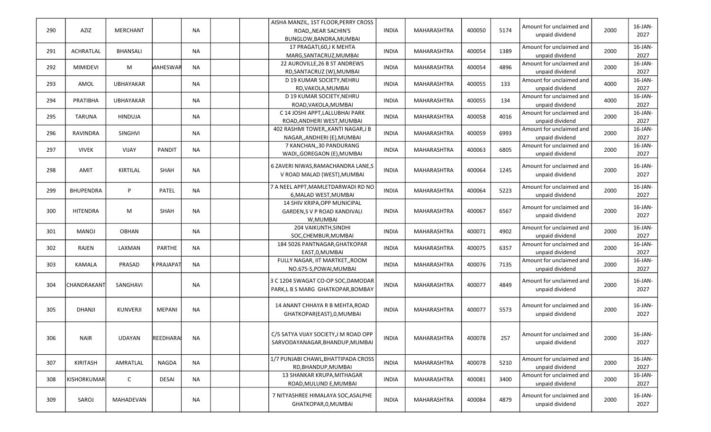|     |                  |                  |                 |           | AISHA MANZIL, 1ST FLOOR, PERRY CROSS  |              |                    |        |      |                          |      |            |
|-----|------------------|------------------|-----------------|-----------|---------------------------------------|--------------|--------------------|--------|------|--------------------------|------|------------|
| 290 | AZIZ             | <b>MERCHANT</b>  |                 | <b>NA</b> | ROAD, NEAR SACHIN'S                   | <b>INDIA</b> | MAHARASHTRA        | 400050 | 5174 | Amount for unclaimed and | 2000 | 16-JAN-    |
|     |                  |                  |                 |           | BUNGLOW, BANDRA, MUMBAI               |              |                    |        |      | unpaid dividend          |      | 2027       |
|     |                  |                  |                 |           | 17 PRAGATI, 60, J K MEHTA             |              |                    |        |      | Amount for unclaimed and |      | $16$ -JAN- |
| 291 | <b>ACHRATLAL</b> | BHANSALI         |                 | <b>NA</b> | MARG, SANTACRUZ, MUMBAI               | <b>INDIA</b> | MAHARASHTRA        | 400054 | 1389 | unpaid dividend          | 2000 | 2027       |
|     |                  |                  |                 |           | 22 AUROVILLE, 26 B ST ANDREWS         |              |                    |        |      | Amount for unclaimed and |      | 16-JAN-    |
| 292 | <b>MIMIDEVI</b>  | M                | MAHESWAR        | <b>NA</b> | RD, SANTACRUZ (W), MUMBAI             | <b>INDIA</b> | MAHARASHTRA        | 400054 | 4896 | unpaid dividend          | 2000 | 2027       |
|     |                  |                  |                 |           | D 19 KUMAR SOCIETY, NEHRU             |              |                    |        |      | Amount for unclaimed and |      | $16$ -JAN- |
| 293 | AMOL             | <b>UBHAYAKAR</b> |                 | NA        |                                       | <b>INDIA</b> | MAHARASHTRA        | 400055 | 133  |                          | 4000 |            |
|     |                  |                  |                 |           | RD, VAKOLA, MUMBAI                    |              |                    |        |      | unpaid dividend          |      | 2027       |
| 294 | PRATIBHA         | <b>UBHAYAKAR</b> |                 | NA        | D 19 KUMAR SOCIETY.NEHRU              | <b>INDIA</b> | <b>MAHARASHTRA</b> | 400055 | 134  | Amount for unclaimed and | 4000 | 16-JAN-    |
|     |                  |                  |                 |           | ROAD, VAKOLA, MUMBAI                  |              |                    |        |      | unpaid dividend          |      | 2027       |
| 295 | <b>TARUNA</b>    | <b>HINDUJA</b>   |                 | NA        | C 14 JOSHI APPT, LALLUBHAI PARK       | <b>INDIA</b> | MAHARASHTRA        | 400058 | 4016 | Amount for unclaimed and | 2000 | 16-JAN-    |
|     |                  |                  |                 |           | ROAD, ANDHERI WEST, MUMBAI            |              |                    |        |      | unpaid dividend          |      | 2027       |
|     |                  |                  |                 | <b>NA</b> | 402 RASHMI TOWER,, KANTI NAGAR, J B   | <b>INDIA</b> |                    |        | 6993 | Amount for unclaimed and | 2000 | 16-JAN-    |
| 296 | RAVINDRA         | SINGHVI          |                 |           | NAGAR,, ANDHERI (E), MUMBAI           |              | MAHARASHTRA        | 400059 |      | unpaid dividend          |      | 2027       |
|     |                  |                  |                 |           | 7 KANCHAN, 30 PANDURANG               |              |                    |        |      | Amount for unclaimed and |      | 16-JAN-    |
| 297 | <b>VIVEK</b>     | <b>VIJAY</b>     | <b>PANDIT</b>   | <b>NA</b> | WADI,, GOREGAON (E), MUMBAI           | <b>INDIA</b> | MAHARASHTRA        | 400063 | 6805 | unpaid dividend          | 2000 | 2027       |
|     |                  |                  |                 |           |                                       |              |                    |        |      |                          |      |            |
| 298 | AMIT             | KIRTILAL         | SHAH            | <b>NA</b> | 6 ZAVERI NIWAS, RAMACHANDRA LANE, S   | <b>INDIA</b> | MAHARASHTRA        | 400064 | 1245 | Amount for unclaimed and | 2000 | $16$ -JAN- |
|     |                  |                  |                 |           | V ROAD MALAD (WEST), MUMBAI           |              |                    |        |      | unpaid dividend          |      | 2027       |
|     |                  |                  |                 |           |                                       |              |                    |        |      |                          |      |            |
| 299 | <b>BHUPENDRA</b> | P                | PATEL           | <b>NA</b> | 7 A NEEL APPT, MAMLETDARWADI RD NO    | <b>INDIA</b> | MAHARASHTRA        | 400064 | 5223 | Amount for unclaimed and | 2000 | $16$ -JAN- |
|     |                  |                  |                 |           | 6, MALAD WEST, MUMBAI                 |              |                    |        |      | unpaid dividend          |      | 2027       |
|     |                  |                  |                 |           | 14 SHIV KRIPA, OPP MUNICIPAL          |              |                    |        |      | Amount for unclaimed and |      | $16$ -JAN- |
| 300 | <b>HITENDRA</b>  | M                | SHAH            | <b>NA</b> | <b>GARDEN,S V P ROAD KANDIVALI</b>    | <b>INDIA</b> | MAHARASHTRA        | 400067 | 6567 | unpaid dividend          | 2000 | 2027       |
|     |                  |                  |                 |           | W, MUMBAI                             |              |                    |        |      |                          |      |            |
|     |                  |                  |                 |           | 204 VAIKUNTH, SINDHI                  |              |                    | 400071 | 4902 | Amount for unclaimed and | 2000 | $16$ -JAN- |
| 301 | MANOJ            | <b>OBHAN</b>     |                 | NA        | SOC, CHEMBUR, MUMBAI                  | <b>INDIA</b> | MAHARASHTRA        |        |      | unpaid dividend          |      | 2027       |
|     |                  |                  |                 |           | 184 5026 PANTNAGAR, GHATKOPAR         |              |                    |        |      | Amount for unclaimed and |      | $16$ -JAN- |
| 302 | RAJEN            | LAXMAN           | <b>PARTHE</b>   | NA        | EAST, 0, MUMBAI                       | <b>INDIA</b> | MAHARASHTRA        | 400075 | 6357 | unpaid dividend          | 2000 | 2027       |
|     |                  |                  |                 |           | FULLY NAGAR, IIT MARTKET, ROOM        |              |                    |        |      | Amount for unclaimed and |      | $16$ -JAN- |
| 303 | KAMALA           | PRASAD           | PRAJAPAT        | <b>NA</b> | NO.675-S, POWAI, MUMBAI               | <b>INDIA</b> | MAHARASHTRA        | 400076 | 7135 | unpaid dividend          | 2000 | 2027       |
|     |                  |                  |                 |           |                                       |              |                    |        |      |                          |      |            |
|     |                  |                  |                 |           | 3 C 1204 SWAGAT CO-OP SOC, DAMODAR    |              |                    |        |      | Amount for unclaimed and |      | 16-JAN-    |
| 304 | CHANDRAKANT      | SANGHAVI         |                 | <b>NA</b> | PARK,L B S MARG GHATKOPAR, BOMBAY     | <b>INDIA</b> | MAHARASHTRA        | 400077 | 4849 | unpaid dividend          | 2000 | 2027       |
|     |                  |                  |                 |           |                                       |              |                    |        |      |                          |      |            |
|     |                  |                  |                 |           | 14 ANANT CHHAYA R B MEHTA, ROAD       |              |                    |        |      | Amount for unclaimed and |      | 16-JAN-    |
| 305 | <b>DHANJI</b>    | <b>KUNVERJI</b>  | MEPANI          | <b>NA</b> | GHATKOPAR(EAST), 0, MUMBAI            | <b>INDIA</b> | <b>MAHARASHTRA</b> | 400077 | 5573 | unpaid dividend          | 2000 | 2027       |
|     |                  |                  |                 |           |                                       |              |                    |        |      |                          |      |            |
|     |                  |                  |                 |           |                                       |              |                    |        |      |                          |      |            |
|     |                  |                  |                 |           | C/5 SATYA VIJAY SOCIETY, J M ROAD OPP |              |                    |        |      | Amount for unclaimed and |      | 16-JAN-    |
| 306 | <b>NAIR</b>      | UDAYAN           | <b>REEDHARA</b> | <b>NA</b> | SARVODAYANAGAR, BHANDUP, MUMBAI       | <b>INDIA</b> | MAHARASHTRA        | 400078 | 257  | unpaid dividend          | 2000 | 2027       |
|     |                  |                  |                 |           |                                       |              |                    |        |      |                          |      |            |
|     |                  |                  |                 |           | 1/7 PUNJABI CHAWL, BHATTIPADA CROSS   |              |                    |        |      | Amount for unclaimed and |      | 16-JAN-    |
| 307 | <b>KIRITASH</b>  | AMRATLAL         | <b>NAGDA</b>    | NA        | RD, BHANDUP, MUMBAI                   | <b>INDIA</b> | MAHARASHTRA        | 400078 | 5210 | unpaid dividend          | 2000 | 2027       |
|     |                  |                  |                 |           |                                       |              |                    |        |      |                          |      |            |
| 308 | KISHORKUMAR      | C                | DESAI           | NA        | 13 SHANKAR KRUPA, MITHAGAR            | <b>INDIA</b> | MAHARASHTRA        | 400081 | 3400 | Amount for unclaimed and | 2000 | 16-JAN-    |
|     |                  |                  |                 |           | ROAD, MULUND E, MUMBAI                |              |                    |        |      | unpaid dividend          |      | 2027       |
|     |                  |                  |                 |           | 7 NITYASHREE HIMALAYA SOC, ASALPHE    |              |                    |        |      | Amount for unclaimed and |      | $16$ -JAN- |
| 309 | SAROJ            | MAHADEVAN        |                 | <b>NA</b> | GHATKOPAR, 0, MUMBAI                  | <b>INDIA</b> | MAHARASHTRA        | 400084 | 4879 | unpaid dividend          | 2000 | 2027       |
|     |                  |                  |                 |           |                                       |              |                    |        |      |                          |      |            |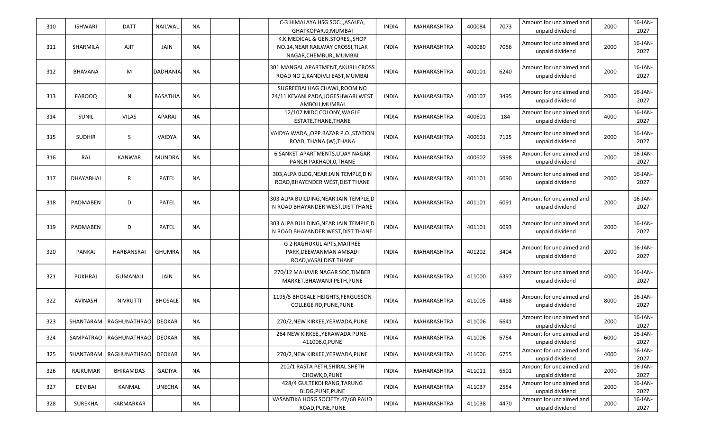| 310 | <b>ISHWARI</b>   | <b>DATT</b>              | <b>NAILWAL</b>  | NA        | C-3 HIMALAYA HSG SOC., ASALFA,<br>GHATKOPAR, 0, MUMBAI                                          | INDIA        | MAHARASHTRA | 400084 | 7073 | Amount for unclaimed and<br>unpaid dividend | 2000 | 16-JAN-<br>2027    |
|-----|------------------|--------------------------|-----------------|-----------|-------------------------------------------------------------------------------------------------|--------------|-------------|--------|------|---------------------------------------------|------|--------------------|
| 311 | SHARMILA         | <b>AJIT</b>              | <b>JAIN</b>     | <b>NA</b> | K.K.MEDICAL & GEN.STORES,, SHOP<br>NO.14, NEAR RAILWAY CROSSI, TILAK<br>NAGAR, CHEMBUR,, MUMBAI | <b>INDIA</b> | MAHARASHTRA | 400089 | 7056 | Amount for unclaimed and<br>unpaid dividend | 2000 | 16-JAN-<br>2027    |
| 312 | <b>BHAVANA</b>   | M                        | <b>DADHANIA</b> | NA        | 301 MANGAL APARTMENT, AKURLI CROSS<br>ROAD NO 2, KANDIVLI EAST, MUMBAI                          | <b>INDIA</b> | MAHARASHTRA | 400101 | 6240 | Amount for unclaimed and<br>unpaid dividend | 2000 | 16-JAN-<br>2027    |
| 313 | <b>FAROOQ</b>    | N                        | <b>BASATHIA</b> | <b>NA</b> | SUGREEBAI HAG CHAWL, ROOM NO<br>24/11 KEVANI PADA, JOGESHWARI WEST<br>AMBOLI.MUMBAI             | <b>INDIA</b> | MAHARASHTRA | 400107 | 3495 | Amount for unclaimed and<br>unpaid dividend | 2000 | 16-JAN-<br>2027    |
| 314 | <b>SUNIL</b>     | <b>VILAS</b>             | APARAJ          | NA        | 12/107 MIDC COLONY, WAGLE<br>ESTATE, THANE, THANE                                               | <b>INDIA</b> | MAHARASHTRA | 400601 | 184  | Amount for unclaimed and<br>unpaid dividend | 4000 | 16-JAN-<br>2027    |
| 315 | <b>SUDHIR</b>    | S                        | VAIDYA          | NA        | VAIDYA WADA,, OPP.BAZAR P.O., STATION<br>ROAD, THANA (W), THANA                                 | <b>INDIA</b> | MAHARASHTRA | 400601 | 7125 | Amount for unclaimed and<br>unpaid dividend | 2000 | 16-JAN-<br>2027    |
| 316 | RAJ              | <b>KANWAR</b>            | <b>MUNDRA</b>   | <b>NA</b> | 6 SANKET APARTMENTS, UDAY NAGAR<br>PANCH PAKHADI, 0, THANE                                      | <b>INDIA</b> | MAHARASHTRA | 400602 | 5998 | Amount for unclaimed and<br>unpaid dividend | 2000 | 16-JAN-<br>2027    |
| 317 | <b>DHAYABHAI</b> | $\mathsf{R}$             | <b>PATEL</b>    | <b>NA</b> | 303, ALPA BLDG, NEAR JAIN TEMPLE, DN<br>ROAD, BHAYENDER WEST, DIST THANE                        | <b>INDIA</b> | MAHARASHTRA | 401101 | 6090 | Amount for unclaimed and<br>unpaid dividend | 2000 | 16-JAN-<br>2027    |
| 318 | PADMABEN         | D                        | <b>PATEL</b>    | <b>NA</b> | 303 ALPA BUILDING, NEAR JAIN TEMPLE, D<br>N ROAD BHAYANDER WEST, DIST THANE                     | <b>INDIA</b> | MAHARASHTRA | 401101 | 6091 | Amount for unclaimed and<br>unpaid dividend | 2000 | 16-JAN-<br>2027    |
| 319 | PADMABEN         | D                        | PATEL           | <b>NA</b> | 303 ALPA BUILDING, NEAR JAIN TEMPLE, D<br>N ROAD BHAYANDER WEST, DIST THANE                     | <b>INDIA</b> | MAHARASHTRA | 401101 | 6093 | Amount for unclaimed and<br>unpaid dividend | 2000 | 16-JAN-<br>2027    |
| 320 | PANKAJ           | HARBANSRAI               | <b>GHUMRA</b>   | NA        | G 2 RAGHUKUL APTS, MAITREE<br>PARK, DEEWANMAN AMBADI<br>ROAD, VASAI, DIST. THANE                | <b>INDIA</b> | MAHARASHTRA | 401202 | 3404 | Amount for unclaimed and<br>unpaid dividend | 2000 | $16$ -JAN-<br>2027 |
| 321 | <b>PUKHRAJ</b>   | GUMANAJI                 | JAIN            | NA        | 270/12 MAHAVIR NAGAR SOC, TIMBER<br>MARKET, BHAWANJI PETH, PUNE                                 | <b>INDIA</b> | MAHARASHTRA | 411000 | 6397 | Amount for unclaimed and<br>unpaid dividend | 4000 | $16$ -JAN-<br>2027 |
| 322 | <b>AVINASH</b>   | <b>NIVRUTTI</b>          | <b>BHOSALE</b>  | NA        | 1195/5 BHOSALE HEIGHTS, FERGUSSON<br><b>COLLEGE RD, PUNE, PUNE</b>                              | <b>INDIA</b> | MAHARASHTRA | 411005 | 4488 | Amount for unclaimed and<br>unpaid dividend | 8000 | 16-JAN-<br>2027    |
| 323 | SHANTARAM        | RAGHUNATHRAO             | <b>DEOKAR</b>   | NA        | 270/2, NEW KIRKEE, YERWADA, PUNE                                                                | <b>INDIA</b> | MAHARASHTRA | 411006 | 6641 | Amount for unclaimed and<br>unpaid dividend | 2000 | 16-JAN-<br>2027    |
| 324 |                  | SAMPATRAO   RAGHUNATHRAO | DEOKAR          | NA.       | 264 NEW KIRKEE,, YERAWADA PUNE-<br>411006,0,PUNE                                                | <b>INDIA</b> | MAHARASHTRA | 411006 | 6754 | Amount for unclaimed and<br>unpaid dividend | 6000 | $16$ -JAN-<br>2027 |
| 325 | SHANTARAM        | <b>RAGHUNATHRAO</b>      | <b>DEOKAR</b>   | NA.       | 270/2.NEW KIRKEE.YERWADA.PUNE                                                                   | <b>INDIA</b> | MAHARASHTRA | 411006 | 6755 | Amount for unclaimed and<br>unpaid dividend | 4000 | $16$ -JAN-<br>2027 |
| 326 | RAJKUMAR         | <b>BHIKAMDAS</b>         | <b>GADIYA</b>   | NA.       | 210/1 RASTA PETH, SHIRAL SHETH<br>CHOWK, 0, PUNE                                                | <b>INDIA</b> | MAHARASHTRA | 411011 | 6501 | Amount for unclaimed and<br>unpaid dividend | 2000 | 16-JAN-<br>2027    |
| 327 | DEVIBAI          | KANMAL                   | <b>UNECHA</b>   | NA.       | 428/4 GULTEKDI RANG, TARUNG<br>BLDG, PUNE, PUNE                                                 | <b>INDIA</b> | MAHARASHTRA | 411037 | 2554 | Amount for unclaimed and<br>unpaid dividend | 2000 | 16-JAN-<br>2027    |
| 328 | <b>SUREKHA</b>   | <b>KARMARKAR</b>         |                 | NA        | VASANTIKA HOSG SOCIETY, 47/6B PAUD<br>ROAD, PUNE, PUNE                                          | <b>INDIA</b> | MAHARASHTRA | 411038 | 4470 | Amount for unclaimed and<br>unpaid dividend | 2000 | 16-JAN-<br>2027    |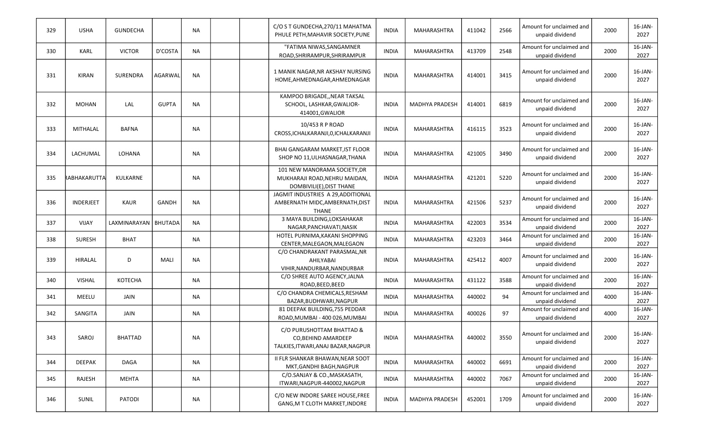| 329 | <b>USHA</b>      | <b>GUNDECHA</b> |                | <b>NA</b> | C/O S T GUNDECHA, 270/11 MAHATMA<br>PHULE PETH, MAHAVIR SOCIETY, PUNE                     | <b>INDIA</b> | MAHARASHTRA           | 411042 | 2566 | Amount for unclaimed and<br>unpaid dividend | 2000 | $16$ -JAN-<br>2027 |
|-----|------------------|-----------------|----------------|-----------|-------------------------------------------------------------------------------------------|--------------|-----------------------|--------|------|---------------------------------------------|------|--------------------|
| 330 | <b>KARL</b>      | <b>VICTOR</b>   | D'COSTA        | <b>NA</b> | "FATIMA NIWAS, SANGAMNER<br>ROAD, SHRIRAMPUR, SHRIRAMPUR                                  | <b>INDIA</b> | MAHARASHTRA           | 413709 | 2548 | Amount for unclaimed and<br>unpaid dividend | 2000 | 16-JAN-<br>2027    |
| 331 | <b>KIRAN</b>     | <b>SURENDRA</b> | <b>AGARWAL</b> | <b>NA</b> | 1 MANIK NAGAR, NR AKSHAY NURSING<br>HOME, AHMEDNAGAR, AHMEDNAGAR                          | <b>INDIA</b> | <b>MAHARASHTRA</b>    | 414001 | 3415 | Amount for unclaimed and<br>unpaid dividend | 2000 | 16-JAN-<br>2027    |
| 332 | <b>MOHAN</b>     | LAL             | <b>GUPTA</b>   | <b>NA</b> | KAMPOO BRIGADE,, NEAR TAKSAL<br>SCHOOL, LASHKAR, GWALIOR-<br>414001, GWALIOR              | <b>INDIA</b> | <b>MADHYA PRADESH</b> | 414001 | 6819 | Amount for unclaimed and<br>unpaid dividend | 2000 | 16-JAN-<br>2027    |
| 333 | MITHALAL         | <b>BAFNA</b>    |                | <b>NA</b> | 10/453 R P ROAD<br>CROSS, ICHALKARANJI, 0, ICHALKARANJI                                   | <b>INDIA</b> | MAHARASHTRA           | 416115 | 3523 | Amount for unclaimed and<br>unpaid dividend | 2000 | 16-JAN-<br>2027    |
| 334 | LACHUMAL         | LOHANA          |                | <b>NA</b> | BHAI GANGARAM MARKET, IST FLOOR<br>SHOP NO 11, ULHASNAGAR, THANA                          | <b>INDIA</b> | MAHARASHTRA           | 421005 | 3490 | Amount for unclaimed and<br>unpaid dividend | 2000 | 16-JAN-<br>2027    |
| 335 | RABHAKARUTTA     | KULKARNE        |                | <b>NA</b> | 101 NEW MANORAMA SOCIETY, DR<br>MUKHARAJI ROAD, NEHRU MAIDAN,<br>DOMBIVILI(E), DIST THANE | <b>INDIA</b> | MAHARASHTRA           | 421201 | 5220 | Amount for unclaimed and<br>unpaid dividend | 2000 | 16-JAN-<br>2027    |
| 336 | <b>INDERJEET</b> | <b>KAUR</b>     | <b>GANDH</b>   | <b>NA</b> | JAGMIT INDUSTRIES A 29, ADDITIONAL<br>AMBERNATH MIDC, AMBERNATH, DIST<br><b>THANE</b>     | <b>INDIA</b> | <b>MAHARASHTRA</b>    | 421506 | 5237 | Amount for unclaimed and<br>unpaid dividend | 2000 | 16-JAN-<br>2027    |
| 337 | VIJAY            | LAXMINARAYAN    | <b>BHUTADA</b> | <b>NA</b> | 3 MAYA BUILDING, LOKSAHAKAR<br>NAGAR, PANCHAVATI, NASIK                                   | <b>INDIA</b> | MAHARASHTRA           | 422003 | 3534 | Amount for unclaimed and<br>unpaid dividend | 2000 | 16-JAN-<br>2027    |
| 338 | SURESH           | <b>BHAT</b>     |                | <b>NA</b> | HOTEL PURNIMA, KAKANI SHOPPING<br>CENTER, MALEGAON, MALEGAON                              | <b>INDIA</b> | MAHARASHTRA           | 423203 | 3464 | Amount for unclaimed and<br>unpaid dividend | 2000 | 16-JAN-<br>2027    |
| 339 | HIRALAL          | D               | MALI           | <b>NA</b> | C/O CHANDRAKANT PARASMAL, NR<br>AHILYABAI<br>VIHIR, NANDURBAR, NANDURBAR                  | <b>INDIA</b> | MAHARASHTRA           | 425412 | 4007 | Amount for unclaimed and<br>unpaid dividend | 2000 | 16-JAN-<br>2027    |
| 340 | <b>VISHAL</b>    | KOTECHA         |                | <b>NA</b> | C/O SHREE AUTO AGENCY, JALNA<br>ROAD, BEED, BEED                                          | <b>INDIA</b> | MAHARASHTRA           | 431122 | 3588 | Amount for unclaimed and<br>unpaid dividend | 2000 | 16-JAN-<br>2027    |
| 341 | MEELU            | JAIN            |                | <b>NA</b> | C/O CHANDRA CHEMICALS, RESHAM<br>BAZAR, BUDHWARI, NAGPUR                                  | <b>INDIA</b> | MAHARASHTRA           | 440002 | 94   | Amount for unclaimed and<br>unpaid dividend | 4000 | 16-JAN-<br>2027    |
| 342 | SANGITA          | JAIN            |                | NA        | 81 DEEPAK BUILDING, 755 PEDDAR<br>ROAD, MUMBAI - 400 026, MUMBAI                          | <b>INDIA</b> | MAHARASHTRA           | 400026 | 97   | Amount for unclaimed and<br>unpaid dividend | 4000 | 16-JAN-<br>2027    |
| 343 | SAROJ            | <b>BHATTAD</b>  |                | NA        | C/O PURUSHOTTAM BHATTAD &<br>CO, BEHIND AMARDEEP<br>TALKIES, ITWARI, ANAJ BAZAR, NAGPUR   | <b>INDIA</b> | MAHARASHTRA           | 440002 | 3550 | Amount for unclaimed and<br>unpaid dividend | 2000 | 16-JAN-<br>2027    |
| 344 | <b>DEEPAK</b>    | <b>DAGA</b>     |                | <b>NA</b> | II FLR SHANKAR BHAWAN, NEAR SOOT<br>MKT, GANDHI BAGH, NAGPUR                              | <b>INDIA</b> | MAHARASHTRA           | 440002 | 6691 | Amount for unclaimed and<br>unpaid dividend | 2000 | 16-JAN-<br>2027    |
| 345 | RAJESH           | MEHTA           |                | NA        | C/O.SANJAY & CO., MASKASATH,<br>ITWARI, NAGPUR-440002, NAGPUR                             | <b>INDIA</b> | MAHARASHTRA           | 440002 | 7067 | Amount for unclaimed and<br>unpaid dividend | 2000 | 16-JAN-<br>2027    |
| 346 | SUNIL            | <b>PATODI</b>   |                | NA        | C/O NEW INDORE SAREE HOUSE, FREE<br>GANG, M T CLOTH MARKET, INDORE                        | <b>INDIA</b> | MADHYA PRADESH        | 452001 | 1709 | Amount for unclaimed and<br>unpaid dividend | 2000 | $16$ -JAN-<br>2027 |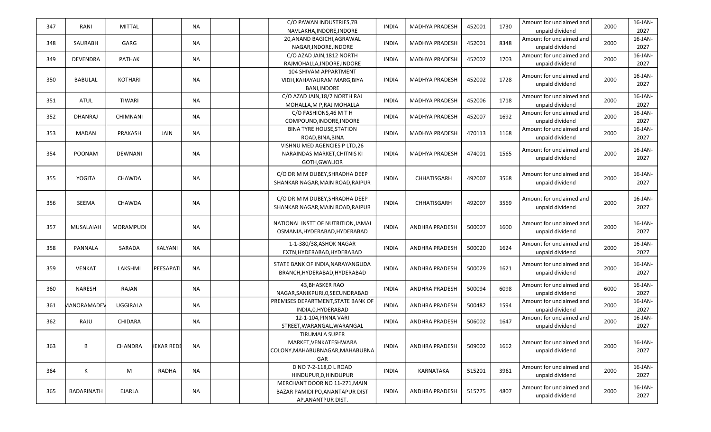| 347 | RANI             | MITTAL           |            | <b>NA</b> | C/O PAWAN INDUSTRIES, 7B           | <b>INDIA</b> | MADHYA PRADESH        | 452001 | 1730 | Amount for unclaimed and | 2000 | 16-JAN-    |
|-----|------------------|------------------|------------|-----------|------------------------------------|--------------|-----------------------|--------|------|--------------------------|------|------------|
|     |                  |                  |            |           | NAVLAKHA, INDORE, INDORE           |              |                       |        |      | unpaid dividend          |      | 2027       |
| 348 | SAURABH          | GARG             |            | <b>NA</b> | 20, ANAND BAGICHI, AGRAWAL         | <b>INDIA</b> | <b>MADHYA PRADESH</b> | 452001 | 8348 | Amount for unclaimed and | 2000 | 16-JAN-    |
|     |                  |                  |            |           | NAGAR, INDORE, INDORE              |              |                       |        |      | unpaid dividend          |      | 2027       |
| 349 | <b>DEVENDRA</b>  | <b>PATHAK</b>    |            | <b>NA</b> | C/O AZAD JAIN, 1812 NORTH          | <b>INDIA</b> | <b>MADHYA PRADESH</b> | 452002 | 1703 | Amount for unclaimed and | 2000 | 16-JAN-    |
|     |                  |                  |            |           | RAJMOHALLA, INDORE, INDORE         |              |                       |        |      | unpaid dividend          |      | 2027       |
|     |                  |                  |            |           | 104 SHIVAM APPARTMENT              |              |                       |        |      | Amount for unclaimed and |      | 16-JAN-    |
| 350 | BABULAL          | <b>KOTHARI</b>   |            | NA        | VIDH, KAHAYALIRAM MARG, BIYA       | <b>INDIA</b> | <b>MADHYA PRADESH</b> | 452002 | 1728 | unpaid dividend          | 2000 | 2027       |
|     |                  |                  |            |           | <b>BANI.INDORE</b>                 |              |                       |        |      |                          |      |            |
| 351 | ATUL             | <b>TIWARI</b>    |            | NA        | C/O AZAD JAIN, 18/2 NORTH RAJ      | <b>INDIA</b> | <b>MADHYA PRADESH</b> | 452006 | 1718 | Amount for unclaimed and | 2000 | 16-JAN-    |
|     |                  |                  |            |           | MOHALLA, M P, RAJ MOHALLA          |              |                       |        |      | unpaid dividend          |      | 2027       |
| 352 | DHANRAJ          | CHIMNANI         |            | NA        | C/O FASHIONS, 46 M T H             | <b>INDIA</b> | MADHYA PRADESH        | 452007 | 1692 | Amount for unclaimed and | 2000 | 16-JAN-    |
|     |                  |                  |            |           | COMPOUND, INDORE, INDORE           |              |                       |        |      | unpaid dividend          |      | 2027       |
| 353 | MADAN            | PRAKASH          | JAIN       | <b>NA</b> | <b>BINA TYRE HOUSE, STATION</b>    | <b>INDIA</b> | <b>MADHYA PRADESH</b> | 470113 | 1168 | Amount for unclaimed and | 2000 | 16-JAN-    |
|     |                  |                  |            |           | ROAD, BINA, BINA                   |              |                       |        |      | unpaid dividend          |      | 2027       |
|     |                  |                  |            |           | VISHNU MED AGENCIES P LTD,26       |              |                       |        |      | Amount for unclaimed and |      | 16-JAN-    |
| 354 | <b>POONAM</b>    | DEWNANI          |            | <b>NA</b> | NARAINDAS MARKET, CHITNIS KI       | INDIA        | MADHYA PRADESH        | 474001 | 1565 | unpaid dividend          | 2000 | 2027       |
|     |                  |                  |            |           | GOTH, GWALIOR                      |              |                       |        |      |                          |      |            |
|     |                  |                  |            |           | C/O DR M M DUBEY, SHRADHA DEEP     |              |                       |        |      | Amount for unclaimed and |      | 16-JAN-    |
| 355 | YOGITA           | <b>CHAWDA</b>    |            | <b>NA</b> | SHANKAR NAGAR, MAIN ROAD, RAIPUR   | <b>INDIA</b> | <b>CHHATISGARH</b>    | 492007 | 3568 | unpaid dividend          | 2000 | 2027       |
|     |                  |                  |            |           |                                    |              |                       |        |      |                          |      |            |
|     |                  |                  |            |           | C/O DR M M DUBEY, SHRADHA DEEP     |              |                       |        |      | Amount for unclaimed and |      | 16-JAN-    |
| 356 | SEEMA            | CHAWDA           |            | NA        | SHANKAR NAGAR, MAIN ROAD, RAIPUR   | <b>INDIA</b> | <b>CHHATISGARH</b>    | 492007 | 3569 | unpaid dividend          | 2000 | 2027       |
|     |                  |                  |            |           |                                    |              |                       |        |      |                          |      |            |
|     |                  |                  |            |           | NATIONAL INSTT OF NUTRITION, JAMAI |              |                       |        |      | Amount for unclaimed and |      | 16-JAN-    |
| 357 | <b>MUSALAIAH</b> | <b>MORAMPUDI</b> |            | NA        | OSMANIA, HYDERABAD, HYDERABAD      | <b>INDIA</b> | <b>ANDHRA PRADESH</b> | 500007 | 1600 | unpaid dividend          | 2000 | 2027       |
|     |                  |                  |            |           |                                    |              |                       |        |      |                          |      |            |
| 358 | PANNALA          | SARADA           | KALYANI    | <b>NA</b> | 1-1-380/38, ASHOK NAGAR            | INDIA        | <b>ANDHRA PRADESH</b> | 500020 | 1624 | Amount for unclaimed and | 2000 | 16-JAN-    |
|     |                  |                  |            |           | EXTN, HYDERABAD, HYDERABAD         |              |                       |        |      | unpaid dividend          |      | 2027       |
|     |                  |                  |            |           | STATE BANK OF INDIA, NARAYANGUDA   |              |                       |        |      | Amount for unclaimed and |      | 16-JAN-    |
| 359 | <b>VENKAT</b>    | LAKSHMI          | PEESAPATI  | <b>NA</b> | BRANCH, HYDERABAD, HYDERABAD       | <b>INDIA</b> | <b>ANDHRA PRADESH</b> | 500029 | 1621 | unpaid dividend          | 2000 | 2027       |
|     |                  |                  |            |           |                                    |              |                       |        |      |                          |      |            |
| 360 | <b>NARESH</b>    | RAJAN            |            | NA        | 43, BHASKER RAO                    | <b>INDIA</b> | <b>ANDHRA PRADESH</b> | 500094 | 6098 | Amount for unclaimed and | 6000 | 16-JAN-    |
|     |                  |                  |            |           | NAGAR, SANIKPURI, 0, SECUNDRABAD   |              |                       |        |      | unpaid dividend          |      | 2027       |
| 361 | MANORAMADEV      | UGGIRALA         |            | NA        | PREMISES DEPARTMENT, STATE BANK OF | <b>INDIA</b> | <b>ANDHRA PRADESH</b> | 500482 | 1594 | Amount for unclaimed and | 2000 | 16-JAN-    |
|     |                  |                  |            |           | INDIA, 0, HYDERABAD                |              |                       |        |      | unpaid dividend          |      | 2027       |
| 362 | RAJU             | CHIDARA          |            | <b>NA</b> | 12-1-104, PINNA VARI               | <b>INDIA</b> | <b>ANDHRA PRADESH</b> | 506002 | 1647 | Amount for unclaimed and | 2000 | 16-JAN-    |
|     |                  |                  |            |           | STREET, WARANGAL, WARANGAL         |              |                       |        |      | unpaid dividend          |      | 2027       |
|     |                  |                  |            |           | <b>TIRUMALA SUPER</b>              |              |                       |        |      |                          |      |            |
| 363 | В                | <b>CHANDRA</b>   | IEKAR REDI | NA        | MARKET, VENKATESHWARA              | <b>INDIA</b> | <b>ANDHRA PRADESH</b> | 509002 | 1662 | Amount for unclaimed and | 2000 | $16$ -JAN- |
|     |                  |                  |            |           | COLONY, MAHABUBNAGAR, MAHABUBNA    |              |                       |        |      | unpaid dividend          |      | 2027       |
|     |                  |                  |            |           | GAR                                |              |                       |        |      |                          |      |            |
| 364 | К                | M                | RADHA      | NA        | D NO 7-2-118, D L ROAD             | <b>INDIA</b> | KARNATAKA             | 515201 | 3961 | Amount for unclaimed and | 2000 | 16-JAN-    |
|     |                  |                  |            |           | HINDUPUR, 0, HINDUPUR              |              |                       |        |      | unpaid dividend          |      | 2027       |
|     |                  |                  |            |           | MERCHANT DOOR NO 11-271, MAIN      |              |                       |        |      | Amount for unclaimed and |      | 16-JAN-    |
| 365 | BADARINATH       | EJARLA           |            | <b>NA</b> | BAZAR PAMIDI PO, ANANTAPUR DIST    | <b>INDIA</b> | <b>ANDHRA PRADESH</b> | 515775 | 4807 | unpaid dividend          | 2000 | 2027       |
|     |                  |                  |            |           | AP, ANANTPUR DIST.                 |              |                       |        |      |                          |      |            |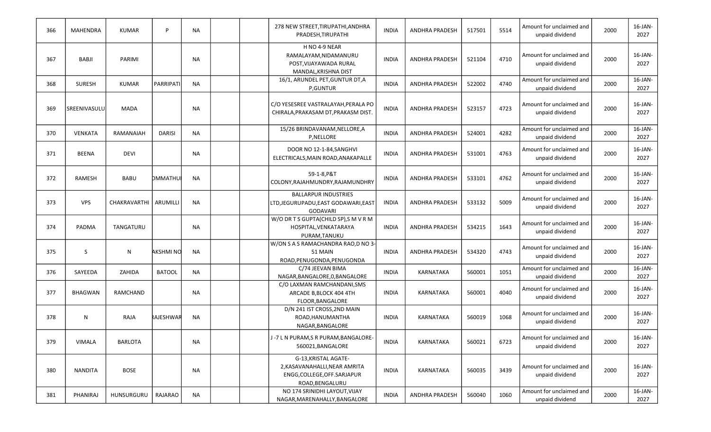| 366 | MAHENDRA       | <b>KUMAR</b>        | P.               | <b>NA</b> | 278 NEW STREET, TIRUPATHI, ANDHRA<br>PRADESH, TIRUPATHI                                                 | <b>INDIA</b> | <b>ANDHRA PRADESH</b> | 517501 | 5514 | Amount for unclaimed and<br>unpaid dividend | 2000 | 16-JAN-<br>2027    |
|-----|----------------|---------------------|------------------|-----------|---------------------------------------------------------------------------------------------------------|--------------|-----------------------|--------|------|---------------------------------------------|------|--------------------|
| 367 | BABJI          | <b>PARIMI</b>       |                  | <b>NA</b> | H NO 4-9 NEAR<br>RAMALAYAM, NIDAMANURU<br>POST, VIJAYAWADA RURAL<br>MANDAL, KRISHNA DIST                | <b>INDIA</b> | <b>ANDHRA PRADESH</b> | 521104 | 4710 | Amount for unclaimed and<br>unpaid dividend | 2000 | 16-JAN-<br>2027    |
| 368 | <b>SURESH</b>  | <b>KUMAR</b>        | PARRIPATI        | <b>NA</b> | 16/1, ARUNDEL PET, GUNTUR DT, A<br>P,GUNTUR                                                             | <b>INDIA</b> | <b>ANDHRA PRADESH</b> | 522002 | 4740 | Amount for unclaimed and<br>unpaid dividend | 2000 | 16-JAN-<br>2027    |
| 369 | SREENIVASULU   | <b>MADA</b>         |                  | <b>NA</b> | C/O YESESREE VASTRALAYAH, PERALA PO<br>CHIRALA, PRAKASAM DT, PRAKASM DIST.                              | <b>INDIA</b> | <b>ANDHRA PRADESH</b> | 523157 | 4723 | Amount for unclaimed and<br>unpaid dividend | 2000 | 16-JAN-<br>2027    |
| 370 | <b>VENKATA</b> | RAMANAIAH           | <b>DARISI</b>    | <b>NA</b> | 15/26 BRINDAVANAM, NELLORE, A<br>P,NELLORE                                                              | <b>INDIA</b> | ANDHRA PRADESH        | 524001 | 4282 | Amount for unclaimed and<br>unpaid dividend | 2000 | 16-JAN-<br>2027    |
| 371 | <b>BEENA</b>   | <b>DEVI</b>         |                  | <b>NA</b> | DOOR NO 12-1-84, SANGHVI<br>ELECTRICALS, MAIN ROAD, ANAKAPALLE                                          | <b>INDIA</b> | <b>ANDHRA PRADESH</b> | 531001 | 4763 | Amount for unclaimed and<br>unpaid dividend | 2000 | 16-JAN-<br>2027    |
| 372 | RAMESH         | <b>BABU</b>         | DMMATHUI         | <b>NA</b> | 59-1-8, P&T<br>COLONY, RAJAHMUNDRY, RAJAMUNDHRY                                                         | <b>INDIA</b> | <b>ANDHRA PRADESH</b> | 533101 | 4762 | Amount for unclaimed and<br>unpaid dividend | 2000 | 16-JAN-<br>2027    |
| 373 | <b>VPS</b>     | <b>CHAKRAVARTHI</b> | ARUMILLI         | <b>NA</b> | <b>BALLARPUR INDUSTRIES</b><br>LTD, JEGURUPADU, EAST GODAWARI, EAST<br>GODAVARI                         | <b>INDIA</b> | <b>ANDHRA PRADESH</b> | 533132 | 5009 | Amount for unclaimed and<br>unpaid dividend | 2000 | 16-JAN-<br>2027    |
| 374 | PADMA          | TANGATURU           |                  | <b>NA</b> | W/O DR T S GUPTA(CHILD SP), S M V R M<br>HOSPITAL, VENKATARAYA<br>PURAM, TANUKU                         | <b>INDIA</b> | <b>ANDHRA PRADESH</b> | 534215 | 1643 | Amount for unclaimed and<br>unpaid dividend | 2000 | 16-JAN-<br>2027    |
| 375 | S              | N                   | AKSHMI NO        | <b>NA</b> | W/ON S A S RAMACHANDRA RAO, D NO 3-<br>51 MAIN<br>ROAD, PENUGONDA, PENUGONDA                            | <b>INDIA</b> | <b>ANDHRA PRADESH</b> | 534320 | 4743 | Amount for unclaimed and<br>unpaid dividend | 2000 | 16-JAN-<br>2027    |
| 376 | SAYEEDA        | ZAHIDA              | <b>BATOOL</b>    | <b>NA</b> | C/74 JEEVAN BIMA<br>NAGAR, BANGALORE, 0, BANGALORE                                                      | <b>INDIA</b> | KARNATAKA             | 560001 | 1051 | Amount for unclaimed and<br>unpaid dividend | 2000 | 16-JAN-<br>2027    |
| 377 | <b>BHAGWAN</b> | RAMCHAND            |                  | <b>NA</b> | C/O LAXMAN RAMCHANDANI, SMS<br>ARCADE B, BLOCK 404 4TH<br>FLOOR, BANGALORE                              | <b>INDIA</b> | KARNATAKA             | 560001 | 4040 | Amount for unclaimed and<br>unpaid dividend | 2000 | 16-JAN-<br>2027    |
| 378 | N              | RAJA                | <b>RAJESHWAR</b> | <b>NA</b> | D/N 241 IST CROSS, 2ND MAIN<br>ROAD, HANUMANTHA<br>NAGAR, BANGALORE                                     | <b>INDIA</b> | KARNATAKA             | 560019 | 1068 | Amount for unclaimed and<br>unpaid dividend | 2000 | 16-JAN-<br>2027    |
| 379 | VIMALA         | <b>BARLOTA</b>      |                  | <b>NA</b> | J-7 L N PURAM, S R PURAM, BANGALORE-<br>560021, BANGALORE                                               | <b>INDIA</b> | KARNATAKA             | 560021 | 6723 | Amount for unclaimed and<br>unpaid dividend | 2000 | $16$ -JAN-<br>2027 |
| 380 | <b>NANDITA</b> | <b>BOSE</b>         |                  | <b>NA</b> | G-13.KRISTAL AGATE-<br>2, KASAVANAHALLI, NEAR AMRITA<br>ENGG, COLLEGE, OFF. SARJAPUR<br>ROAD, BENGALURU | <b>INDIA</b> | KARNATAKA             | 560035 | 3439 | Amount for unclaimed and<br>unpaid dividend | 2000 | 16-JAN-<br>2027    |
| 381 | PHANIRAJ       | HUNSURGURU          | RAJARAO          | <b>NA</b> | NO 174 SRINIDHI LAYOUT, VIJAY<br>NAGAR, MARENAHALLY, BANGALORE                                          | <b>INDIA</b> | ANDHRA PRADESH        | 560040 | 1060 | Amount for unclaimed and<br>unpaid dividend | 2000 | 16-JAN-<br>2027    |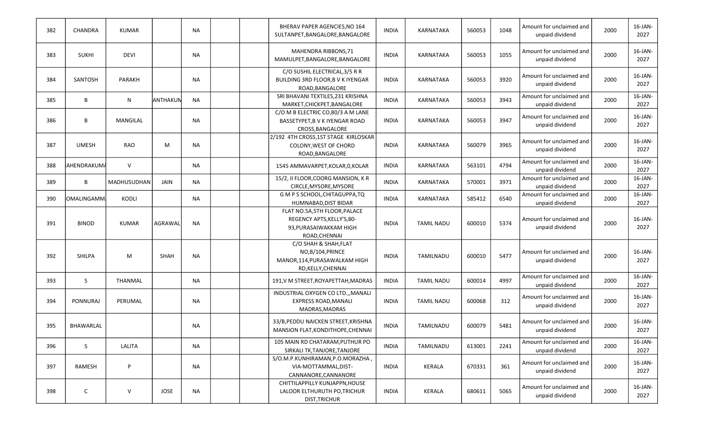| 382 | <b>CHANDRA</b> | <b>KUMAR</b> |             | <b>NA</b> | BHERAV PAPER AGENCIES, NO 164<br>SULTANPET, BANGALORE, BANGALORE                                       | <b>INDIA</b> | KARNATAKA         | 560053 | 1048 | Amount for unclaimed and<br>unpaid dividend | 2000 | 16-JAN-<br>2027    |
|-----|----------------|--------------|-------------|-----------|--------------------------------------------------------------------------------------------------------|--------------|-------------------|--------|------|---------------------------------------------|------|--------------------|
| 383 | <b>SUKHI</b>   | <b>DEVI</b>  |             | <b>NA</b> | MAHENDRA RIBBONS, 71<br>MAMULPET, BANGALORE, BANGALORE                                                 | <b>INDIA</b> | KARNATAKA         | 560053 | 1055 | Amount for unclaimed and<br>unpaid dividend | 2000 | 16-JAN-<br>2027    |
| 384 | SANTOSH        | PARAKH       |             | <b>NA</b> | C/O SUSHIL ELECTRICAL, 3/5 R R<br>BUILDING 3RD FLOOR, B V K IYENGAR<br>ROAD, BANGALORE                 | <b>INDIA</b> | KARNATAKA         | 560053 | 3920 | Amount for unclaimed and<br>unpaid dividend | 2000 | 16-JAN-<br>2027    |
| 385 | В              | N            | ANTHAKUN    | <b>NA</b> | SRI BHAVANI TEXTILES, 231 KRISHNA<br>MARKET, CHICKPET, BANGALORE                                       | <b>INDIA</b> | KARNATAKA         | 560053 | 3943 | Amount for unclaimed and<br>unpaid dividend | 2000 | 16-JAN-<br>2027    |
| 386 | В              | MANGILAL     |             | <b>NA</b> | C/O M B ELECTRIC CO,80/3 A M LANE<br>BASSETYPET, B V K IYENGAR ROAD<br>CROSS, BANGALORE                | <b>INDIA</b> | KARNATAKA         | 560053 | 3947 | Amount for unclaimed and<br>unpaid dividend | 2000 | 16-JAN-<br>2027    |
| 387 | <b>UMESH</b>   | <b>RAO</b>   | M           | <b>NA</b> | 2/192 4TH CROSS, 1ST STAGE KIRLOSKAR<br>COLONY, WEST OF CHORD<br>ROAD, BANGALORE                       | <b>INDIA</b> | KARNATAKA         | 560079 | 3965 | Amount for unclaimed and<br>unpaid dividend | 2000 | $16$ -JAN-<br>2027 |
| 388 | AHENDRAKUMA    | $\vee$       |             | <b>NA</b> | 1545 AMMAVARPET, KOLAR, O, KOLAR                                                                       | <b>INDIA</b> | KARNATAKA         | 563101 | 4794 | Amount for unclaimed and<br>unpaid dividend | 2000 | 16-JAN-<br>2027    |
| 389 | В              | MADHUSUDHAN  | JAIN        | <b>NA</b> | 15/2, II FLOOR, COORG MANSION, KR<br>CIRCLE, MYSORE, MYSORE                                            | <b>INDIA</b> | KARNATAKA         | 570001 | 3971 | Amount for unclaimed and<br>unpaid dividend | 2000 | 16-JAN-<br>2027    |
| 390 | OMALINGAMM     | <b>KODLI</b> |             | <b>NA</b> | G M P S SCHOOL, CHITAGUPPA, TQ<br>HUMNABAD, DIST BIDAR                                                 | <b>INDIA</b> | KARNATAKA         | 585412 | 6540 | Amount for unclaimed and<br>unpaid dividend | 2000 | 16-JAN-<br>2027    |
| 391 | <b>BINOD</b>   | <b>KUMAR</b> | AGRAWAL     | <b>NA</b> | FLAT NO.5A, 5TH FLOOR, PALACE<br>REGENCY APTS, KELLY'S, 80-<br>93, PURASAIWAKKAM HIGH<br>ROAD, CHENNAI | <b>INDIA</b> | <b>TAMIL NADU</b> | 600010 | 5374 | Amount for unclaimed and<br>unpaid dividend | 2000 | 16-JAN-<br>2027    |
| 392 | <b>SHILPA</b>  | M            | <b>SHAH</b> | <b>NA</b> | C/O SHAH & SHAH, FLAT<br>NO,B/104, PRINCE<br>MANOR, 114, PURASAWALKAM HIGH<br>RD, KELLY, CHENNAI       | <b>INDIA</b> | TAMILNADU         | 600010 | 5477 | Amount for unclaimed and<br>unpaid dividend | 2000 | 16-JAN-<br>2027    |
| 393 | S              | THANMAL      |             | <b>NA</b> | 191, V M STREET, ROYAPETTAH, MADRAS                                                                    | <b>INDIA</b> | <b>TAMIL NADU</b> | 600014 | 4997 | Amount for unclaimed and<br>unpaid dividend | 2000 | $16$ -JAN-<br>2027 |
| 394 | PONNURAJ       | PERUMAL      |             | <b>NA</b> | INDUSTRIAL OXYGEN CO LTD.,, MANALI<br><b>EXPRESS ROAD, MANALI</b><br>MADRAS, MADRAS                    | <b>INDIA</b> | <b>TAMIL NADU</b> | 600068 | 312  | Amount for unclaimed and<br>unpaid dividend | 2000 | 16-JAN-<br>2027    |
| 395 | BHAWARLAL      |              |             | <b>NA</b> | 33/B, PEDDU NAICKEN STREET, KRISHNA<br>MANSION FLAT, KONDITHOPE, CHENNAI                               | <b>INDIA</b> | TAMILNADU         | 600079 | 5481 | Amount for unclaimed and<br>unpaid dividend | 2000 | 16-JAN-<br>2027    |
| 396 | S              | LALITA       |             | NA        | 105 MAIN RD CHATARAM, PUTHUR PO<br>SIRKALI TK, TANJORE, TANJORE                                        | <b>INDIA</b> | TAMILNADU         | 613001 | 2241 | Amount for unclaimed and<br>unpaid dividend | 2000 | $16$ -JAN-<br>2027 |
| 397 | RAMESH         | P            |             | NA        | S/O.M.P.KUNHIRAMAN,P.O.MORAZHA,<br>VIA-MOTTAMMAL, DIST-<br>CANNANORE, CANNANORE                        | <b>INDIA</b> | KERALA            | 670331 | 361  | Amount for unclaimed and<br>unpaid dividend | 2000 | 16-JAN-<br>2027    |
| 398 | C              | V            | JOSE        | <b>NA</b> | CHITTILAPPILLY KUNJAPPN, HOUSE<br>LALOOR ELTHURUTH PO, TRICHUR<br>DIST, TRICHUR                        | <b>INDIA</b> | KERALA            | 680611 | 5065 | Amount for unclaimed and<br>unpaid dividend | 2000 | $16$ -JAN-<br>2027 |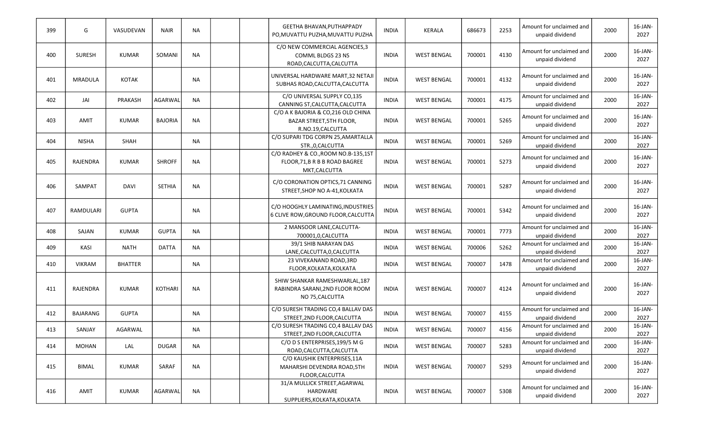| 399 | G             | VASUDEVAN      | <b>NAIR</b>    | <b>NA</b> | <b>GEETHA BHAVAN, PUTHAPPADY</b><br>PO, MUVATTU PUZHA, MUVATTU PUZHA                        | <b>INDIA</b> | <b>KERALA</b>      | 686673 | 2253 | Amount for unclaimed and<br>unpaid dividend | 2000 | $16$ -JAN-<br>2027 |
|-----|---------------|----------------|----------------|-----------|---------------------------------------------------------------------------------------------|--------------|--------------------|--------|------|---------------------------------------------|------|--------------------|
| 400 | <b>SURESH</b> | <b>KUMAR</b>   | SOMANI         | <b>NA</b> | C/O NEW COMMERCIAL AGENCIES,3<br><b>COMML BLDGS 23 NS</b><br>ROAD, CALCUTTA, CALCUTTA       | <b>INDIA</b> | <b>WEST BENGAL</b> | 700001 | 4130 | Amount for unclaimed and<br>unpaid dividend | 2000 | 16-JAN-<br>2027    |
| 401 | MRADULA       | <b>KOTAK</b>   |                | NA        | UNIVERSAL HARDWARE MART, 32 NETAJI<br>SUBHAS ROAD, CALCUTTA, CALCUTTA                       | <b>INDIA</b> | <b>WEST BENGAL</b> | 700001 | 4132 | Amount for unclaimed and<br>unpaid dividend | 2000 | 16-JAN-<br>2027    |
| 402 | JAI           | PRAKASH        | AGARWAL        | <b>NA</b> | C/O UNIVERSAL SUPPLY CO,135<br>CANNING ST, CALCUTTA, CALCUTTA                               | <b>INDIA</b> | <b>WEST BENGAL</b> | 700001 | 4175 | Amount for unclaimed and<br>unpaid dividend | 2000 | 16-JAN-<br>2027    |
| 403 | AMIT          | <b>KUMAR</b>   | <b>BAJORIA</b> | <b>NA</b> | C/O A K BAJORIA & CO, 216 OLD CHINA<br><b>BAZAR STREET, 5TH FLOOR,</b><br>R.NO.19, CALCUTTA | <b>INDIA</b> | <b>WEST BENGAL</b> | 700001 | 5265 | Amount for unclaimed and<br>unpaid dividend | 2000 | $16$ -JAN-<br>2027 |
| 404 | <b>NISHA</b>  | <b>SHAH</b>    |                | <b>NA</b> | C/O SUPARI TDG CORPN 25, AMARTALLA<br>STR., 0, CALCUTTA                                     | <b>INDIA</b> | <b>WEST BENGAL</b> | 700001 | 5269 | Amount for unclaimed and<br>unpaid dividend | 2000 | 16-JAN-<br>2027    |
| 405 | RAJENDRA      | <b>KUMAR</b>   | <b>SHROFF</b>  | <b>NA</b> | C/O RADHEY & CO., ROOM NO.B-135, 1ST<br>FLOOR, 71, B R B B ROAD BAGREE<br>MKT, CALCUTTA     | <b>INDIA</b> | <b>WEST BENGAL</b> | 700001 | 5273 | Amount for unclaimed and<br>unpaid dividend | 2000 | 16-JAN-<br>2027    |
| 406 | SAMPAT        | DAVI           | <b>SETHIA</b>  | <b>NA</b> | C/O CORONATION OPTICS, 71 CANNING<br>STREET, SHOP NO A-41, KOLKATA                          | <b>INDIA</b> | <b>WEST BENGAL</b> | 700001 | 5287 | Amount for unclaimed and<br>unpaid dividend | 2000 | 16-JAN-<br>2027    |
| 407 | RAMDULARI     | <b>GUPTA</b>   |                | <b>NA</b> | C/O HOOGHLY LAMINATING, INDUSTRIES<br>6 CLIVE ROW, GROUND FLOOR, CALCUTTA                   | <b>INDIA</b> | <b>WEST BENGAL</b> | 700001 | 5342 | Amount for unclaimed and<br>unpaid dividend | 2000 | 16-JAN-<br>2027    |
| 408 | SAJAN         | <b>KUMAR</b>   | <b>GUPTA</b>   | NA        | 2 MANSOOR LANE, CALCUTTA-<br>700001,0, CALCUTTA                                             | <b>INDIA</b> | <b>WEST BENGAL</b> | 700001 | 7773 | Amount for unclaimed and<br>unpaid dividend | 2000 | 16-JAN-<br>2027    |
| 409 | KASI          | <b>NATH</b>    | <b>DATTA</b>   | <b>NA</b> | 39/1 SHIB NARAYAN DAS<br>LANE, CALCUTTA, 0, CALCUTTA                                        | INDIA        | <b>WEST BENGAL</b> | 700006 | 5262 | Amount for unclaimed and<br>unpaid dividend | 2000 | 16-JAN-<br>2027    |
| 410 | <b>VIKRAM</b> | <b>BHATTER</b> |                | <b>NA</b> | 23 VIVEKANAND ROAD, 3RD<br>FLOOR, KOLKATA, KOLKATA                                          | <b>INDIA</b> | <b>WEST BENGAL</b> | 700007 | 1478 | Amount for unclaimed and<br>unpaid dividend | 2000 | 16-JAN-<br>2027    |
| 411 | RAJENDRA      | <b>KUMAR</b>   | KOTHARI        | <b>NA</b> | SHIW SHANKAR RAMESHWARLAL, 187<br>RABINDRA SARANI, 2ND FLOOR ROOM<br>NO 75, CALCUTTA        | <b>INDIA</b> | <b>WEST BENGAL</b> | 700007 | 4124 | Amount for unclaimed and<br>unpaid dividend | 2000 | $16$ -JAN-<br>2027 |
| 412 | BAJARANG      | <b>GUPTA</b>   |                | NA        | C/O SURESH TRADING CO,4 BALLAV DAS<br>STREET, 2ND FLOOR, CALCUTTA                           | <b>INDIA</b> | <b>WEST BENGAL</b> | 700007 | 4155 | Amount for unclaimed and<br>unpaid dividend | 2000 | 16-JAN-<br>2027    |
| 413 | SANJAY        | AGARWAL        |                | <b>NA</b> | C/O SURESH TRADING CO,4 BALLAV DAS<br>STREET, 2ND FLOOR, CALCUTTA                           | <b>INDIA</b> | <b>WEST BENGAL</b> | 700007 | 4156 | Amount for unclaimed and<br>unpaid dividend | 2000 | 16-JAN-<br>2027    |
| 414 | MOHAN         | LAL            | <b>DUGAR</b>   | NA        | C/O D S ENTERPRISES, 199/5 M G<br>ROAD, CALCUTTA, CALCUTTA                                  | <b>INDIA</b> | <b>WEST BENGAL</b> | 700007 | 5283 | Amount for unclaimed and<br>unpaid dividend | 2000 | $16$ -JAN-<br>2027 |
| 415 | BIMAL         | <b>KUMAR</b>   | SARAF          | <b>NA</b> | C/O KAUSHIK ENTERPRISES, 11A<br>MAHARSHI DEVENDRA ROAD, 5TH<br>FLOOR, CALCUTTA              | <b>INDIA</b> | <b>WEST BENGAL</b> | 700007 | 5293 | Amount for unclaimed and<br>unpaid dividend | 2000 | 16-JAN-<br>2027    |
| 416 | AMIT          | <b>KUMAR</b>   | AGARWAL        | <b>NA</b> | 31/A MULLICK STREET, AGARWAL<br>HARDWARE<br>SUPPLIERS, KOLKATA, KOLKATA                     | <b>INDIA</b> | <b>WEST BENGAL</b> | 700007 | 5308 | Amount for unclaimed and<br>unpaid dividend | 2000 | $16$ -JAN-<br>2027 |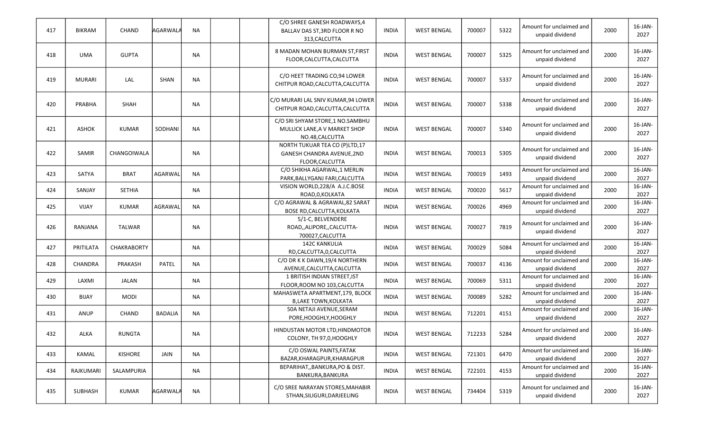| 417 | <b>BIKRAM</b>  | <b>CHAND</b>       | AGARWALA       | <b>NA</b> | C/O SHREE GANESH ROADWAYS,4<br>BALLAV DAS ST, 3RD FLOOR R NO<br>313, CALCUTTA       | <b>INDIA</b> | <b>WEST BENGAL</b> | 700007 | 5322 | Amount for unclaimed and<br>unpaid dividend | 2000 | 16-JAN-<br>2027    |
|-----|----------------|--------------------|----------------|-----------|-------------------------------------------------------------------------------------|--------------|--------------------|--------|------|---------------------------------------------|------|--------------------|
| 418 | <b>UMA</b>     | <b>GUPTA</b>       |                | <b>NA</b> | 8 MADAN MOHAN BURMAN ST, FIRST<br>FLOOR, CALCUTTA, CALCUTTA                         | <b>INDIA</b> | <b>WEST BENGAL</b> | 700007 | 5325 | Amount for unclaimed and<br>unpaid dividend | 2000 | 16-JAN-<br>2027    |
| 419 | <b>MURARI</b>  | LAL                | <b>SHAN</b>    | <b>NA</b> | C/O HEET TRADING CO,94 LOWER<br>CHITPUR ROAD, CALCUTTA, CALCUTTA                    | <b>INDIA</b> | <b>WEST BENGAL</b> | 700007 | 5337 | Amount for unclaimed and<br>unpaid dividend | 2000 | 16-JAN-<br>2027    |
| 420 | PRABHA         | SHAH               |                | NA        | C/O MURARI LAL SNIV KUMAR,94 LOWER<br>CHITPUR ROAD, CALCUTTA, CALCUTTA              | <b>INDIA</b> | <b>WEST BENGAL</b> | 700007 | 5338 | Amount for unclaimed and<br>unpaid dividend | 2000 | 16-JAN-<br>2027    |
| 421 | <b>ASHOK</b>   | <b>KUMAR</b>       | SODHANI        | <b>NA</b> | C/O SRI SHYAM STORE,1 NO.SAMBHU<br>MULLICK LANE, A V MARKET SHOP<br>NO.48, CALCUTTA | <b>INDIA</b> | <b>WEST BENGAL</b> | 700007 | 5340 | Amount for unclaimed and<br>unpaid dividend | 2000 | 16-JAN-<br>2027    |
| 422 | SAMIR          | CHANGOIWALA        |                | <b>NA</b> | NORTH TUKUAR TEA CO (P)LTD,17<br>GANESH CHANDRA AVENUE, 2ND<br>FLOOR, CALCUTTA      | <b>INDIA</b> | <b>WEST BENGAL</b> | 700013 | 5305 | Amount for unclaimed and<br>unpaid dividend | 2000 | 16-JAN-<br>2027    |
| 423 | SATYA          | <b>BRAT</b>        | AGARWAL        | <b>NA</b> | C/O SHIKHA AGARWAL, 1 MERLIN<br>PARK, BALLYGANJ FARI, CALCUTTA                      | <b>INDIA</b> | <b>WEST BENGAL</b> | 700019 | 1493 | Amount for unclaimed and<br>unpaid dividend | 2000 | 16-JAN-<br>2027    |
| 424 | SANJAY         | <b>SETHIA</b>      |                | NA        | VISION WORLD, 228/A A.J.C.BOSE<br>ROAD, 0, KOLKATA                                  | <b>INDIA</b> | <b>WEST BENGAL</b> | 700020 | 5617 | Amount for unclaimed and<br>unpaid dividend | 2000 | 16-JAN-<br>2027    |
| 425 | VIJAY          | <b>KUMAR</b>       | AGRAWAL        | <b>NA</b> | C/O AGRAWAL & AGRAWAL,82 SARAT<br>BOSE RD, CALCUTTA, KOLKATA                        | <b>INDIA</b> | <b>WEST BENGAL</b> | 700026 | 4969 | Amount for unclaimed and<br>unpaid dividend | 2000 | $16$ -JAN-<br>2027 |
| 426 | RANJANA        | <b>TALWAR</b>      |                | NA        | 5/1-C, BELVENDERE<br>ROAD,,ALIPORE,,CALCUTTA-<br>700027, CALCUTTA                   | <b>INDIA</b> | <b>WEST BENGAL</b> | 700027 | 7819 | Amount for unclaimed and<br>unpaid dividend | 2000 | 16-JAN-<br>2027    |
| 427 | PRITILATA      | <b>CHAKRABORTY</b> |                | <b>NA</b> | <b>142C KANKULIA</b><br>RD,CALCUTTA,0,CALCUTTA                                      | <b>INDIA</b> | <b>WEST BENGAL</b> | 700029 | 5084 | Amount for unclaimed and<br>unpaid dividend | 2000 | 16-JAN-<br>2027    |
| 428 | <b>CHANDRA</b> | PRAKASH            | <b>PATEL</b>   | <b>NA</b> | C/O DR K K DAWN, 19/4 NORTHERN<br>AVENUE, CALCUTTA, CALCUTTA                        | <b>INDIA</b> | <b>WEST BENGAL</b> | 700037 | 4136 | Amount for unclaimed and<br>unpaid dividend | 2000 | 16-JAN-<br>2027    |
| 429 | LAXMI          | JALAN              |                | <b>NA</b> | 1 BRITISH INDIAN STREET, IST<br>FLOOR, ROOM NO 103, CALCUTTA                        | <b>INDIA</b> | <b>WEST BENGAL</b> | 700069 | 5311 | Amount for unclaimed and<br>unpaid dividend | 2000 | $16$ -JAN-<br>2027 |
| 430 | <b>BIJAY</b>   | <b>MODI</b>        |                | <b>NA</b> | MAHASWETA APARTMENT, 179, BLOCK<br><b>B, LAKE TOWN, KOLKATA</b>                     | <b>INDIA</b> | <b>WEST BENGAL</b> | 700089 | 5282 | Amount for unclaimed and<br>unpaid dividend | 2000 | 16-JAN-<br>2027    |
| 431 | ANUP           | <b>CHAND</b>       | <b>BADALIA</b> | <b>NA</b> | 50A NETAJI AVENUE, SERAM<br>PORE, HOOGHLY, HOOGHLY                                  | <b>INDIA</b> | <b>WEST BENGAL</b> | 712201 | 4151 | Amount for unclaimed and<br>unpaid dividend | 2000 | 16-JAN-<br>2027    |
| 432 | ALKA           | <b>RUNGTA</b>      |                | ΝA        | HINDUSTAN MOTOR LTD, HINDMOTOR<br>COLONY, TH 97,0, HOOGHLY                          | <b>INDIA</b> | <b>WEST BENGAL</b> | 712233 | 5284 | Amount for unclaimed and<br>unpaid dividend | 2000 | 16-JAN-<br>2027    |
| 433 | KAMAL          | <b>KISHORE</b>     | JAIN           | NA        | C/O OSWAL PAINTS, FATAK<br>BAZAR, KHARAGPUR, KHARAGPUR                              | <b>INDIA</b> | <b>WEST BENGAL</b> | 721301 | 6470 | Amount for unclaimed and<br>unpaid dividend | 2000 | 16-JAN-<br>2027    |
| 434 | RAJKUMARI      | SALAMPURIA         |                | <b>NA</b> | BEPARIHAT,, BANKURA, PO & DIST.<br>BANKURA, BANKURA                                 | <b>INDIA</b> | <b>WEST BENGAL</b> | 722101 | 4153 | Amount for unclaimed and<br>unpaid dividend | 2000 | 16-JAN-<br>2027    |
| 435 | SUBHASH        | <b>KUMAR</b>       | AGARWALA       | <b>NA</b> | C/O SREE NARAYAN STORES, MAHABIR<br>STHAN, SILIGURI, DARJEELING                     | <b>INDIA</b> | <b>WEST BENGAL</b> | 734404 | 5319 | Amount for unclaimed and<br>unpaid dividend | 2000 | $16$ -JAN-<br>2027 |